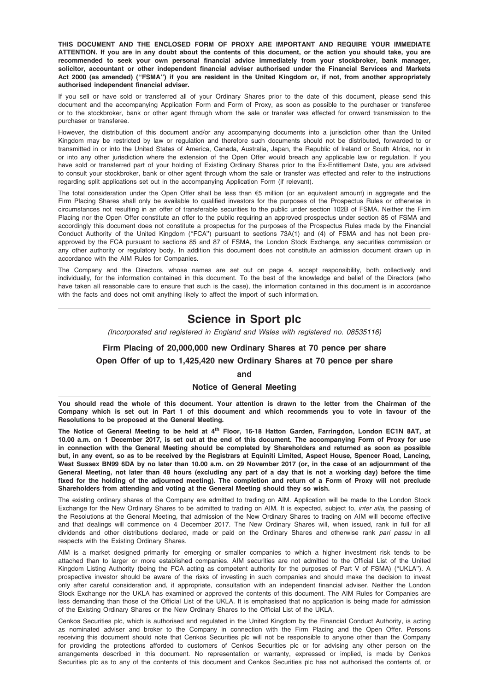THIS DOCUMENT AND THE ENCLOSED FORM OF PROXY ARE IMPORTANT AND REQUIRE YOUR IMMEDIATE ATTENTION. If you are in any doubt about the contents of this document, or the action you should take, you are recommended to seek your own personal financial advice immediately from your stockbroker, bank manager, solicitor, accountant or other independent financial adviser authorised under the Financial Services and Markets Act 2000 (as amended) ("FSMA") if you are resident in the United Kingdom or, if not, from another appropriately authorised independent financial adviser.

If you sell or have sold or transferred all of your Ordinary Shares prior to the date of this document, please send this document and the accompanying Application Form and Form of Proxy, as soon as possible to the purchaser or transferee or to the stockbroker, bank or other agent through whom the sale or transfer was effected for onward transmission to the purchaser or transferee.

However, the distribution of this document and/or any accompanying documents into a jurisdiction other than the United Kingdom may be restricted by law or regulation and therefore such documents should not be distributed, forwarded to or transmitted in or into the United States of America, Canada, Australia, Japan, the Republic of Ireland or South Africa, nor in or into any other jurisdiction where the extension of the Open Offer would breach any applicable law or regulation. If you have sold or transferred part of your holding of Existing Ordinary Shares prior to the Ex-Entitlement Date, you are advised to consult your stockbroker, bank or other agent through whom the sale or transfer was effected and refer to the instructions regarding split applications set out in the accompanying Application Form (if relevant).

The total consideration under the Open Offer shall be less than  $65$  million (or an equivalent amount) in aggregate and the Firm Placing Shares shall only be available to qualified investors for the purposes of the Prospectus Rules or otherwise in circumstances not resulting in an offer of transferable securities to the public under section 102B of FSMA. Neither the Firm Placing nor the Open Offer constitute an offer to the public requiring an approved prospectus under section 85 of FSMA and accordingly this document does not constitute a prospectus for the purposes of the Prospectus Rules made by the Financial Conduct Authority of the United Kingdom (''FCA'') pursuant to sections 73A(1) and (4) of FSMA and has not been preapproved by the FCA pursuant to sections 85 and 87 of FSMA, the London Stock Exchange, any securities commission or any other authority or regulatory body. In addition this document does not constitute an admission document drawn up in accordance with the AIM Rules for Companies.

The Company and the Directors, whose names are set out on page 4, accept responsibility, both collectively and individually, for the information contained in this document. To the best of the knowledge and belief of the Directors (who have taken all reasonable care to ensure that such is the case), the information contained in this document is in accordance with the facts and does not omit anything likely to affect the import of such information.

# Science in Sport plc

(Incorporated and registered in England and Wales with registered no. 08535116)

# Firm Placing of 20,000,000 new Ordinary Shares at 70 pence per share Open Offer of up to 1,425,420 new Ordinary Shares at 70 pence per share

and

#### Notice of General Meeting

You should read the whole of this document. Your attention is drawn to the letter from the Chairman of the Company which is set out in Part 1 of this document and which recommends you to vote in favour of the Resolutions to be proposed at the General Meeting.

The Notice of General Meeting to be held at 4<sup>th</sup> Floor, 16-18 Hatton Garden, Farringdon, London EC1N 8AT, at 10.00 a.m. on 1 December 2017, is set out at the end of this document. The accompanying Form of Proxy for use in connection with the General Meeting should be completed by Shareholders and returned as soon as possible but, in any event, so as to be received by the Registrars at Equiniti Limited, Aspect House, Spencer Road, Lancing, West Sussex BN99 6DA by no later than 10.00 a.m. on 29 November 2017 (or, in the case of an adjournment of the General Meeting, not later than 48 hours (excluding any part of a day that is not a working day) before the time fixed for the holding of the adjourned meeting). The completion and return of a Form of Proxy will not preclude Shareholders from attending and voting at the General Meeting should they so wish.

The existing ordinary shares of the Company are admitted to trading on AIM. Application will be made to the London Stock Exchange for the New Ordinary Shares to be admitted to trading on AIM. It is expected, subject to, inter alia, the passing of the Resolutions at the General Meeting, that admission of the New Ordinary Shares to trading on AIM will become effective and that dealings will commence on 4 December 2017. The New Ordinary Shares will, when issued, rank in full for all dividends and other distributions declared, made or paid on the Ordinary Shares and otherwise rank pari passu in all respects with the Existing Ordinary Shares.

AIM is a market designed primarily for emerging or smaller companies to which a higher investment risk tends to be attached than to larger or more established companies. AIM securities are not admitted to the Official List of the United Kingdom Listing Authority (being the FCA acting as competent authority for the purposes of Part V of FSMA) ("UKLA"). A prospective investor should be aware of the risks of investing in such companies and should make the decision to invest only after careful consideration and, if appropriate, consultation with an independent financial adviser. Neither the London Stock Exchange nor the UKLA has examined or approved the contents of this document. The AIM Rules for Companies are less demanding than those of the Official List of the UKLA. It is emphasised that no application is being made for admission of the Existing Ordinary Shares or the New Ordinary Shares to the Official List of the UKLA.

Cenkos Securities plc, which is authorised and regulated in the United Kingdom by the Financial Conduct Authority, is acting as nominated adviser and broker to the Company in connection with the Firm Placing and the Open Offer. Persons receiving this document should note that Cenkos Securities plc will not be responsible to anyone other than the Company for providing the protections afforded to customers of Cenkos Securities plc or for advising any other person on the arrangements described in this document. No representation or warranty, expressed or implied, is made by Cenkos Securities plc as to any of the contents of this document and Cenkos Securities plc has not authorised the contents of, or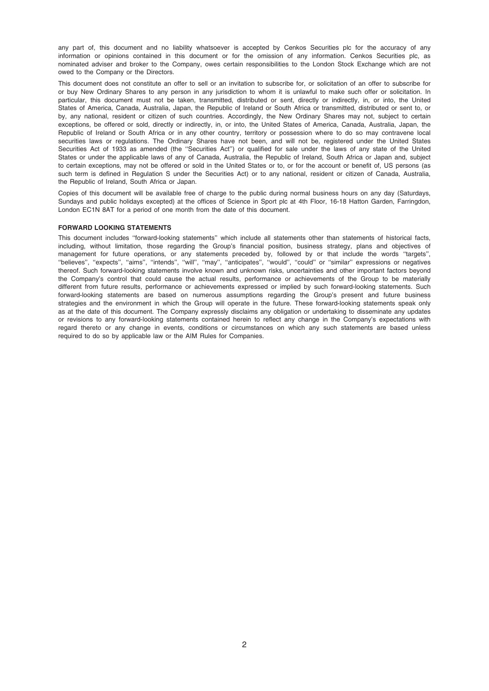any part of, this document and no liability whatsoever is accepted by Cenkos Securities plc for the accuracy of any information or opinions contained in this document or for the omission of any information. Cenkos Securities plc, as nominated adviser and broker to the Company, owes certain responsibilities to the London Stock Exchange which are not owed to the Company or the Directors.

This document does not constitute an offer to sell or an invitation to subscribe for, or solicitation of an offer to subscribe for or buy New Ordinary Shares to any person in any jurisdiction to whom it is unlawful to make such offer or solicitation. In particular, this document must not be taken, transmitted, distributed or sent, directly or indirectly, in, or into, the United States of America, Canada, Australia, Japan, the Republic of Ireland or South Africa or transmitted, distributed or sent to, or by, any national, resident or citizen of such countries. Accordingly, the New Ordinary Shares may not, subject to certain exceptions, be offered or sold, directly or indirectly, in, or into, the United States of America, Canada, Australia, Japan, the Republic of Ireland or South Africa or in any other country, territory or possession where to do so may contravene local securities laws or regulations. The Ordinary Shares have not been, and will not be, registered under the United States Securities Act of 1933 as amended (the ''Securities Act'') or qualified for sale under the laws of any state of the United States or under the applicable laws of any of Canada, Australia, the Republic of Ireland, South Africa or Japan and, subject to certain exceptions, may not be offered or sold in the United States or to, or for the account or benefit of, US persons (as such term is defined in Regulation S under the Securities Act) or to any national, resident or citizen of Canada, Australia, the Republic of Ireland, South Africa or Japan.

Copies of this document will be available free of charge to the public during normal business hours on any day (Saturdays, Sundays and public holidays excepted) at the offices of Science in Sport plc at 4th Floor, 16-18 Hatton Garden, Farringdon, London EC1N 8AT for a period of one month from the date of this document.

#### FORWARD LOOKING STATEMENTS

This document includes ''forward-looking statements'' which include all statements other than statements of historical facts, including, without limitation, those regarding the Group's financial position, business strategy, plans and objectives of management for future operations, or any statements preceded by, followed by or that include the words ''targets'', "believes", "expects", "aims", "intends", "will", "may", "anticipates", "would", "could" or "similar" expressions or negatives thereof. Such forward-looking statements involve known and unknown risks, uncertainties and other important factors beyond the Company's control that could cause the actual results, performance or achievements of the Group to be materially different from future results, performance or achievements expressed or implied by such forward-looking statements. Such forward-looking statements are based on numerous assumptions regarding the Group's present and future business strategies and the environment in which the Group will operate in the future. These forward-looking statements speak only as at the date of this document. The Company expressly disclaims any obligation or undertaking to disseminate any updates or revisions to any forward-looking statements contained herein to reflect any change in the Company's expectations with regard thereto or any change in events, conditions or circumstances on which any such statements are based unless required to do so by applicable law or the AIM Rules for Companies.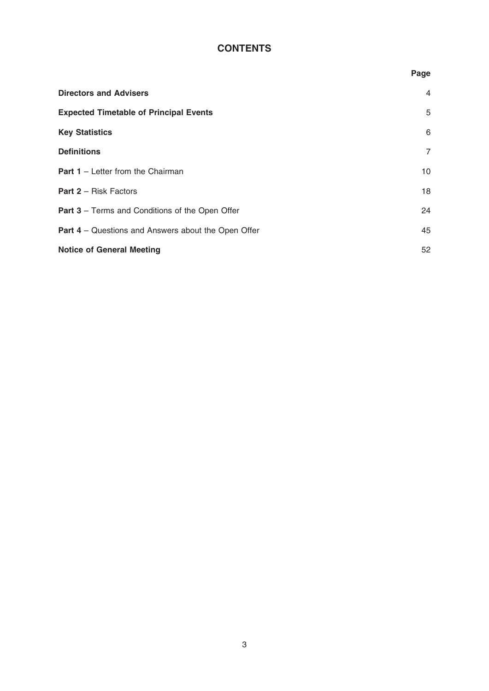# **CONTENTS**

| <b>Directors and Advisers</b>                              | 4              |
|------------------------------------------------------------|----------------|
| <b>Expected Timetable of Principal Events</b>              | 5              |
| <b>Key Statistics</b>                                      | 6              |
| <b>Definitions</b>                                         | $\overline{7}$ |
| <b>Part 1</b> – Letter from the Chairman                   | 10             |
| <b>Part 2 - Risk Factors</b>                               | 18             |
| <b>Part 3</b> – Terms and Conditions of the Open Offer     | 24             |
| <b>Part 4</b> – Questions and Answers about the Open Offer | 45             |
| <b>Notice of General Meeting</b>                           | 52             |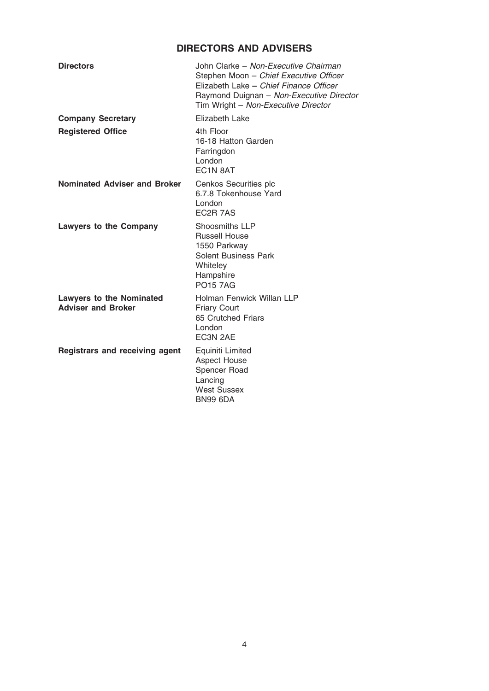# DIRECTORS AND ADVISERS

| <b>Directors</b>                                             | John Clarke - Non-Executive Chairman<br>Stephen Moon - Chief Executive Officer<br>Elizabeth Lake - Chief Finance Officer<br>Raymond Duignan - Non-Executive Director<br>Tim Wright - Non-Executive Director |
|--------------------------------------------------------------|-------------------------------------------------------------------------------------------------------------------------------------------------------------------------------------------------------------|
| <b>Company Secretary</b>                                     | Elizabeth Lake                                                                                                                                                                                              |
| <b>Registered Office</b>                                     | 4th Floor<br>16-18 Hatton Garden<br>Farringdon<br>London<br>EC1N 8AT                                                                                                                                        |
| Nominated Adviser and Broker                                 | Cenkos Securities plc<br>6.7.8 Tokenhouse Yard<br>London<br>EC2R 7AS                                                                                                                                        |
| <b>Lawyers to the Company</b>                                | Shoosmiths LLP<br><b>Russell House</b><br>1550 Parkway<br><b>Solent Business Park</b><br>Whiteley<br>Hampshire<br><b>PO15 7AG</b>                                                                           |
| <b>Lawyers to the Nominated</b><br><b>Adviser and Broker</b> | Holman Fenwick Willan LLP<br><b>Friary Court</b><br>65 Crutched Friars<br>London<br>EC3N 2AE                                                                                                                |
| <b>Registrars and receiving agent</b>                        | Equiniti Limited<br><b>Aspect House</b><br>Spencer Road<br>Lancing<br><b>West Sussex</b><br><b>BN99 6DA</b>                                                                                                 |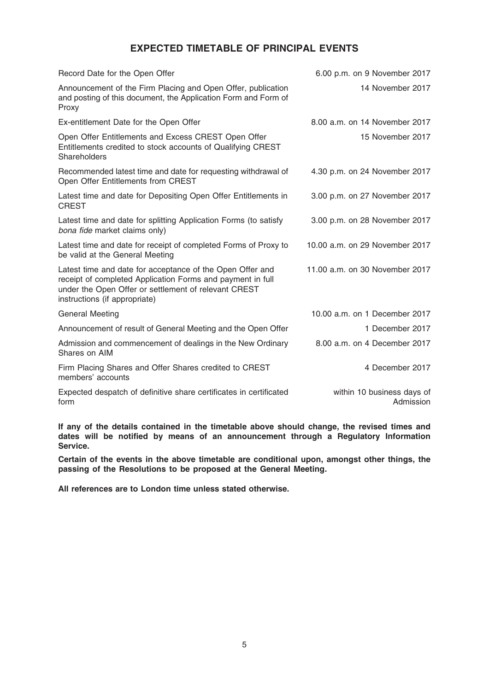# EXPECTED TIMETABLE OF PRINCIPAL EVENTS

| Record Date for the Open Offer                                                                                                                                                                                   | 6.00 p.m. on 9 November 2017            |
|------------------------------------------------------------------------------------------------------------------------------------------------------------------------------------------------------------------|-----------------------------------------|
| Announcement of the Firm Placing and Open Offer, publication<br>and posting of this document, the Application Form and Form of<br>Proxy                                                                          | 14 November 2017                        |
| Ex-entitlement Date for the Open Offer                                                                                                                                                                           | 8.00 a.m. on 14 November 2017           |
| Open Offer Entitlements and Excess CREST Open Offer<br>Entitlements credited to stock accounts of Qualifying CREST<br>Shareholders                                                                               | 15 November 2017                        |
| Recommended latest time and date for requesting withdrawal of<br>Open Offer Entitlements from CREST                                                                                                              | 4.30 p.m. on 24 November 2017           |
| Latest time and date for Depositing Open Offer Entitlements in<br><b>CREST</b>                                                                                                                                   | 3.00 p.m. on 27 November 2017           |
| Latest time and date for splitting Application Forms (to satisfy<br>bona fide market claims only)                                                                                                                | 3.00 p.m. on 28 November 2017           |
| Latest time and date for receipt of completed Forms of Proxy to<br>be valid at the General Meeting                                                                                                               | 10.00 a.m. on 29 November 2017          |
| Latest time and date for acceptance of the Open Offer and<br>receipt of completed Application Forms and payment in full<br>under the Open Offer or settlement of relevant CREST<br>instructions (if appropriate) | 11.00 a.m. on 30 November 2017          |
| <b>General Meeting</b>                                                                                                                                                                                           | 10.00 a.m. on 1 December 2017           |
| Announcement of result of General Meeting and the Open Offer                                                                                                                                                     | 1 December 2017                         |
| Admission and commencement of dealings in the New Ordinary<br>Shares on AIM                                                                                                                                      | 8.00 a.m. on 4 December 2017            |
| Firm Placing Shares and Offer Shares credited to CREST<br>members' accounts                                                                                                                                      | 4 December 2017                         |
| Expected despatch of definitive share certificates in certificated<br>form                                                                                                                                       | within 10 business days of<br>Admission |

If any of the details contained in the timetable above should change, the revised times and dates will be notified by means of an announcement through a Regulatory Information Service.

Certain of the events in the above timetable are conditional upon, amongst other things, the passing of the Resolutions to be proposed at the General Meeting.

All references are to London time unless stated otherwise.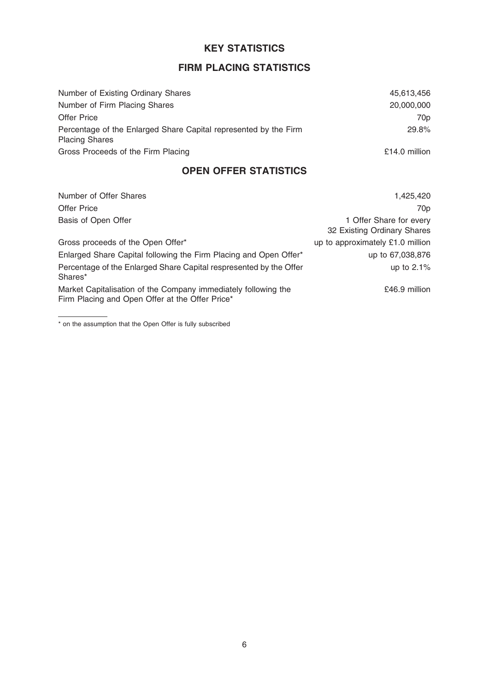# KEY STATISTICS

# FIRM PLACING STATISTICS

| Number of Existing Ordinary Shares                                                        | 45,613,456      |
|-------------------------------------------------------------------------------------------|-----------------|
| Number of Firm Placing Shares                                                             | 20,000,000      |
| <b>Offer Price</b>                                                                        | 70 <sub>p</sub> |
| Percentage of the Enlarged Share Capital represented by the Firm<br><b>Placing Shares</b> | 29.8%           |
| Gross Proceeds of the Firm Placing                                                        | £14.0 million   |

# OPEN OFFER STATISTICS

| Number of Offer Shares                                                                                            | 1,425,420                                              |
|-------------------------------------------------------------------------------------------------------------------|--------------------------------------------------------|
| <b>Offer Price</b>                                                                                                | 70 <sub>p</sub>                                        |
| Basis of Open Offer                                                                                               | 1 Offer Share for every<br>32 Existing Ordinary Shares |
| Gross proceeds of the Open Offer*                                                                                 | up to approximately £1.0 million                       |
| Enlarged Share Capital following the Firm Placing and Open Offer*                                                 | up to 67,038,876                                       |
| Percentage of the Enlarged Share Capital respresented by the Offer<br>Shares*                                     | up to $2.1\%$                                          |
| Market Capitalisation of the Company immediately following the<br>Firm Placing and Open Offer at the Offer Price* | £46.9 million                                          |

\* on the assumption that the Open Offer is fully subscribed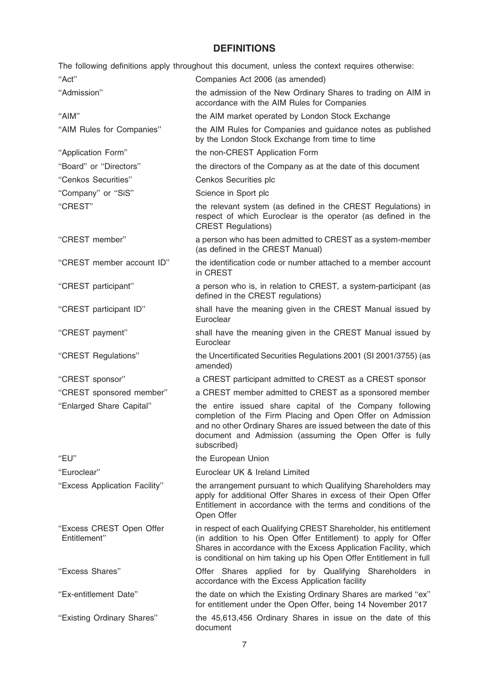# **DEFINITIONS**

The following definitions apply throughout this document, unless the context requires otherwise:

| "Act"                                    | Companies Act 2006 (as amended)                                                                                                                                                                                                                                              |
|------------------------------------------|------------------------------------------------------------------------------------------------------------------------------------------------------------------------------------------------------------------------------------------------------------------------------|
| "Admission"                              | the admission of the New Ordinary Shares to trading on AIM in<br>accordance with the AIM Rules for Companies                                                                                                                                                                 |
| "AIM"                                    | the AIM market operated by London Stock Exchange                                                                                                                                                                                                                             |
| "AIM Rules for Companies"                | the AIM Rules for Companies and guidance notes as published<br>by the London Stock Exchange from time to time                                                                                                                                                                |
| "Application Form"                       | the non-CREST Application Form                                                                                                                                                                                                                                               |
| "Board" or "Directors"                   | the directors of the Company as at the date of this document                                                                                                                                                                                                                 |
| "Cenkos Securities"                      | Cenkos Securities plc                                                                                                                                                                                                                                                        |
| "Company" or "SiS"                       | Science in Sport plc                                                                                                                                                                                                                                                         |
| "CREST"                                  | the relevant system (as defined in the CREST Regulations) in<br>respect of which Euroclear is the operator (as defined in the<br><b>CREST Regulations)</b>                                                                                                                   |
| "CREST member"                           | a person who has been admitted to CREST as a system-member<br>(as defined in the CREST Manual)                                                                                                                                                                               |
| "CREST member account ID"                | the identification code or number attached to a member account<br>in CREST                                                                                                                                                                                                   |
| "CREST participant"                      | a person who is, in relation to CREST, a system-participant (as<br>defined in the CREST regulations)                                                                                                                                                                         |
| "CREST participant ID"                   | shall have the meaning given in the CREST Manual issued by<br>Euroclear                                                                                                                                                                                                      |
| "CREST payment"                          | shall have the meaning given in the CREST Manual issued by<br>Euroclear                                                                                                                                                                                                      |
| "CREST Regulations"                      | the Uncertificated Securities Regulations 2001 (SI 2001/3755) (as<br>amended)                                                                                                                                                                                                |
| "CREST sponsor"                          | a CREST participant admitted to CREST as a CREST sponsor                                                                                                                                                                                                                     |
| "CREST sponsored member"                 | a CREST member admitted to CREST as a sponsored member                                                                                                                                                                                                                       |
| "Enlarged Share Capital"                 | the entire issued share capital of the Company following<br>completion of the Firm Placing and Open Offer on Admission<br>and no other Ordinary Shares are issued between the date of this<br>document and Admission (assuming the Open Offer is fully<br>subscribed)        |
| "EU"                                     | the European Union                                                                                                                                                                                                                                                           |
| "Euroclear"                              | Euroclear UK & Ireland Limited                                                                                                                                                                                                                                               |
| "Excess Application Facility"            | the arrangement pursuant to which Qualifying Shareholders may<br>apply for additional Offer Shares in excess of their Open Offer<br>Entitlement in accordance with the terms and conditions of the<br>Open Offer                                                             |
| "Excess CREST Open Offer<br>Entitlement" | in respect of each Qualifying CREST Shareholder, his entitlement<br>(in addition to his Open Offer Entitlement) to apply for Offer<br>Shares in accordance with the Excess Application Facility, which<br>is conditional on him taking up his Open Offer Entitlement in full |
| "Excess Shares"                          | Offer Shares applied for by Qualifying Shareholders in<br>accordance with the Excess Application facility                                                                                                                                                                    |
| "Ex-entitlement Date"                    | the date on which the Existing Ordinary Shares are marked "ex"<br>for entitlement under the Open Offer, being 14 November 2017                                                                                                                                               |
| "Existing Ordinary Shares"               | the 45,613,456 Ordinary Shares in issue on the date of this<br>document                                                                                                                                                                                                      |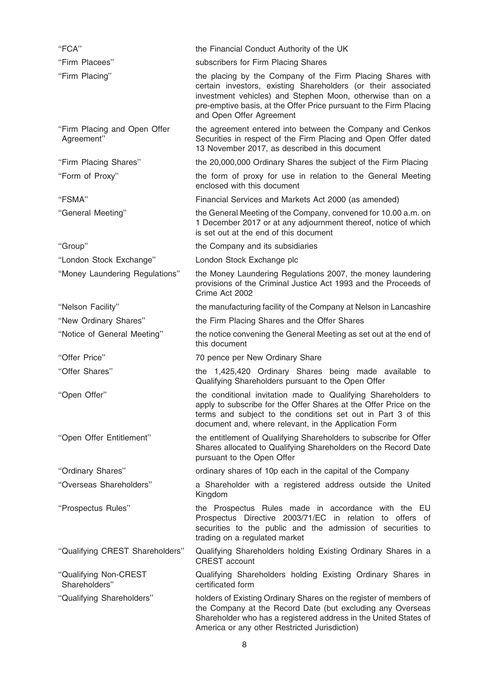| "FCA"                                      | the Financial Conduct Authority of the UK                                                                                                                                                                                                                                                   |
|--------------------------------------------|---------------------------------------------------------------------------------------------------------------------------------------------------------------------------------------------------------------------------------------------------------------------------------------------|
| "Firm Placees"                             | subscribers for Firm Placing Shares                                                                                                                                                                                                                                                         |
| "Firm Placing"                             | the placing by the Company of the Firm Placing Shares with<br>certain investors, existing Shareholders (or their associated<br>investment vehicles) and Stephen Moon, otherwise than on a<br>pre-emptive basis, at the Offer Price pursuant to the Firm Placing<br>and Open Offer Agreement |
| "Firm Placing and Open Offer<br>Agreement" | the agreement entered into between the Company and Cenkos<br>Securities in respect of the Firm Placing and Open Offer dated<br>13 November 2017, as described in this document                                                                                                              |
| "Firm Placing Shares"                      | the 20,000,000 Ordinary Shares the subject of the Firm Placing                                                                                                                                                                                                                              |
| "Form of Proxy"                            | the form of proxy for use in relation to the General Meeting<br>enclosed with this document                                                                                                                                                                                                 |
| "FSMA"                                     | Financial Services and Markets Act 2000 (as amended)                                                                                                                                                                                                                                        |
| "General Meeting"                          | the General Meeting of the Company, convened for 10.00 a.m. on<br>1 December 2017 or at any adjournment thereof, notice of which<br>is set out at the end of this document                                                                                                                  |
| "Group"                                    | the Company and its subsidiaries                                                                                                                                                                                                                                                            |
| "London Stock Exchange"                    | London Stock Exchange plc                                                                                                                                                                                                                                                                   |
| "Money Laundering Regulations"             | the Money Laundering Regulations 2007, the money laundering<br>provisions of the Criminal Justice Act 1993 and the Proceeds of<br>Crime Act 2002                                                                                                                                            |
| "Nelson Facility"                          | the manufacturing facility of the Company at Nelson in Lancashire                                                                                                                                                                                                                           |
| "New Ordinary Shares"                      | the Firm Placing Shares and the Offer Shares                                                                                                                                                                                                                                                |
| "Notice of General Meeting"                | the notice convening the General Meeting as set out at the end of<br>this document                                                                                                                                                                                                          |
| "Offer Price"                              | 70 pence per New Ordinary Share                                                                                                                                                                                                                                                             |
| "Offer Shares"                             | the 1,425,420 Ordinary Shares being made available to<br>Qualifying Shareholders pursuant to the Open Offer                                                                                                                                                                                 |
| "Open Offer"                               | the conditional invitation made to Qualifying Shareholders to<br>apply to subscribe for the Offer Shares at the Offer Price on the<br>terms and subject to the conditions set out in Part 3 of this<br>document and, where relevant, in the Application Form                                |
| "Open Offer Entitlement"                   | the entitlement of Qualifying Shareholders to subscribe for Offer<br>Shares allocated to Qualifying Shareholders on the Record Date<br>pursuant to the Open Offer                                                                                                                           |
| "Ordinary Shares"                          | ordinary shares of 10p each in the capital of the Company                                                                                                                                                                                                                                   |
| "Overseas Shareholders"                    | a Shareholder with a registered address outside the United<br>Kingdom                                                                                                                                                                                                                       |
| "Prospectus Rules"                         | the Prospectus Rules made in accordance with the EU<br>Prospectus Directive 2003/71/EC in relation to offers of<br>securities to the public and the admission of securities to<br>trading on a regulated market                                                                             |
| "Qualifying CREST Shareholders"            | Qualifying Shareholders holding Existing Ordinary Shares in a<br><b>CREST</b> account                                                                                                                                                                                                       |
| "Qualifying Non-CREST<br>Shareholders"     | Qualifying Shareholders holding Existing Ordinary Shares in<br>certificated form                                                                                                                                                                                                            |
| "Qualifying Shareholders"                  | holders of Existing Ordinary Shares on the register of members of<br>the Company at the Record Date (but excluding any Overseas<br>Shareholder who has a registered address in the United States of<br>America or any other Restricted Jurisdiction)                                        |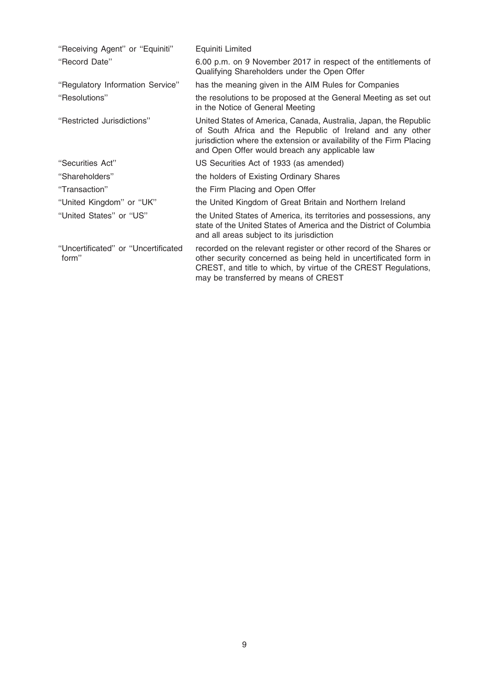| "Receiving Agent" or "Equiniti"              | Equiniti Limited                                                                                                                                                                                                                                        |
|----------------------------------------------|---------------------------------------------------------------------------------------------------------------------------------------------------------------------------------------------------------------------------------------------------------|
| "Record Date"                                | 6.00 p.m. on 9 November 2017 in respect of the entitlements of<br>Qualifying Shareholders under the Open Offer                                                                                                                                          |
| "Regulatory Information Service"             | has the meaning given in the AIM Rules for Companies                                                                                                                                                                                                    |
| "Resolutions"                                | the resolutions to be proposed at the General Meeting as set out<br>in the Notice of General Meeting                                                                                                                                                    |
| "Restricted Jurisdictions"                   | United States of America, Canada, Australia, Japan, the Republic<br>of South Africa and the Republic of Ireland and any other<br>jurisdiction where the extension or availability of the Firm Placing<br>and Open Offer would breach any applicable law |
| "Securities Act"                             | US Securities Act of 1933 (as amended)                                                                                                                                                                                                                  |
| "Shareholders"                               | the holders of Existing Ordinary Shares                                                                                                                                                                                                                 |
| "Transaction"                                | the Firm Placing and Open Offer                                                                                                                                                                                                                         |
| "United Kingdom" or "UK"                     | the United Kingdom of Great Britain and Northern Ireland                                                                                                                                                                                                |
| "United States" or "US"                      | the United States of America, its territories and possessions, any<br>state of the United States of America and the District of Columbia<br>and all areas subject to its jurisdiction                                                                   |
| "Uncertificated" or "Uncertificated<br>form" | recorded on the relevant register or other record of the Shares or<br>other security concerned as being held in uncertificated form in<br>CREST, and title to which, by virtue of the CREST Regulations,<br>may be transferred by means of CREST        |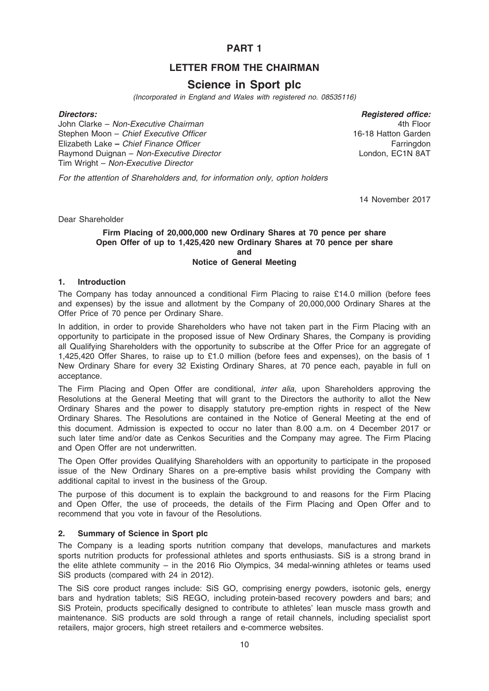# PART 1

# LETTER FROM THE CHAIRMAN

# Science in Sport plc

(Incorporated in England and Wales with registered no. 08535116)

John Clarke – Non-Executive Chairman Stephen Moon – Chief Executive Officer Elizabeth Lake – Chief Finance Officer Raymond Duignan – Non-Executive Director Tim Wright – Non-Executive Director

**Directors:** Registered office: 4th Floor 16-18 Hatton Garden **Farringdon** London, EC1N 8AT

For the attention of Shareholders and, for information only, option holders

14 November 2017

Dear Shareholder

## Firm Placing of 20,000,000 new Ordinary Shares at 70 pence per share Open Offer of up to 1,425,420 new Ordinary Shares at 70 pence per share and Notice of General Meeting

## 1. Introduction

The Company has today announced a conditional Firm Placing to raise £14.0 million (before fees and expenses) by the issue and allotment by the Company of 20,000,000 Ordinary Shares at the Offer Price of 70 pence per Ordinary Share.

In addition, in order to provide Shareholders who have not taken part in the Firm Placing with an opportunity to participate in the proposed issue of New Ordinary Shares, the Company is providing all Qualifying Shareholders with the opportunity to subscribe at the Offer Price for an aggregate of 1,425,420 Offer Shares, to raise up to £1.0 million (before fees and expenses), on the basis of 1 New Ordinary Share for every 32 Existing Ordinary Shares, at 70 pence each, payable in full on acceptance.

The Firm Placing and Open Offer are conditional, inter alia, upon Shareholders approving the Resolutions at the General Meeting that will grant to the Directors the authority to allot the New Ordinary Shares and the power to disapply statutory pre-emption rights in respect of the New Ordinary Shares. The Resolutions are contained in the Notice of General Meeting at the end of this document. Admission is expected to occur no later than 8.00 a.m. on 4 December 2017 or such later time and/or date as Cenkos Securities and the Company may agree. The Firm Placing and Open Offer are not underwritten.

The Open Offer provides Qualifying Shareholders with an opportunity to participate in the proposed issue of the New Ordinary Shares on a pre-emptive basis whilst providing the Company with additional capital to invest in the business of the Group.

The purpose of this document is to explain the background to and reasons for the Firm Placing and Open Offer, the use of proceeds, the details of the Firm Placing and Open Offer and to recommend that you vote in favour of the Resolutions.

## 2. Summary of Science in Sport plc

The Company is a leading sports nutrition company that develops, manufactures and markets sports nutrition products for professional athletes and sports enthusiasts. SiS is a strong brand in the elite athlete community – in the 2016 Rio Olympics, 34 medal-winning athletes or teams used SiS products (compared with 24 in 2012).

The SiS core product ranges include: SiS GO, comprising energy powders, isotonic gels, energy bars and hydration tablets; SiS REGO, including protein-based recovery powders and bars; and SiS Protein, products specifically designed to contribute to athletes' lean muscle mass growth and maintenance. SiS products are sold through a range of retail channels, including specialist sport retailers, major grocers, high street retailers and e-commerce websites.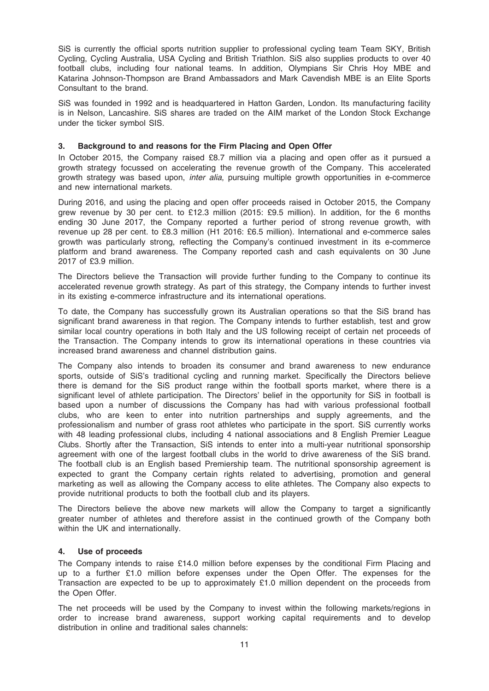SiS is currently the official sports nutrition supplier to professional cycling team Team SKY, British Cycling, Cycling Australia, USA Cycling and British Triathlon. SiS also supplies products to over 40 football clubs, including four national teams. In addition, Olympians Sir Chris Hoy MBE and Katarina Johnson-Thompson are Brand Ambassadors and Mark Cavendish MBE is an Elite Sports Consultant to the brand.

SiS was founded in 1992 and is headquartered in Hatton Garden, London. Its manufacturing facility is in Nelson, Lancashire. SiS shares are traded on the AIM market of the London Stock Exchange under the ticker symbol SIS.

# 3. Background to and reasons for the Firm Placing and Open Offer

In October 2015, the Company raised £8.7 million via a placing and open offer as it pursued a growth strategy focussed on accelerating the revenue growth of the Company. This accelerated growth strategy was based upon, inter alia, pursuing multiple growth opportunities in e-commerce and new international markets.

During 2016, and using the placing and open offer proceeds raised in October 2015, the Company grew revenue by 30 per cent. to £12.3 million (2015: £9.5 million). In addition, for the 6 months ending 30 June 2017, the Company reported a further period of strong revenue growth, with revenue up 28 per cent. to £8.3 million (H1 2016: £6.5 million). International and e-commerce sales growth was particularly strong, reflecting the Company's continued investment in its e-commerce platform and brand awareness. The Company reported cash and cash equivalents on 30 June 2017 of £3.9 million.

The Directors believe the Transaction will provide further funding to the Company to continue its accelerated revenue growth strategy. As part of this strategy, the Company intends to further invest in its existing e-commerce infrastructure and its international operations.

To date, the Company has successfully grown its Australian operations so that the SiS brand has significant brand awareness in that region. The Company intends to further establish, test and grow similar local country operations in both Italy and the US following receipt of certain net proceeds of the Transaction. The Company intends to grow its international operations in these countries via increased brand awareness and channel distribution gains.

The Company also intends to broaden its consumer and brand awareness to new endurance sports, outside of SiS's traditional cycling and running market. Specifically the Directors believe there is demand for the SiS product range within the football sports market, where there is a significant level of athlete participation. The Directors' belief in the opportunity for SiS in football is based upon a number of discussions the Company has had with various professional football clubs, who are keen to enter into nutrition partnerships and supply agreements, and the professionalism and number of grass root athletes who participate in the sport. SiS currently works with 48 leading professional clubs, including 4 national associations and 8 English Premier League Clubs. Shortly after the Transaction, SiS intends to enter into a multi-year nutritional sponsorship agreement with one of the largest football clubs in the world to drive awareness of the SiS brand. The football club is an English based Premiership team. The nutritional sponsorship agreement is expected to grant the Company certain rights related to advertising, promotion and general marketing as well as allowing the Company access to elite athletes. The Company also expects to provide nutritional products to both the football club and its players.

The Directors believe the above new markets will allow the Company to target a significantly greater number of athletes and therefore assist in the continued growth of the Company both within the UK and internationally.

## 4. Use of proceeds

The Company intends to raise £14.0 million before expenses by the conditional Firm Placing and up to a further £1.0 million before expenses under the Open Offer. The expenses for the Transaction are expected to be up to approximately £1.0 million dependent on the proceeds from the Open Offer.

The net proceeds will be used by the Company to invest within the following markets/regions in order to increase brand awareness, support working capital requirements and to develop distribution in online and traditional sales channels: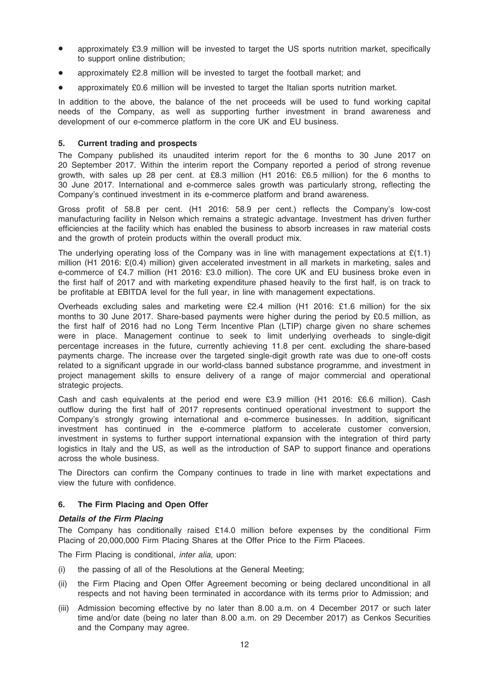- approximately £3.9 million will be invested to target the US sports nutrition market, specifically to support online distribution;
- approximately £2.8 million will be invested to target the football market; and
- approximately £0.6 million will be invested to target the Italian sports nutrition market.

In addition to the above, the balance of the net proceeds will be used to fund working capital needs of the Company, as well as supporting further investment in brand awareness and development of our e-commerce platform in the core UK and EU business.

# 5. Current trading and prospects

The Company published its unaudited interim report for the 6 months to 30 June 2017 on 20 September 2017. Within the interim report the Company reported a period of strong revenue growth, with sales up 28 per cent. at £8.3 million (H1 2016: £6.5 million) for the 6 months to 30 June 2017. International and e-commerce sales growth was particularly strong, reflecting the Company's continued investment in its e-commerce platform and brand awareness.

Gross profit of 58.8 per cent. (H1 2016: 58.9 per cent.) reflects the Company's low-cost manufacturing facility in Nelson which remains a strategic advantage. Investment has driven further efficiencies at the facility which has enabled the business to absorb increases in raw material costs and the growth of protein products within the overall product mix.

The underlying operating loss of the Company was in line with management expectations at  $E(1.1)$ million (H1 2016: £(0.4) million) given accelerated investment in all markets in marketing, sales and e-commerce of £4.7 million (H1 2016: £3.0 million). The core UK and EU business broke even in the first half of 2017 and with marketing expenditure phased heavily to the first half, is on track to be profitable at EBITDA level for the full year, in line with management expectations.

Overheads excluding sales and marketing were £2.4 million (H1 2016: £1.6 million) for the six months to 30 June 2017. Share-based payments were higher during the period by £0.5 million, as the first half of 2016 had no Long Term Incentive Plan (LTIP) charge given no share schemes were in place. Management continue to seek to limit underlying overheads to single-digit percentage increases in the future, currently achieving 11.8 per cent. excluding the share-based payments charge. The increase over the targeted single-digit growth rate was due to one-off costs related to a significant upgrade in our world-class banned substance programme, and investment in project management skills to ensure delivery of a range of major commercial and operational strategic projects.

Cash and cash equivalents at the period end were £3.9 million (H1 2016: £6.6 million). Cash outflow during the first half of 2017 represents continued operational investment to support the Company's strongly growing international and e-commerce businesses. In addition, significant investment has continued in the e-commerce platform to accelerate customer conversion, investment in systems to further support international expansion with the integration of third party logistics in Italy and the US, as well as the introduction of SAP to support finance and operations across the whole business.

The Directors can confirm the Company continues to trade in line with market expectations and view the future with confidence.

## 6. The Firm Placing and Open Offer

## Details of the Firm Placing

The Company has conditionally raised £14.0 million before expenses by the conditional Firm Placing of 20,000,000 Firm Placing Shares at the Offer Price to the Firm Placees.

The Firm Placing is conditional, *inter alia*, upon:

- (i) the passing of all of the Resolutions at the General Meeting;
- (ii) the Firm Placing and Open Offer Agreement becoming or being declared unconditional in all respects and not having been terminated in accordance with its terms prior to Admission; and
- (iii) Admission becoming effective by no later than 8.00 a.m. on 4 December 2017 or such later time and/or date (being no later than 8.00 a.m. on 29 December 2017) as Cenkos Securities and the Company may agree.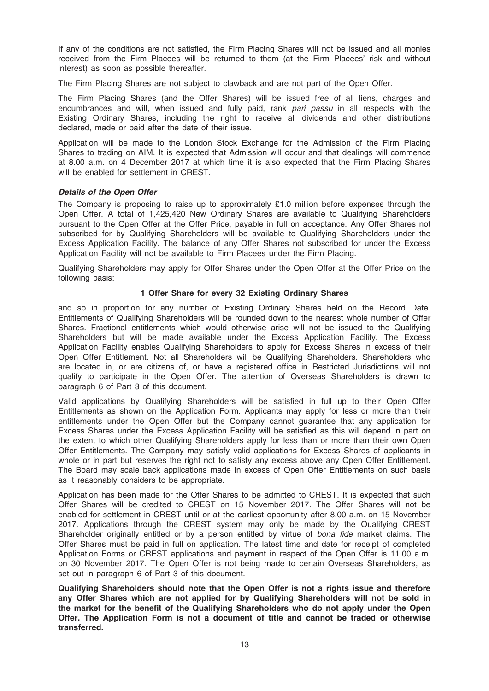If any of the conditions are not satisfied, the Firm Placing Shares will not be issued and all monies received from the Firm Placees will be returned to them (at the Firm Placees' risk and without interest) as soon as possible thereafter.

The Firm Placing Shares are not subject to clawback and are not part of the Open Offer.

The Firm Placing Shares (and the Offer Shares) will be issued free of all liens, charges and encumbrances and will, when issued and fully paid, rank pari passu in all respects with the Existing Ordinary Shares, including the right to receive all dividends and other distributions declared, made or paid after the date of their issue.

Application will be made to the London Stock Exchange for the Admission of the Firm Placing Shares to trading on AIM. It is expected that Admission will occur and that dealings will commence at 8.00 a.m. on 4 December 2017 at which time it is also expected that the Firm Placing Shares will be enabled for settlement in CREST.

# Details of the Open Offer

The Company is proposing to raise up to approximately £1.0 million before expenses through the Open Offer. A total of 1,425,420 New Ordinary Shares are available to Qualifying Shareholders pursuant to the Open Offer at the Offer Price, payable in full on acceptance. Any Offer Shares not subscribed for by Qualifying Shareholders will be available to Qualifying Shareholders under the Excess Application Facility. The balance of any Offer Shares not subscribed for under the Excess Application Facility will not be available to Firm Placees under the Firm Placing.

Qualifying Shareholders may apply for Offer Shares under the Open Offer at the Offer Price on the following basis:

# 1 Offer Share for every 32 Existing Ordinary Shares

and so in proportion for any number of Existing Ordinary Shares held on the Record Date. Entitlements of Qualifying Shareholders will be rounded down to the nearest whole number of Offer Shares. Fractional entitlements which would otherwise arise will not be issued to the Qualifying Shareholders but will be made available under the Excess Application Facility. The Excess Application Facility enables Qualifying Shareholders to apply for Excess Shares in excess of their Open Offer Entitlement. Not all Shareholders will be Qualifying Shareholders. Shareholders who are located in, or are citizens of, or have a registered office in Restricted Jurisdictions will not qualify to participate in the Open Offer. The attention of Overseas Shareholders is drawn to paragraph 6 of Part 3 of this document.

Valid applications by Qualifying Shareholders will be satisfied in full up to their Open Offer Entitlements as shown on the Application Form. Applicants may apply for less or more than their entitlements under the Open Offer but the Company cannot guarantee that any application for Excess Shares under the Excess Application Facility will be satisfied as this will depend in part on the extent to which other Qualifying Shareholders apply for less than or more than their own Open Offer Entitlements. The Company may satisfy valid applications for Excess Shares of applicants in whole or in part but reserves the right not to satisfy any excess above any Open Offer Entitlement. The Board may scale back applications made in excess of Open Offer Entitlements on such basis as it reasonably considers to be appropriate.

Application has been made for the Offer Shares to be admitted to CREST. It is expected that such Offer Shares will be credited to CREST on 15 November 2017. The Offer Shares will not be enabled for settlement in CREST until or at the earliest opportunity after 8.00 a.m. on 15 November 2017. Applications through the CREST system may only be made by the Qualifying CREST Shareholder originally entitled or by a person entitled by virtue of bona fide market claims. The Offer Shares must be paid in full on application. The latest time and date for receipt of completed Application Forms or CREST applications and payment in respect of the Open Offer is 11.00 a.m. on 30 November 2017. The Open Offer is not being made to certain Overseas Shareholders, as set out in paragraph 6 of Part 3 of this document.

Qualifying Shareholders should note that the Open Offer is not a rights issue and therefore any Offer Shares which are not applied for by Qualifying Shareholders will not be sold in the market for the benefit of the Qualifying Shareholders who do not apply under the Open Offer. The Application Form is not a document of title and cannot be traded or otherwise transferred.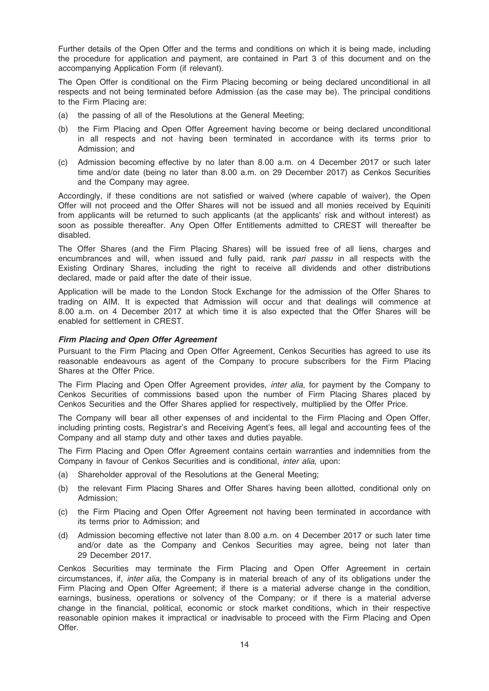Further details of the Open Offer and the terms and conditions on which it is being made, including the procedure for application and payment, are contained in Part 3 of this document and on the accompanying Application Form (if relevant).

The Open Offer is conditional on the Firm Placing becoming or being declared unconditional in all respects and not being terminated before Admission (as the case may be). The principal conditions to the Firm Placing are:

- (a) the passing of all of the Resolutions at the General Meeting;
- (b) the Firm Placing and Open Offer Agreement having become or being declared unconditional in all respects and not having been terminated in accordance with its terms prior to Admission; and
- (c) Admission becoming effective by no later than 8.00 a.m. on 4 December 2017 or such later time and/or date (being no later than 8.00 a.m. on 29 December 2017) as Cenkos Securities and the Company may agree.

Accordingly, if these conditions are not satisfied or waived (where capable of waiver), the Open Offer will not proceed and the Offer Shares will not be issued and all monies received by Equiniti from applicants will be returned to such applicants (at the applicants' risk and without interest) as soon as possible thereafter. Any Open Offer Entitlements admitted to CREST will thereafter be disabled.

The Offer Shares (and the Firm Placing Shares) will be issued free of all liens, charges and encumbrances and will, when issued and fully paid, rank pari passu in all respects with the Existing Ordinary Shares, including the right to receive all dividends and other distributions declared, made or paid after the date of their issue.

Application will be made to the London Stock Exchange for the admission of the Offer Shares to trading on AIM. It is expected that Admission will occur and that dealings will commence at 8.00 a.m. on 4 December 2017 at which time it is also expected that the Offer Shares will be enabled for settlement in CREST.

# Firm Placing and Open Offer Agreement

Pursuant to the Firm Placing and Open Offer Agreement, Cenkos Securities has agreed to use its reasonable endeavours as agent of the Company to procure subscribers for the Firm Placing Shares at the Offer Price.

The Firm Placing and Open Offer Agreement provides, *inter alia*, for payment by the Company to Cenkos Securities of commissions based upon the number of Firm Placing Shares placed by Cenkos Securities and the Offer Shares applied for respectively, multiplied by the Offer Price.

The Company will bear all other expenses of and incidental to the Firm Placing and Open Offer, including printing costs, Registrar's and Receiving Agent's fees, all legal and accounting fees of the Company and all stamp duty and other taxes and duties payable.

The Firm Placing and Open Offer Agreement contains certain warranties and indemnities from the Company in favour of Cenkos Securities and is conditional, inter alia, upon:

- (a) Shareholder approval of the Resolutions at the General Meeting;
- (b) the relevant Firm Placing Shares and Offer Shares having been allotted, conditional only on Admission;
- (c) the Firm Placing and Open Offer Agreement not having been terminated in accordance with its terms prior to Admission; and
- (d) Admission becoming effective not later than 8.00 a.m. on 4 December 2017 or such later time and/or date as the Company and Cenkos Securities may agree, being not later than 29 December 2017.

Cenkos Securities may terminate the Firm Placing and Open Offer Agreement in certain circumstances, if, inter alia, the Company is in material breach of any of its obligations under the Firm Placing and Open Offer Agreement; if there is a material adverse change in the condition, earnings, business, operations or solvency of the Company; or if there is a material adverse change in the financial, political, economic or stock market conditions, which in their respective reasonable opinion makes it impractical or inadvisable to proceed with the Firm Placing and Open Offer.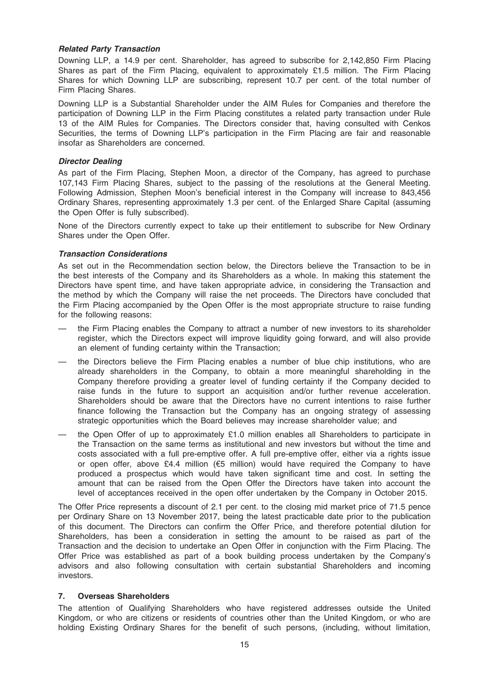# Related Party Transaction

Downing LLP, a 14.9 per cent. Shareholder, has agreed to subscribe for 2,142,850 Firm Placing Shares as part of the Firm Placing, equivalent to approximately £1.5 million. The Firm Placing Shares for which Downing LLP are subscribing, represent 10.7 per cent. of the total number of Firm Placing Shares.

Downing LLP is a Substantial Shareholder under the AIM Rules for Companies and therefore the participation of Downing LLP in the Firm Placing constitutes a related party transaction under Rule 13 of the AIM Rules for Companies. The Directors consider that, having consulted with Cenkos Securities, the terms of Downing LLP's participation in the Firm Placing are fair and reasonable insofar as Shareholders are concerned.

# Director Dealing

As part of the Firm Placing, Stephen Moon, a director of the Company, has agreed to purchase 107,143 Firm Placing Shares, subject to the passing of the resolutions at the General Meeting. Following Admission, Stephen Moon's beneficial interest in the Company will increase to 843,456 Ordinary Shares, representing approximately 1.3 per cent. of the Enlarged Share Capital (assuming the Open Offer is fully subscribed).

None of the Directors currently expect to take up their entitlement to subscribe for New Ordinary Shares under the Open Offer.

# Transaction Considerations

As set out in the Recommendation section below, the Directors believe the Transaction to be in the best interests of the Company and its Shareholders as a whole. In making this statement the Directors have spent time, and have taken appropriate advice, in considering the Transaction and the method by which the Company will raise the net proceeds. The Directors have concluded that the Firm Placing accompanied by the Open Offer is the most appropriate structure to raise funding for the following reasons:

- the Firm Placing enables the Company to attract a number of new investors to its shareholder register, which the Directors expect will improve liquidity going forward, and will also provide an element of funding certainty within the Transaction;
- the Directors believe the Firm Placing enables a number of blue chip institutions, who are already shareholders in the Company, to obtain a more meaningful shareholding in the Company therefore providing a greater level of funding certainty if the Company decided to raise funds in the future to support an acquisition and/or further revenue acceleration. Shareholders should be aware that the Directors have no current intentions to raise further finance following the Transaction but the Company has an ongoing strategy of assessing strategic opportunities which the Board believes may increase shareholder value; and
- the Open Offer of up to approximately £1.0 million enables all Shareholders to participate in the Transaction on the same terms as institutional and new investors but without the time and costs associated with a full pre-emptive offer. A full pre-emptive offer, either via a rights issue or open offer, above £4.4 million ( $\epsilon$ 5 million) would have required the Company to have produced a prospectus which would have taken significant time and cost. In setting the amount that can be raised from the Open Offer the Directors have taken into account the level of acceptances received in the open offer undertaken by the Company in October 2015.

The Offer Price represents a discount of 2.1 per cent. to the closing mid market price of 71.5 pence per Ordinary Share on 13 November 2017, being the latest practicable date prior to the publication of this document. The Directors can confirm the Offer Price, and therefore potential dilution for Shareholders, has been a consideration in setting the amount to be raised as part of the Transaction and the decision to undertake an Open Offer in conjunction with the Firm Placing. The Offer Price was established as part of a book building process undertaken by the Company's advisors and also following consultation with certain substantial Shareholders and incoming investors.

## 7. Overseas Shareholders

The attention of Qualifying Shareholders who have registered addresses outside the United Kingdom, or who are citizens or residents of countries other than the United Kingdom, or who are holding Existing Ordinary Shares for the benefit of such persons, (including, without limitation,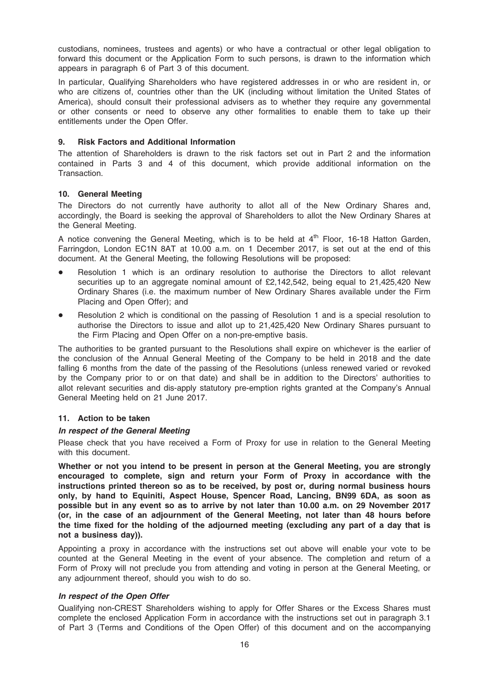custodians, nominees, trustees and agents) or who have a contractual or other legal obligation to forward this document or the Application Form to such persons, is drawn to the information which appears in paragraph 6 of Part 3 of this document.

In particular, Qualifying Shareholders who have registered addresses in or who are resident in, or who are citizens of, countries other than the UK (including without limitation the United States of America), should consult their professional advisers as to whether they require any governmental or other consents or need to observe any other formalities to enable them to take up their entitlements under the Open Offer.

# 9. Risk Factors and Additional Information

The attention of Shareholders is drawn to the risk factors set out in Part 2 and the information contained in Parts 3 and 4 of this document, which provide additional information on the Transaction.

# 10. General Meeting

The Directors do not currently have authority to allot all of the New Ordinary Shares and, accordingly, the Board is seeking the approval of Shareholders to allot the New Ordinary Shares at the General Meeting.

A notice convening the General Meeting, which is to be held at  $4<sup>th</sup>$  Floor, 16-18 Hatton Garden. Farringdon, London EC1N 8AT at 10.00 a.m. on 1 December 2017, is set out at the end of this document. At the General Meeting, the following Resolutions will be proposed:

- Resolution 1 which is an ordinary resolution to authorise the Directors to allot relevant securities up to an aggregate nominal amount of £2,142,542, being equal to 21,425,420 New Ordinary Shares (i.e. the maximum number of New Ordinary Shares available under the Firm Placing and Open Offer); and
- Resolution 2 which is conditional on the passing of Resolution 1 and is a special resolution to authorise the Directors to issue and allot up to 21,425,420 New Ordinary Shares pursuant to the Firm Placing and Open Offer on a non-pre-emptive basis.

The authorities to be granted pursuant to the Resolutions shall expire on whichever is the earlier of the conclusion of the Annual General Meeting of the Company to be held in 2018 and the date falling 6 months from the date of the passing of the Resolutions (unless renewed varied or revoked by the Company prior to or on that date) and shall be in addition to the Directors' authorities to allot relevant securities and dis-apply statutory pre-emption rights granted at the Company's Annual General Meeting held on 21 June 2017.

# 11. Action to be taken

# In respect of the General Meeting

Please check that you have received a Form of Proxy for use in relation to the General Meeting with this document.

Whether or not you intend to be present in person at the General Meeting, you are strongly encouraged to complete, sign and return your Form of Proxy in accordance with the instructions printed thereon so as to be received, by post or, during normal business hours only, by hand to Equiniti, Aspect House, Spencer Road, Lancing, BN99 6DA, as soon as possible but in any event so as to arrive by not later than 10.00 a.m. on 29 November 2017 (or, in the case of an adjournment of the General Meeting, not later than 48 hours before the time fixed for the holding of the adjourned meeting (excluding any part of a day that is not a business day)).

Appointing a proxy in accordance with the instructions set out above will enable your vote to be counted at the General Meeting in the event of your absence. The completion and return of a Form of Proxy will not preclude you from attending and voting in person at the General Meeting, or any adjournment thereof, should you wish to do so.

# In respect of the Open Offer

Qualifying non-CREST Shareholders wishing to apply for Offer Shares or the Excess Shares must complete the enclosed Application Form in accordance with the instructions set out in paragraph 3.1 of Part 3 (Terms and Conditions of the Open Offer) of this document and on the accompanying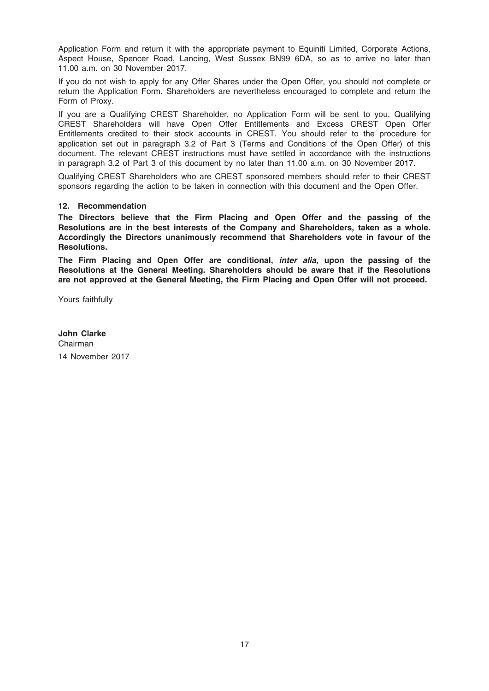Application Form and return it with the appropriate payment to Equiniti Limited, Corporate Actions, Aspect House, Spencer Road, Lancing, West Sussex BN99 6DA, so as to arrive no later than 11.00 a.m. on 30 November 2017.

If you do not wish to apply for any Offer Shares under the Open Offer, you should not complete or return the Application Form. Shareholders are nevertheless encouraged to complete and return the Form of Proxy.

If you are a Qualifying CREST Shareholder, no Application Form will be sent to you. Qualifying CREST Shareholders will have Open Offer Entitlements and Excess CREST Open Offer Entitlements credited to their stock accounts in CREST. You should refer to the procedure for application set out in paragraph 3.2 of Part 3 (Terms and Conditions of the Open Offer) of this document. The relevant CREST instructions must have settled in accordance with the instructions in paragraph 3.2 of Part 3 of this document by no later than 11.00 a.m. on 30 November 2017.

Qualifying CREST Shareholders who are CREST sponsored members should refer to their CREST sponsors regarding the action to be taken in connection with this document and the Open Offer.

## 12. Recommendation

The Directors believe that the Firm Placing and Open Offer and the passing of the Resolutions are in the best interests of the Company and Shareholders, taken as a whole. Accordingly the Directors unanimously recommend that Shareholders vote in favour of the Resolutions.

The Firm Placing and Open Offer are conditional, *inter alia*, upon the passing of the Resolutions at the General Meeting. Shareholders should be aware that if the Resolutions are not approved at the General Meeting, the Firm Placing and Open Offer will not proceed.

Yours faithfully

John Clarke Chairman 14 November 2017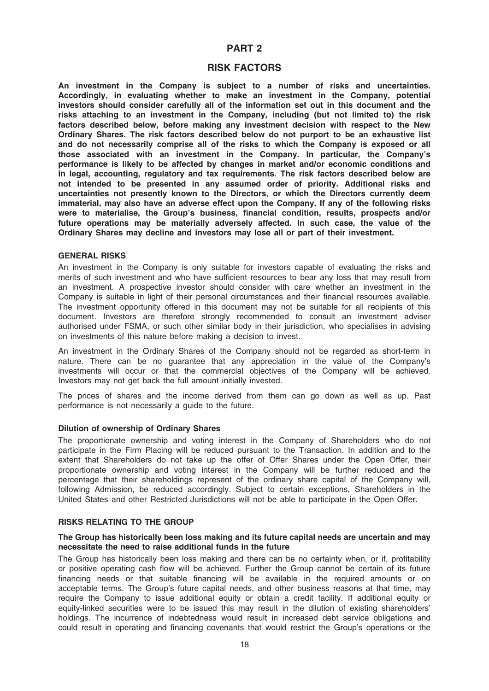# PART 2

# RISK FACTORS

An investment in the Company is subject to a number of risks and uncertainties. Accordingly, in evaluating whether to make an investment in the Company, potential investors should consider carefully all of the information set out in this document and the risks attaching to an investment in the Company, including (but not limited to) the risk factors described below, before making any investment decision with respect to the New Ordinary Shares. The risk factors described below do not purport to be an exhaustive list and do not necessarily comprise all of the risks to which the Company is exposed or all those associated with an investment in the Company. In particular, the Company's performance is likely to be affected by changes in market and/or economic conditions and in legal, accounting, regulatory and tax requirements. The risk factors described below are not intended to be presented in any assumed order of priority. Additional risks and uncertainties not presently known to the Directors, or which the Directors currently deem immaterial, may also have an adverse effect upon the Company. If any of the following risks were to materialise, the Group's business, financial condition, results, prospects and/or future operations may be materially adversely affected. In such case, the value of the Ordinary Shares may decline and investors may lose all or part of their investment.

## GENERAL RISKS

An investment in the Company is only suitable for investors capable of evaluating the risks and merits of such investment and who have sufficient resources to bear any loss that may result from an investment. A prospective investor should consider with care whether an investment in the Company is suitable in light of their personal circumstances and their financial resources available. The investment opportunity offered in this document may not be suitable for all recipients of this document. Investors are therefore strongly recommended to consult an investment adviser authorised under FSMA, or such other similar body in their jurisdiction, who specialises in advising on investments of this nature before making a decision to invest.

An investment in the Ordinary Shares of the Company should not be regarded as short-term in nature. There can be no guarantee that any appreciation in the value of the Company's investments will occur or that the commercial objectives of the Company will be achieved. Investors may not get back the full amount initially invested.

The prices of shares and the income derived from them can go down as well as up. Past performance is not necessarily a guide to the future.

## Dilution of ownership of Ordinary Shares

The proportionate ownership and voting interest in the Company of Shareholders who do not participate in the Firm Placing will be reduced pursuant to the Transaction. In addition and to the extent that Shareholders do not take up the offer of Offer Shares under the Open Offer, their proportionate ownership and voting interest in the Company will be further reduced and the percentage that their shareholdings represent of the ordinary share capital of the Company will, following Admission, be reduced accordingly. Subject to certain exceptions, Shareholders in the United States and other Restricted Jurisdictions will not be able to participate in the Open Offer.

## RISKS RELATING TO THE GROUP

# The Group has historically been loss making and its future capital needs are uncertain and may necessitate the need to raise additional funds in the future

The Group has historically been loss making and there can be no certainty when, or if, profitability or positive operating cash flow will be achieved. Further the Group cannot be certain of its future financing needs or that suitable financing will be available in the required amounts or on acceptable terms. The Group's future capital needs, and other business reasons at that time, may require the Company to issue additional equity or obtain a credit facility. If additional equity or equity-linked securities were to be issued this may result in the dilution of existing shareholders' holdings. The incurrence of indebtedness would result in increased debt service obligations and could result in operating and financing covenants that would restrict the Group's operations or the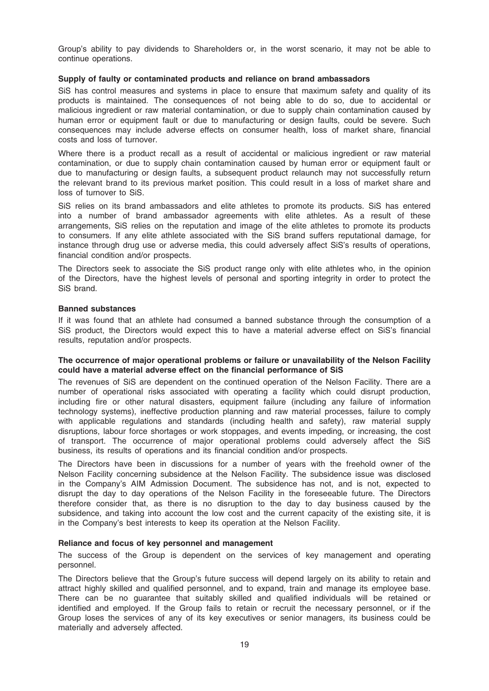Group's ability to pay dividends to Shareholders or, in the worst scenario, it may not be able to continue operations.

# Supply of faulty or contaminated products and reliance on brand ambassadors

SiS has control measures and systems in place to ensure that maximum safety and quality of its products is maintained. The consequences of not being able to do so, due to accidental or malicious ingredient or raw material contamination, or due to supply chain contamination caused by human error or equipment fault or due to manufacturing or design faults, could be severe. Such consequences may include adverse effects on consumer health, loss of market share, financial costs and loss of turnover.

Where there is a product recall as a result of accidental or malicious ingredient or raw material contamination, or due to supply chain contamination caused by human error or equipment fault or due to manufacturing or design faults, a subsequent product relaunch may not successfully return the relevant brand to its previous market position. This could result in a loss of market share and loss of turnover to SiS.

SiS relies on its brand ambassadors and elite athletes to promote its products. SiS has entered into a number of brand ambassador agreements with elite athletes. As a result of these arrangements, SiS relies on the reputation and image of the elite athletes to promote its products to consumers. If any elite athlete associated with the SiS brand suffers reputational damage, for instance through drug use or adverse media, this could adversely affect SiS's results of operations, financial condition and/or prospects.

The Directors seek to associate the SiS product range only with elite athletes who, in the opinion of the Directors, have the highest levels of personal and sporting integrity in order to protect the SiS brand.

## Banned substances

If it was found that an athlete had consumed a banned substance through the consumption of a SiS product, the Directors would expect this to have a material adverse effect on SiS's financial results, reputation and/or prospects.

## The occurrence of major operational problems or failure or unavailability of the Nelson Facility could have a material adverse effect on the financial performance of SiS

The revenues of SiS are dependent on the continued operation of the Nelson Facility. There are a number of operational risks associated with operating a facility which could disrupt production, including fire or other natural disasters, equipment failure (including any failure of information technology systems), ineffective production planning and raw material processes, failure to comply with applicable regulations and standards (including health and safety), raw material supply disruptions, labour force shortages or work stoppages, and events impeding, or increasing, the cost of transport. The occurrence of major operational problems could adversely affect the SiS business, its results of operations and its financial condition and/or prospects.

The Directors have been in discussions for a number of years with the freehold owner of the Nelson Facility concerning subsidence at the Nelson Facility. The subsidence issue was disclosed in the Company's AIM Admission Document. The subsidence has not, and is not, expected to disrupt the day to day operations of the Nelson Facility in the foreseeable future. The Directors therefore consider that, as there is no disruption to the day to day business caused by the subsidence, and taking into account the low cost and the current capacity of the existing site, it is in the Company's best interests to keep its operation at the Nelson Facility.

#### Reliance and focus of key personnel and management

The success of the Group is dependent on the services of key management and operating personnel.

The Directors believe that the Group's future success will depend largely on its ability to retain and attract highly skilled and qualified personnel, and to expand, train and manage its employee base. There can be no guarantee that suitably skilled and qualified individuals will be retained or identified and employed. If the Group fails to retain or recruit the necessary personnel, or if the Group loses the services of any of its key executives or senior managers, its business could be materially and adversely affected.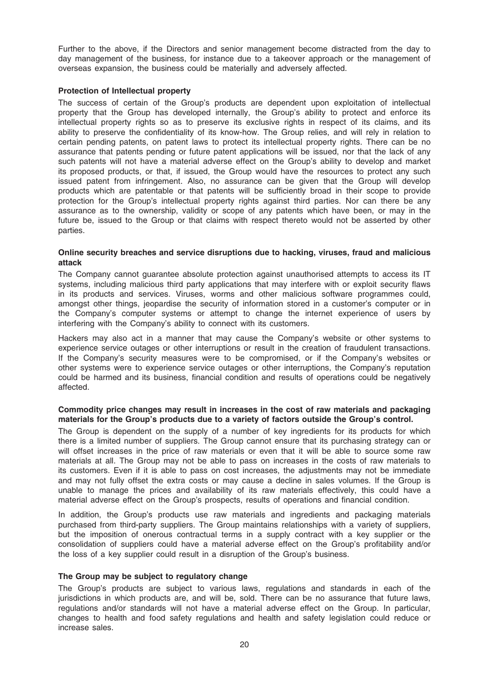Further to the above, if the Directors and senior management become distracted from the day to day management of the business, for instance due to a takeover approach or the management of overseas expansion, the business could be materially and adversely affected.

# Protection of Intellectual property

The success of certain of the Group's products are dependent upon exploitation of intellectual property that the Group has developed internally, the Group's ability to protect and enforce its intellectual property rights so as to preserve its exclusive rights in respect of its claims, and its ability to preserve the confidentiality of its know-how. The Group relies, and will rely in relation to certain pending patents, on patent laws to protect its intellectual property rights. There can be no assurance that patents pending or future patent applications will be issued, nor that the lack of any such patents will not have a material adverse effect on the Group's ability to develop and market its proposed products, or that, if issued, the Group would have the resources to protect any such issued patent from infringement. Also, no assurance can be given that the Group will develop products which are patentable or that patents will be sufficiently broad in their scope to provide protection for the Group's intellectual property rights against third parties. Nor can there be any assurance as to the ownership, validity or scope of any patents which have been, or may in the future be, issued to the Group or that claims with respect thereto would not be asserted by other parties.

## Online security breaches and service disruptions due to hacking, viruses, fraud and malicious attack

The Company cannot guarantee absolute protection against unauthorised attempts to access its IT systems, including malicious third party applications that may interfere with or exploit security flaws in its products and services. Viruses, worms and other malicious software programmes could, amongst other things, jeopardise the security of information stored in a customer's computer or in the Company's computer systems or attempt to change the internet experience of users by interfering with the Company's ability to connect with its customers.

Hackers may also act in a manner that may cause the Company's website or other systems to experience service outages or other interruptions or result in the creation of fraudulent transactions. If the Company's security measures were to be compromised, or if the Company's websites or other systems were to experience service outages or other interruptions, the Company's reputation could be harmed and its business, financial condition and results of operations could be negatively affected.

# Commodity price changes may result in increases in the cost of raw materials and packaging materials for the Group's products due to a variety of factors outside the Group's control.

The Group is dependent on the supply of a number of key ingredients for its products for which there is a limited number of suppliers. The Group cannot ensure that its purchasing strategy can or will offset increases in the price of raw materials or even that it will be able to source some raw materials at all. The Group may not be able to pass on increases in the costs of raw materials to its customers. Even if it is able to pass on cost increases, the adjustments may not be immediate and may not fully offset the extra costs or may cause a decline in sales volumes. If the Group is unable to manage the prices and availability of its raw materials effectively, this could have a material adverse effect on the Group's prospects, results of operations and financial condition.

In addition, the Group's products use raw materials and ingredients and packaging materials purchased from third-party suppliers. The Group maintains relationships with a variety of suppliers, but the imposition of onerous contractual terms in a supply contract with a key supplier or the consolidation of suppliers could have a material adverse effect on the Group's profitability and/or the loss of a key supplier could result in a disruption of the Group's business.

## The Group may be subject to regulatory change

The Group's products are subject to various laws, regulations and standards in each of the jurisdictions in which products are, and will be, sold. There can be no assurance that future laws, regulations and/or standards will not have a material adverse effect on the Group. In particular, changes to health and food safety regulations and health and safety legislation could reduce or increase sales.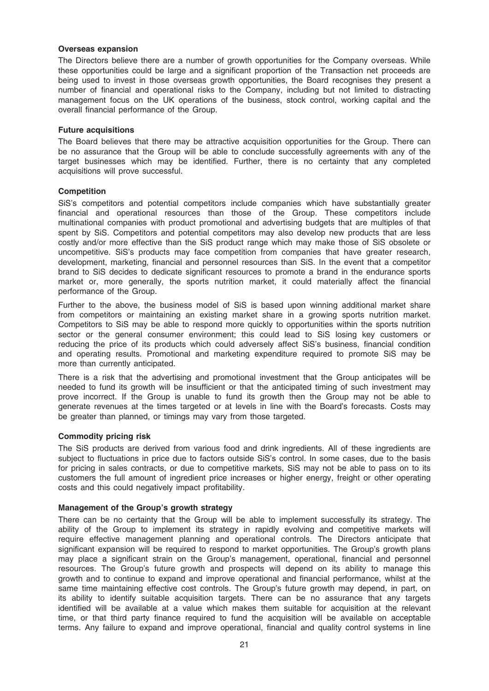# Overseas expansion

The Directors believe there are a number of growth opportunities for the Company overseas. While these opportunities could be large and a significant proportion of the Transaction net proceeds are being used to invest in those overseas growth opportunities, the Board recognises they present a number of financial and operational risks to the Company, including but not limited to distracting management focus on the UK operations of the business, stock control, working capital and the overall financial performance of the Group.

# Future acquisitions

The Board believes that there may be attractive acquisition opportunities for the Group. There can be no assurance that the Group will be able to conclude successfully agreements with any of the target businesses which may be identified. Further, there is no certainty that any completed acquisitions will prove successful.

# **Competition**

SiS's competitors and potential competitors include companies which have substantially greater financial and operational resources than those of the Group. These competitors include multinational companies with product promotional and advertising budgets that are multiples of that spent by SiS. Competitors and potential competitors may also develop new products that are less costly and/or more effective than the SiS product range which may make those of SiS obsolete or uncompetitive. SiS's products may face competition from companies that have greater research, development, marketing, financial and personnel resources than SiS. In the event that a competitor brand to SiS decides to dedicate significant resources to promote a brand in the endurance sports market or, more generally, the sports nutrition market, it could materially affect the financial performance of the Group.

Further to the above, the business model of SiS is based upon winning additional market share from competitors or maintaining an existing market share in a growing sports nutrition market. Competitors to SiS may be able to respond more quickly to opportunities within the sports nutrition sector or the general consumer environment; this could lead to SiS losing key customers or reducing the price of its products which could adversely affect SiS's business, financial condition and operating results. Promotional and marketing expenditure required to promote SiS may be more than currently anticipated.

There is a risk that the advertising and promotional investment that the Group anticipates will be needed to fund its growth will be insufficient or that the anticipated timing of such investment may prove incorrect. If the Group is unable to fund its growth then the Group may not be able to generate revenues at the times targeted or at levels in line with the Board's forecasts. Costs may be greater than planned, or timings may vary from those targeted.

# Commodity pricing risk

The SiS products are derived from various food and drink ingredients. All of these ingredients are subject to fluctuations in price due to factors outside SiS's control. In some cases, due to the basis for pricing in sales contracts, or due to competitive markets, SiS may not be able to pass on to its customers the full amount of ingredient price increases or higher energy, freight or other operating costs and this could negatively impact profitability.

# Management of the Group's growth strategy

There can be no certainty that the Group will be able to implement successfully its strategy. The ability of the Group to implement its strategy in rapidly evolving and competitive markets will require effective management planning and operational controls. The Directors anticipate that significant expansion will be required to respond to market opportunities. The Group's growth plans may place a significant strain on the Group's management, operational, financial and personnel resources. The Group's future growth and prospects will depend on its ability to manage this growth and to continue to expand and improve operational and financial performance, whilst at the same time maintaining effective cost controls. The Group's future growth may depend, in part, on its ability to identify suitable acquisition targets. There can be no assurance that any targets identified will be available at a value which makes them suitable for acquisition at the relevant time, or that third party finance required to fund the acquisition will be available on acceptable terms. Any failure to expand and improve operational, financial and quality control systems in line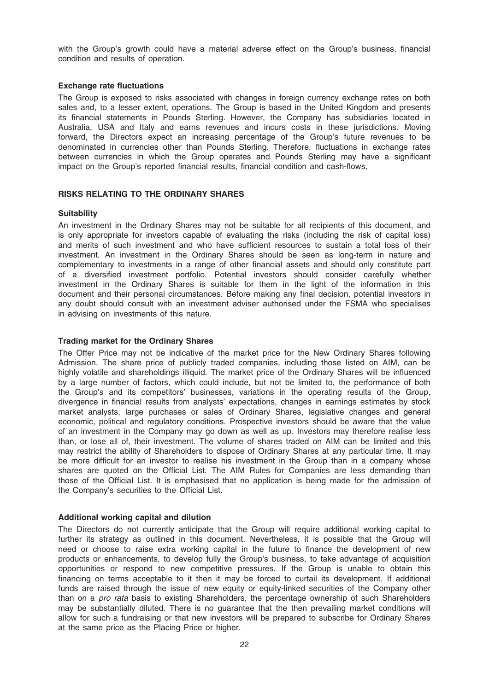with the Group's growth could have a material adverse effect on the Group's business, financial condition and results of operation.

# Exchange rate fluctuations

The Group is exposed to risks associated with changes in foreign currency exchange rates on both sales and, to a lesser extent, operations. The Group is based in the United Kingdom and presents its financial statements in Pounds Sterling. However, the Company has subsidiaries located in Australia, USA and Italy and earns revenues and incurs costs in these jurisdictions. Moving forward, the Directors expect an increasing percentage of the Group's future revenues to be denominated in currencies other than Pounds Sterling. Therefore, fluctuations in exchange rates between currencies in which the Group operates and Pounds Sterling may have a significant impact on the Group's reported financial results, financial condition and cash-flows.

# RISKS RELATING TO THE ORDINARY SHARES

# **Suitability**

An investment in the Ordinary Shares may not be suitable for all recipients of this document, and is only appropriate for investors capable of evaluating the risks (including the risk of capital loss) and merits of such investment and who have sufficient resources to sustain a total loss of their investment. An investment in the Ordinary Shares should be seen as long-term in nature and complementary to investments in a range of other financial assets and should only constitute part of a diversified investment portfolio. Potential investors should consider carefully whether investment in the Ordinary Shares is suitable for them in the light of the information in this document and their personal circumstances. Before making any final decision, potential investors in any doubt should consult with an investment adviser authorised under the FSMA who specialises in advising on investments of this nature.

# Trading market for the Ordinary Shares

The Offer Price may not be indicative of the market price for the New Ordinary Shares following Admission. The share price of publicly traded companies, including those listed on AIM, can be highly volatile and shareholdings illiquid. The market price of the Ordinary Shares will be influenced by a large number of factors, which could include, but not be limited to, the performance of both the Group's and its competitors' businesses, variations in the operating results of the Group, divergence in financial results from analysts' expectations, changes in earnings estimates by stock market analysts, large purchases or sales of Ordinary Shares, legislative changes and general economic, political and regulatory conditions. Prospective investors should be aware that the value of an investment in the Company may go down as well as up. Investors may therefore realise less than, or lose all of, their investment. The volume of shares traded on AIM can be limited and this may restrict the ability of Shareholders to dispose of Ordinary Shares at any particular time. It may be more difficult for an investor to realise his investment in the Group than in a company whose shares are quoted on the Official List. The AIM Rules for Companies are less demanding than those of the Official List. It is emphasised that no application is being made for the admission of the Company's securities to the Official List.

## Additional working capital and dilution

The Directors do not currently anticipate that the Group will require additional working capital to further its strategy as outlined in this document. Nevertheless, it is possible that the Group will need or choose to raise extra working capital in the future to finance the development of new products or enhancements, to develop fully the Group's business, to take advantage of acquisition opportunities or respond to new competitive pressures. If the Group is unable to obtain this financing on terms acceptable to it then it may be forced to curtail its development. If additional funds are raised through the issue of new equity or equity-linked securities of the Company other than on a *pro rata* basis to existing Shareholders, the percentage ownership of such Shareholders may be substantially diluted. There is no guarantee that the then prevailing market conditions will allow for such a fundraising or that new investors will be prepared to subscribe for Ordinary Shares at the same price as the Placing Price or higher.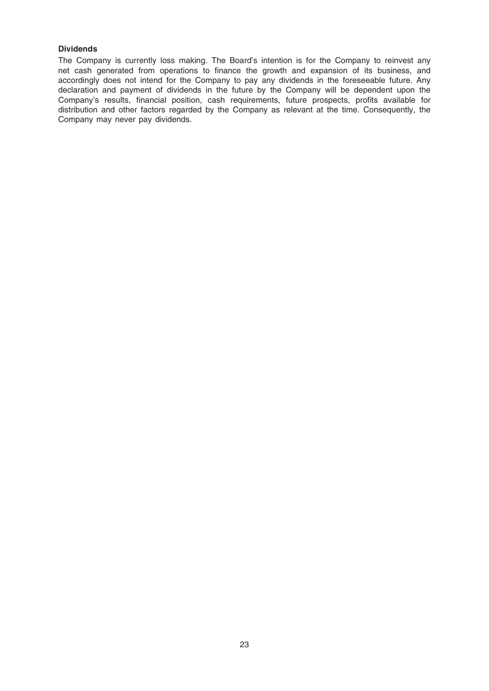# Dividends

The Company is currently loss making. The Board's intention is for the Company to reinvest any net cash generated from operations to finance the growth and expansion of its business, and accordingly does not intend for the Company to pay any dividends in the foreseeable future. Any declaration and payment of dividends in the future by the Company will be dependent upon the Company's results, financial position, cash requirements, future prospects, profits available for distribution and other factors regarded by the Company as relevant at the time. Consequently, the Company may never pay dividends.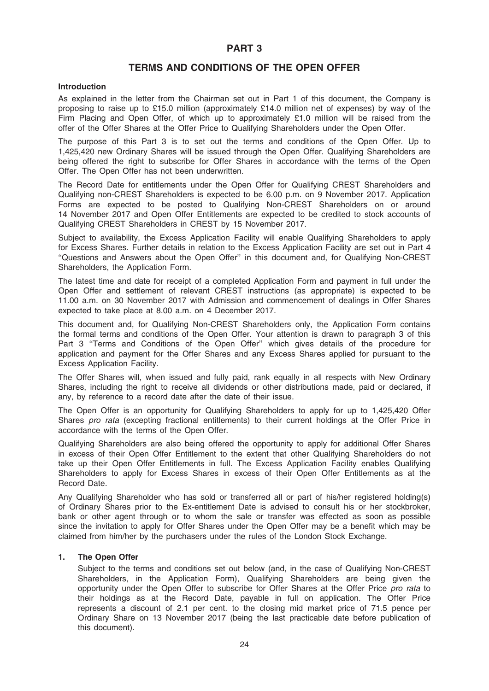# PART 3

# TERMS AND CONDITIONS OF THE OPEN OFFER

# Introduction

As explained in the letter from the Chairman set out in Part 1 of this document, the Company is proposing to raise up to £15.0 million (approximately £14.0 million net of expenses) by way of the Firm Placing and Open Offer, of which up to approximately £1.0 million will be raised from the offer of the Offer Shares at the Offer Price to Qualifying Shareholders under the Open Offer.

The purpose of this Part 3 is to set out the terms and conditions of the Open Offer. Up to 1,425,420 new Ordinary Shares will be issued through the Open Offer. Qualifying Shareholders are being offered the right to subscribe for Offer Shares in accordance with the terms of the Open Offer. The Open Offer has not been underwritten.

The Record Date for entitlements under the Open Offer for Qualifying CREST Shareholders and Qualifying non-CREST Shareholders is expected to be 6.00 p.m. on 9 November 2017. Application Forms are expected to be posted to Qualifying Non-CREST Shareholders on or around 14 November 2017 and Open Offer Entitlements are expected to be credited to stock accounts of Qualifying CREST Shareholders in CREST by 15 November 2017.

Subject to availability, the Excess Application Facility will enable Qualifying Shareholders to apply for Excess Shares. Further details in relation to the Excess Application Facility are set out in Part 4 ''Questions and Answers about the Open Offer'' in this document and, for Qualifying Non-CREST Shareholders, the Application Form.

The latest time and date for receipt of a completed Application Form and payment in full under the Open Offer and settlement of relevant CREST instructions (as appropriate) is expected to be 11.00 a.m. on 30 November 2017 with Admission and commencement of dealings in Offer Shares expected to take place at 8.00 a.m. on 4 December 2017.

This document and, for Qualifying Non-CREST Shareholders only, the Application Form contains the formal terms and conditions of the Open Offer. Your attention is drawn to paragraph 3 of this Part 3 ''Terms and Conditions of the Open Offer'' which gives details of the procedure for application and payment for the Offer Shares and any Excess Shares applied for pursuant to the Excess Application Facility.

The Offer Shares will, when issued and fully paid, rank equally in all respects with New Ordinary Shares, including the right to receive all dividends or other distributions made, paid or declared, if any, by reference to a record date after the date of their issue.

The Open Offer is an opportunity for Qualifying Shareholders to apply for up to 1,425,420 Offer Shares pro rata (excepting fractional entitlements) to their current holdings at the Offer Price in accordance with the terms of the Open Offer.

Qualifying Shareholders are also being offered the opportunity to apply for additional Offer Shares in excess of their Open Offer Entitlement to the extent that other Qualifying Shareholders do not take up their Open Offer Entitlements in full. The Excess Application Facility enables Qualifying Shareholders to apply for Excess Shares in excess of their Open Offer Entitlements as at the Record Date.

Any Qualifying Shareholder who has sold or transferred all or part of his/her registered holding(s) of Ordinary Shares prior to the Ex-entitlement Date is advised to consult his or her stockbroker, bank or other agent through or to whom the sale or transfer was effected as soon as possible since the invitation to apply for Offer Shares under the Open Offer may be a benefit which may be claimed from him/her by the purchasers under the rules of the London Stock Exchange.

## 1. The Open Offer

Subject to the terms and conditions set out below (and, in the case of Qualifying Non-CREST Shareholders, in the Application Form), Qualifying Shareholders are being given the opportunity under the Open Offer to subscribe for Offer Shares at the Offer Price pro rata to their holdings as at the Record Date, payable in full on application. The Offer Price represents a discount of 2.1 per cent. to the closing mid market price of 71.5 pence per Ordinary Share on 13 November 2017 (being the last practicable date before publication of this document).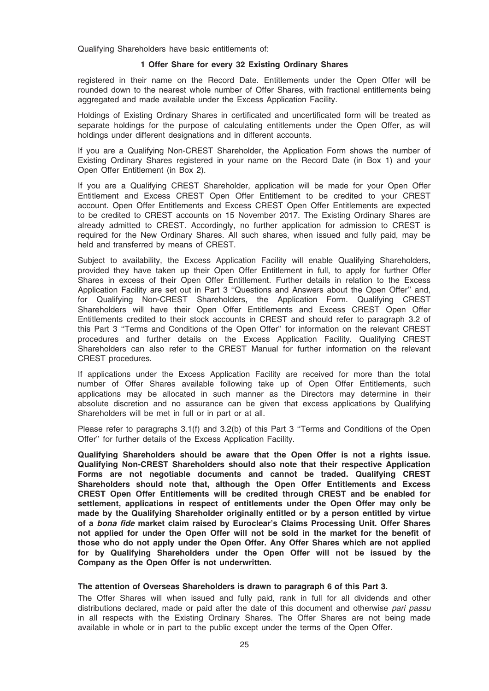Qualifying Shareholders have basic entitlements of:

#### 1 Offer Share for every 32 Existing Ordinary Shares

registered in their name on the Record Date. Entitlements under the Open Offer will be rounded down to the nearest whole number of Offer Shares, with fractional entitlements being aggregated and made available under the Excess Application Facility.

Holdings of Existing Ordinary Shares in certificated and uncertificated form will be treated as separate holdings for the purpose of calculating entitlements under the Open Offer, as will holdings under different designations and in different accounts.

If you are a Qualifying Non-CREST Shareholder, the Application Form shows the number of Existing Ordinary Shares registered in your name on the Record Date (in Box 1) and your Open Offer Entitlement (in Box 2).

If you are a Qualifying CREST Shareholder, application will be made for your Open Offer Entitlement and Excess CREST Open Offer Entitlement to be credited to your CREST account. Open Offer Entitlements and Excess CREST Open Offer Entitlements are expected to be credited to CREST accounts on 15 November 2017. The Existing Ordinary Shares are already admitted to CREST. Accordingly, no further application for admission to CREST is required for the New Ordinary Shares. All such shares, when issued and fully paid, may be held and transferred by means of CREST.

Subject to availability, the Excess Application Facility will enable Qualifying Shareholders, provided they have taken up their Open Offer Entitlement in full, to apply for further Offer Shares in excess of their Open Offer Entitlement. Further details in relation to the Excess Application Facility are set out in Part 3 ''Questions and Answers about the Open Offer'' and, for Qualifying Non-CREST Shareholders, the Application Form. Qualifying CREST Shareholders will have their Open Offer Entitlements and Excess CREST Open Offer Entitlements credited to their stock accounts in CREST and should refer to paragraph 3.2 of this Part 3 ''Terms and Conditions of the Open Offer'' for information on the relevant CREST procedures and further details on the Excess Application Facility. Qualifying CREST Shareholders can also refer to the CREST Manual for further information on the relevant CREST procedures.

If applications under the Excess Application Facility are received for more than the total number of Offer Shares available following take up of Open Offer Entitlements, such applications may be allocated in such manner as the Directors may determine in their absolute discretion and no assurance can be given that excess applications by Qualifying Shareholders will be met in full or in part or at all.

Please refer to paragraphs 3.1(f) and 3.2(b) of this Part 3 ''Terms and Conditions of the Open Offer'' for further details of the Excess Application Facility.

Qualifying Shareholders should be aware that the Open Offer is not a rights issue. Qualifying Non-CREST Shareholders should also note that their respective Application Forms are not negotiable documents and cannot be traded. Qualifying CREST Shareholders should note that, although the Open Offer Entitlements and Excess CREST Open Offer Entitlements will be credited through CREST and be enabled for settlement, applications in respect of entitlements under the Open Offer may only be made by the Qualifying Shareholder originally entitled or by a person entitled by virtue of a bona fide market claim raised by Euroclear's Claims Processing Unit. Offer Shares not applied for under the Open Offer will not be sold in the market for the benefit of those who do not apply under the Open Offer. Any Offer Shares which are not applied for by Qualifying Shareholders under the Open Offer will not be issued by the Company as the Open Offer is not underwritten.

#### The attention of Overseas Shareholders is drawn to paragraph 6 of this Part 3.

The Offer Shares will when issued and fully paid, rank in full for all dividends and other distributions declared, made or paid after the date of this document and otherwise pari passu in all respects with the Existing Ordinary Shares. The Offer Shares are not being made available in whole or in part to the public except under the terms of the Open Offer.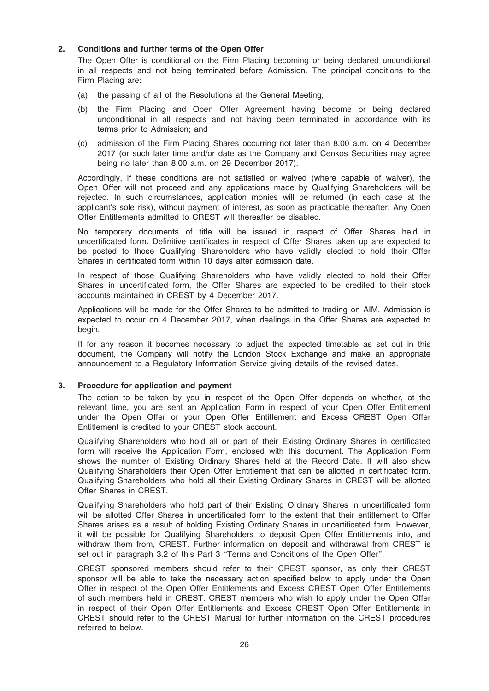# 2. Conditions and further terms of the Open Offer

The Open Offer is conditional on the Firm Placing becoming or being declared unconditional in all respects and not being terminated before Admission. The principal conditions to the Firm Placing are:

- (a) the passing of all of the Resolutions at the General Meeting;
- (b) the Firm Placing and Open Offer Agreement having become or being declared unconditional in all respects and not having been terminated in accordance with its terms prior to Admission; and
- (c) admission of the Firm Placing Shares occurring not later than 8.00 a.m. on 4 December 2017 (or such later time and/or date as the Company and Cenkos Securities may agree being no later than 8.00 a.m. on 29 December 2017).

Accordingly, if these conditions are not satisfied or waived (where capable of waiver), the Open Offer will not proceed and any applications made by Qualifying Shareholders will be rejected. In such circumstances, application monies will be returned (in each case at the applicant's sole risk), without payment of interest, as soon as practicable thereafter. Any Open Offer Entitlements admitted to CREST will thereafter be disabled.

No temporary documents of title will be issued in respect of Offer Shares held in uncertificated form. Definitive certificates in respect of Offer Shares taken up are expected to be posted to those Qualifying Shareholders who have validly elected to hold their Offer Shares in certificated form within 10 days after admission date.

In respect of those Qualifying Shareholders who have validly elected to hold their Offer Shares in uncertificated form, the Offer Shares are expected to be credited to their stock accounts maintained in CREST by 4 December 2017.

Applications will be made for the Offer Shares to be admitted to trading on AIM. Admission is expected to occur on 4 December 2017, when dealings in the Offer Shares are expected to begin.

If for any reason it becomes necessary to adjust the expected timetable as set out in this document, the Company will notify the London Stock Exchange and make an appropriate announcement to a Regulatory Information Service giving details of the revised dates.

# 3. Procedure for application and payment

The action to be taken by you in respect of the Open Offer depends on whether, at the relevant time, you are sent an Application Form in respect of your Open Offer Entitlement under the Open Offer or your Open Offer Entitlement and Excess CREST Open Offer Entitlement is credited to your CREST stock account.

Qualifying Shareholders who hold all or part of their Existing Ordinary Shares in certificated form will receive the Application Form, enclosed with this document. The Application Form shows the number of Existing Ordinary Shares held at the Record Date. It will also show Qualifying Shareholders their Open Offer Entitlement that can be allotted in certificated form. Qualifying Shareholders who hold all their Existing Ordinary Shares in CREST will be allotted Offer Shares in CREST.

Qualifying Shareholders who hold part of their Existing Ordinary Shares in uncertificated form will be allotted Offer Shares in uncertificated form to the extent that their entitlement to Offer Shares arises as a result of holding Existing Ordinary Shares in uncertificated form. However, it will be possible for Qualifying Shareholders to deposit Open Offer Entitlements into, and withdraw them from, CREST. Further information on deposit and withdrawal from CREST is set out in paragraph 3.2 of this Part 3 ''Terms and Conditions of the Open Offer''.

CREST sponsored members should refer to their CREST sponsor, as only their CREST sponsor will be able to take the necessary action specified below to apply under the Open Offer in respect of the Open Offer Entitlements and Excess CREST Open Offer Entitlements of such members held in CREST. CREST members who wish to apply under the Open Offer in respect of their Open Offer Entitlements and Excess CREST Open Offer Entitlements in CREST should refer to the CREST Manual for further information on the CREST procedures referred to below.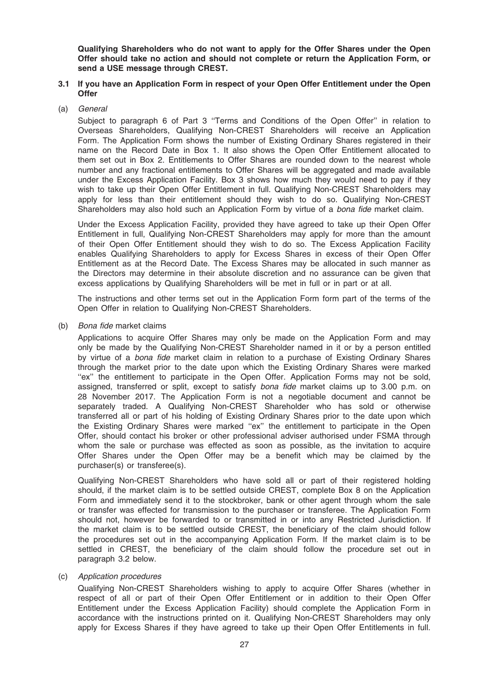Qualifying Shareholders who do not want to apply for the Offer Shares under the Open Offer should take no action and should not complete or return the Application Form, or send a USE message through CREST.

# 3.1 If you have an Application Form in respect of your Open Offer Entitlement under the Open **Offer**

# (a) General

Subject to paragraph 6 of Part 3 "Terms and Conditions of the Open Offer" in relation to Overseas Shareholders, Qualifying Non-CREST Shareholders will receive an Application Form. The Application Form shows the number of Existing Ordinary Shares registered in their name on the Record Date in Box 1. It also shows the Open Offer Entitlement allocated to them set out in Box 2. Entitlements to Offer Shares are rounded down to the nearest whole number and any fractional entitlements to Offer Shares will be aggregated and made available under the Excess Application Facility. Box 3 shows how much they would need to pay if they wish to take up their Open Offer Entitlement in full. Qualifying Non-CREST Shareholders may apply for less than their entitlement should they wish to do so. Qualifying Non-CREST Shareholders may also hold such an Application Form by virtue of a *bona fide* market claim.

Under the Excess Application Facility, provided they have agreed to take up their Open Offer Entitlement in full, Qualifying Non-CREST Shareholders may apply for more than the amount of their Open Offer Entitlement should they wish to do so. The Excess Application Facility enables Qualifying Shareholders to apply for Excess Shares in excess of their Open Offer Entitlement as at the Record Date. The Excess Shares may be allocated in such manner as the Directors may determine in their absolute discretion and no assurance can be given that excess applications by Qualifying Shareholders will be met in full or in part or at all.

The instructions and other terms set out in the Application Form form part of the terms of the Open Offer in relation to Qualifying Non-CREST Shareholders.

(b) Bona fide market claims

Applications to acquire Offer Shares may only be made on the Application Form and may only be made by the Qualifying Non-CREST Shareholder named in it or by a person entitled by virtue of a *bona fide* market claim in relation to a purchase of Existing Ordinary Shares through the market prior to the date upon which the Existing Ordinary Shares were marked "ex" the entitlement to participate in the Open Offer. Application Forms may not be sold, assigned, transferred or split, except to satisfy bona fide market claims up to 3.00 p.m. on 28 November 2017. The Application Form is not a negotiable document and cannot be separately traded. A Qualifying Non-CREST Shareholder who has sold or otherwise transferred all or part of his holding of Existing Ordinary Shares prior to the date upon which the Existing Ordinary Shares were marked ''ex'' the entitlement to participate in the Open Offer, should contact his broker or other professional adviser authorised under FSMA through whom the sale or purchase was effected as soon as possible, as the invitation to acquire Offer Shares under the Open Offer may be a benefit which may be claimed by the purchaser(s) or transferee(s).

Qualifying Non-CREST Shareholders who have sold all or part of their registered holding should, if the market claim is to be settled outside CREST, complete Box 8 on the Application Form and immediately send it to the stockbroker, bank or other agent through whom the sale or transfer was effected for transmission to the purchaser or transferee. The Application Form should not, however be forwarded to or transmitted in or into any Restricted Jurisdiction. If the market claim is to be settled outside CREST, the beneficiary of the claim should follow the procedures set out in the accompanying Application Form. If the market claim is to be settled in CREST, the beneficiary of the claim should follow the procedure set out in paragraph 3.2 below.

## (c) Application procedures

Qualifying Non-CREST Shareholders wishing to apply to acquire Offer Shares (whether in respect of all or part of their Open Offer Entitlement or in addition to their Open Offer Entitlement under the Excess Application Facility) should complete the Application Form in accordance with the instructions printed on it. Qualifying Non-CREST Shareholders may only apply for Excess Shares if they have agreed to take up their Open Offer Entitlements in full.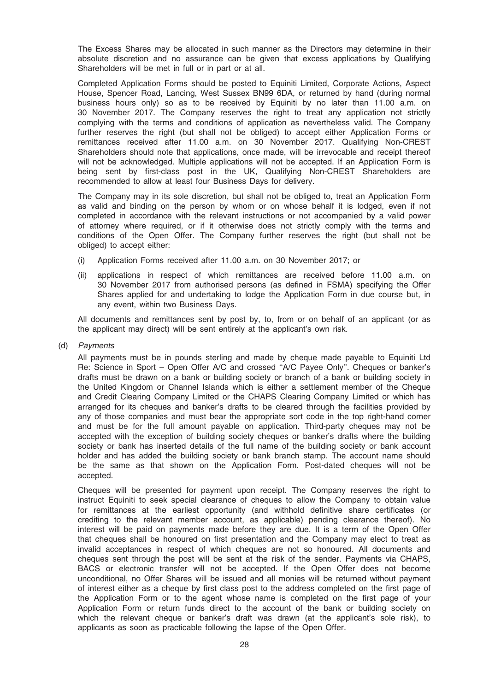The Excess Shares may be allocated in such manner as the Directors may determine in their absolute discretion and no assurance can be given that excess applications by Qualifying Shareholders will be met in full or in part or at all.

Completed Application Forms should be posted to Equiniti Limited, Corporate Actions, Aspect House, Spencer Road, Lancing, West Sussex BN99 6DA, or returned by hand (during normal business hours only) so as to be received by Equiniti by no later than 11.00 a.m. on 30 November 2017. The Company reserves the right to treat any application not strictly complying with the terms and conditions of application as nevertheless valid. The Company further reserves the right (but shall not be obliged) to accept either Application Forms or remittances received after 11.00 a.m. on 30 November 2017. Qualifying Non-CREST Shareholders should note that applications, once made, will be irrevocable and receipt thereof will not be acknowledged. Multiple applications will not be accepted. If an Application Form is being sent by first-class post in the UK, Qualifying Non-CREST Shareholders are recommended to allow at least four Business Days for delivery.

The Company may in its sole discretion, but shall not be obliged to, treat an Application Form as valid and binding on the person by whom or on whose behalf it is lodged, even if not completed in accordance with the relevant instructions or not accompanied by a valid power of attorney where required, or if it otherwise does not strictly comply with the terms and conditions of the Open Offer. The Company further reserves the right (but shall not be obliged) to accept either:

- (i) Application Forms received after 11.00 a.m. on 30 November 2017; or
- (ii) applications in respect of which remittances are received before 11.00 a.m. on 30 November 2017 from authorised persons (as defined in FSMA) specifying the Offer Shares applied for and undertaking to lodge the Application Form in due course but, in any event, within two Business Days.

All documents and remittances sent by post by, to, from or on behalf of an applicant (or as the applicant may direct) will be sent entirely at the applicant's own risk.

(d) Payments

All payments must be in pounds sterling and made by cheque made payable to Equiniti Ltd Re: Science in Sport – Open Offer A/C and crossed ''A/C Payee Only''. Cheques or banker's drafts must be drawn on a bank or building society or branch of a bank or building society in the United Kingdom or Channel Islands which is either a settlement member of the Cheque and Credit Clearing Company Limited or the CHAPS Clearing Company Limited or which has arranged for its cheques and banker's drafts to be cleared through the facilities provided by any of those companies and must bear the appropriate sort code in the top right-hand corner and must be for the full amount payable on application. Third-party cheques may not be accepted with the exception of building society cheques or banker's drafts where the building society or bank has inserted details of the full name of the building society or bank account holder and has added the building society or bank branch stamp. The account name should be the same as that shown on the Application Form. Post-dated cheques will not be accepted.

Cheques will be presented for payment upon receipt. The Company reserves the right to instruct Equiniti to seek special clearance of cheques to allow the Company to obtain value for remittances at the earliest opportunity (and withhold definitive share certificates (or crediting to the relevant member account, as applicable) pending clearance thereof). No interest will be paid on payments made before they are due. It is a term of the Open Offer that cheques shall be honoured on first presentation and the Company may elect to treat as invalid acceptances in respect of which cheques are not so honoured. All documents and cheques sent through the post will be sent at the risk of the sender. Payments via CHAPS, BACS or electronic transfer will not be accepted. If the Open Offer does not become unconditional, no Offer Shares will be issued and all monies will be returned without payment of interest either as a cheque by first class post to the address completed on the first page of the Application Form or to the agent whose name is completed on the first page of your Application Form or return funds direct to the account of the bank or building society on which the relevant cheque or banker's draft was drawn (at the applicant's sole risk), to applicants as soon as practicable following the lapse of the Open Offer.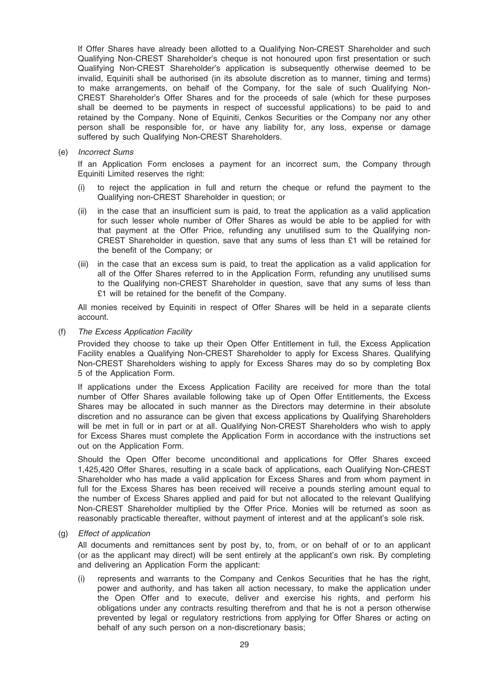If Offer Shares have already been allotted to a Qualifying Non-CREST Shareholder and such Qualifying Non-CREST Shareholder's cheque is not honoured upon first presentation or such Qualifying Non-CREST Shareholder's application is subsequently otherwise deemed to be invalid, Equiniti shall be authorised (in its absolute discretion as to manner, timing and terms) to make arrangements, on behalf of the Company, for the sale of such Qualifying Non-CREST Shareholder's Offer Shares and for the proceeds of sale (which for these purposes shall be deemed to be payments in respect of successful applications) to be paid to and retained by the Company. None of Equiniti, Cenkos Securities or the Company nor any other person shall be responsible for, or have any liability for, any loss, expense or damage suffered by such Qualifying Non-CREST Shareholders.

(e) Incorrect Sums

If an Application Form encloses a payment for an incorrect sum, the Company through Equiniti Limited reserves the right:

- (i) to reject the application in full and return the cheque or refund the payment to the Qualifying non-CREST Shareholder in question; or
- (ii) in the case that an insufficient sum is paid, to treat the application as a valid application for such lesser whole number of Offer Shares as would be able to be applied for with that payment at the Offer Price, refunding any unutilised sum to the Qualifying non-CREST Shareholder in question, save that any sums of less than £1 will be retained for the benefit of the Company; or
- (iii) in the case that an excess sum is paid, to treat the application as a valid application for all of the Offer Shares referred to in the Application Form, refunding any unutilised sums to the Qualifying non-CREST Shareholder in question, save that any sums of less than £1 will be retained for the benefit of the Company.

All monies received by Equiniti in respect of Offer Shares will be held in a separate clients account.

(f) The Excess Application Facility

Provided they choose to take up their Open Offer Entitlement in full, the Excess Application Facility enables a Qualifying Non-CREST Shareholder to apply for Excess Shares. Qualifying Non-CREST Shareholders wishing to apply for Excess Shares may do so by completing Box 5 of the Application Form.

If applications under the Excess Application Facility are received for more than the total number of Offer Shares available following take up of Open Offer Entitlements, the Excess Shares may be allocated in such manner as the Directors may determine in their absolute discretion and no assurance can be given that excess applications by Qualifying Shareholders will be met in full or in part or at all. Qualifying Non-CREST Shareholders who wish to apply for Excess Shares must complete the Application Form in accordance with the instructions set out on the Application Form.

Should the Open Offer become unconditional and applications for Offer Shares exceed 1,425,420 Offer Shares, resulting in a scale back of applications, each Qualifying Non-CREST Shareholder who has made a valid application for Excess Shares and from whom payment in full for the Excess Shares has been received will receive a pounds sterling amount equal to the number of Excess Shares applied and paid for but not allocated to the relevant Qualifying Non-CREST Shareholder multiplied by the Offer Price. Monies will be returned as soon as reasonably practicable thereafter, without payment of interest and at the applicant's sole risk.

(g) Effect of application

All documents and remittances sent by post by, to, from, or on behalf of or to an applicant (or as the applicant may direct) will be sent entirely at the applicant's own risk. By completing and delivering an Application Form the applicant:

(i) represents and warrants to the Company and Cenkos Securities that he has the right, power and authority, and has taken all action necessary, to make the application under the Open Offer and to execute, deliver and exercise his rights, and perform his obligations under any contracts resulting therefrom and that he is not a person otherwise prevented by legal or regulatory restrictions from applying for Offer Shares or acting on behalf of any such person on a non-discretionary basis;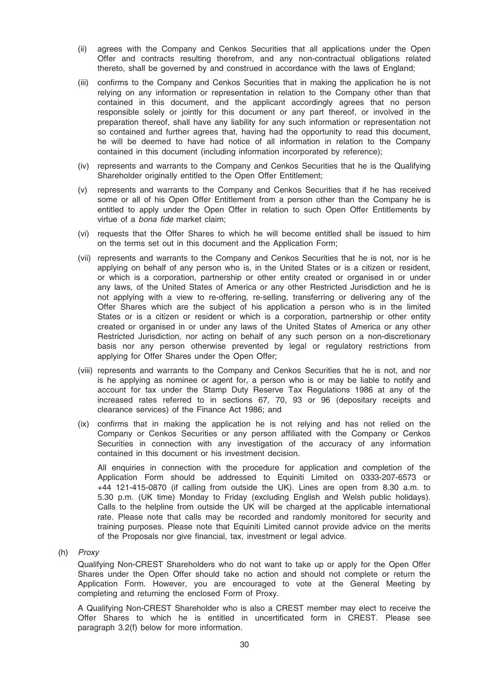- (ii) agrees with the Company and Cenkos Securities that all applications under the Open Offer and contracts resulting therefrom, and any non-contractual obligations related thereto, shall be governed by and construed in accordance with the laws of England;
- (iii) confirms to the Company and Cenkos Securities that in making the application he is not relying on any information or representation in relation to the Company other than that contained in this document, and the applicant accordingly agrees that no person responsible solely or jointly for this document or any part thereof, or involved in the preparation thereof, shall have any liability for any such information or representation not so contained and further agrees that, having had the opportunity to read this document, he will be deemed to have had notice of all information in relation to the Company contained in this document (including information incorporated by reference);
- (iv) represents and warrants to the Company and Cenkos Securities that he is the Qualifying Shareholder originally entitled to the Open Offer Entitlement;
- (v) represents and warrants to the Company and Cenkos Securities that if he has received some or all of his Open Offer Entitlement from a person other than the Company he is entitled to apply under the Open Offer in relation to such Open Offer Entitlements by virtue of a bona fide market claim;
- (vi) requests that the Offer Shares to which he will become entitled shall be issued to him on the terms set out in this document and the Application Form;
- (vii) represents and warrants to the Company and Cenkos Securities that he is not, nor is he applying on behalf of any person who is, in the United States or is a citizen or resident, or which is a corporation, partnership or other entity created or organised in or under any laws, of the United States of America or any other Restricted Jurisdiction and he is not applying with a view to re-offering, re-selling, transferring or delivering any of the Offer Shares which are the subject of his application a person who is in the limited States or is a citizen or resident or which is a corporation, partnership or other entity created or organised in or under any laws of the United States of America or any other Restricted Jurisdiction, nor acting on behalf of any such person on a non-discretionary basis nor any person otherwise prevented by legal or regulatory restrictions from applying for Offer Shares under the Open Offer;
- (viii) represents and warrants to the Company and Cenkos Securities that he is not, and nor is he applying as nominee or agent for, a person who is or may be liable to notify and account for tax under the Stamp Duty Reserve Tax Regulations 1986 at any of the increased rates referred to in sections 67, 70, 93 or 96 (depositary receipts and clearance services) of the Finance Act 1986; and
- (ix) confirms that in making the application he is not relying and has not relied on the Company or Cenkos Securities or any person affiliated with the Company or Cenkos Securities in connection with any investigation of the accuracy of any information contained in this document or his investment decision.

All enquiries in connection with the procedure for application and completion of the Application Form should be addressed to Equiniti Limited on 0333-207-6573 or +44 121-415-0870 (if calling from outside the UK). Lines are open from 8.30 a.m. to 5.30 p.m. (UK time) Monday to Friday (excluding English and Welsh public holidays). Calls to the helpline from outside the UK will be charged at the applicable international rate. Please note that calls may be recorded and randomly monitored for security and training purposes. Please note that Equiniti Limited cannot provide advice on the merits of the Proposals nor give financial, tax, investment or legal advice.

(h) Proxy

Qualifying Non-CREST Shareholders who do not want to take up or apply for the Open Offer Shares under the Open Offer should take no action and should not complete or return the Application Form. However, you are encouraged to vote at the General Meeting by completing and returning the enclosed Form of Proxy.

A Qualifying Non-CREST Shareholder who is also a CREST member may elect to receive the Offer Shares to which he is entitled in uncertificated form in CREST. Please see paragraph 3.2(f) below for more information.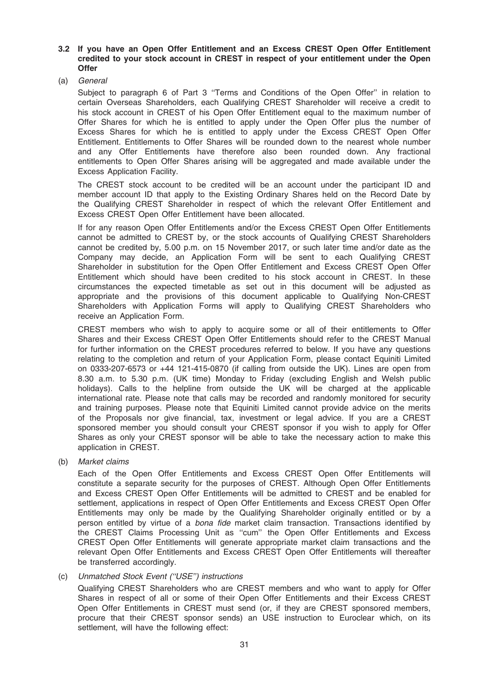# 3.2 If you have an Open Offer Entitlement and an Excess CREST Open Offer Entitlement credited to your stock account in CREST in respect of your entitlement under the Open **Offer**

(a) General

Subject to paragraph 6 of Part 3 "Terms and Conditions of the Open Offer" in relation to certain Overseas Shareholders, each Qualifying CREST Shareholder will receive a credit to his stock account in CREST of his Open Offer Entitlement equal to the maximum number of Offer Shares for which he is entitled to apply under the Open Offer plus the number of Excess Shares for which he is entitled to apply under the Excess CREST Open Offer Entitlement. Entitlements to Offer Shares will be rounded down to the nearest whole number and any Offer Entitlements have therefore also been rounded down. Any fractional entitlements to Open Offer Shares arising will be aggregated and made available under the Excess Application Facility.

The CREST stock account to be credited will be an account under the participant ID and member account ID that apply to the Existing Ordinary Shares held on the Record Date by the Qualifying CREST Shareholder in respect of which the relevant Offer Entitlement and Excess CREST Open Offer Entitlement have been allocated.

If for any reason Open Offer Entitlements and/or the Excess CREST Open Offer Entitlements cannot be admitted to CREST by, or the stock accounts of Qualifying CREST Shareholders cannot be credited by, 5.00 p.m. on 15 November 2017, or such later time and/or date as the Company may decide, an Application Form will be sent to each Qualifying CREST Shareholder in substitution for the Open Offer Entitlement and Excess CREST Open Offer Entitlement which should have been credited to his stock account in CREST. In these circumstances the expected timetable as set out in this document will be adjusted as appropriate and the provisions of this document applicable to Qualifying Non-CREST Shareholders with Application Forms will apply to Qualifying CREST Shareholders who receive an Application Form.

CREST members who wish to apply to acquire some or all of their entitlements to Offer Shares and their Excess CREST Open Offer Entitlements should refer to the CREST Manual for further information on the CREST procedures referred to below. If you have any questions relating to the completion and return of your Application Form, please contact Equiniti Limited on 0333-207-6573 or +44 121-415-0870 (if calling from outside the UK). Lines are open from 8.30 a.m. to 5.30 p.m. (UK time) Monday to Friday (excluding English and Welsh public holidays). Calls to the helpline from outside the UK will be charged at the applicable international rate. Please note that calls may be recorded and randomly monitored for security and training purposes. Please note that Equiniti Limited cannot provide advice on the merits of the Proposals nor give financial, tax, investment or legal advice. If you are a CREST sponsored member you should consult your CREST sponsor if you wish to apply for Offer Shares as only your CREST sponsor will be able to take the necessary action to make this application in CREST.

(b) Market claims

Each of the Open Offer Entitlements and Excess CREST Open Offer Entitlements will constitute a separate security for the purposes of CREST. Although Open Offer Entitlements and Excess CREST Open Offer Entitlements will be admitted to CREST and be enabled for settlement, applications in respect of Open Offer Entitlements and Excess CREST Open Offer Entitlements may only be made by the Qualifying Shareholder originally entitled or by a person entitled by virtue of a *bona fide* market claim transaction. Transactions identified by the CREST Claims Processing Unit as ''cum'' the Open Offer Entitlements and Excess CREST Open Offer Entitlements will generate appropriate market claim transactions and the relevant Open Offer Entitlements and Excess CREST Open Offer Entitlements will thereafter be transferred accordingly.

## (c) Unmatched Stock Event (''USE'') instructions

Qualifying CREST Shareholders who are CREST members and who want to apply for Offer Shares in respect of all or some of their Open Offer Entitlements and their Excess CREST Open Offer Entitlements in CREST must send (or, if they are CREST sponsored members, procure that their CREST sponsor sends) an USE instruction to Euroclear which, on its settlement, will have the following effect: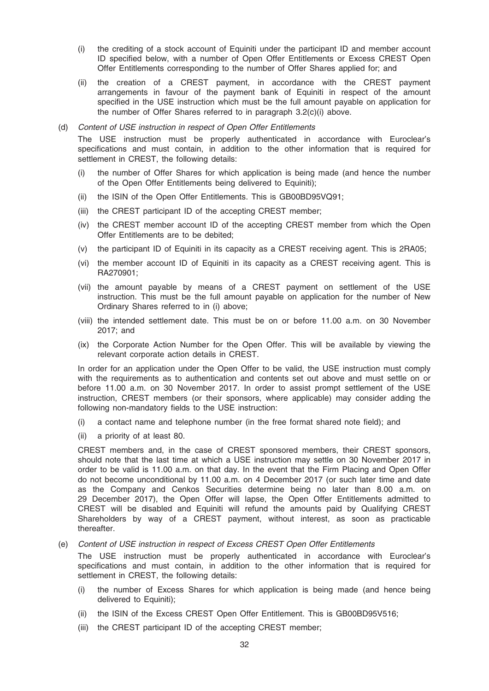- (i) the crediting of a stock account of Equiniti under the participant ID and member account ID specified below, with a number of Open Offer Entitlements or Excess CREST Open Offer Entitlements corresponding to the number of Offer Shares applied for; and
- (ii) the creation of a CREST payment, in accordance with the CREST payment arrangements in favour of the payment bank of Equiniti in respect of the amount specified in the USE instruction which must be the full amount payable on application for the number of Offer Shares referred to in paragraph 3.2(c)(i) above.

(d) Content of USE instruction in respect of Open Offer Entitlements The USE instruction must be properly authenticated in accordance with Euroclear's specifications and must contain, in addition to the other information that is required for settlement in CREST, the following details:

- (i) the number of Offer Shares for which application is being made (and hence the number of the Open Offer Entitlements being delivered to Equiniti);
- (ii) the ISIN of the Open Offer Entitlements. This is GB00BD95VQ91;
- (iii) the CREST participant ID of the accepting CREST member;
- (iv) the CREST member account ID of the accepting CREST member from which the Open Offer Entitlements are to be debited;
- (v) the participant ID of Equiniti in its capacity as a CREST receiving agent. This is 2RA05;
- (vi) the member account ID of Equiniti in its capacity as a CREST receiving agent. This is RA270901;
- (vii) the amount payable by means of a CREST payment on settlement of the USE instruction. This must be the full amount payable on application for the number of New Ordinary Shares referred to in (i) above;
- (viii) the intended settlement date. This must be on or before 11.00 a.m. on 30 November 2017; and
- (ix) the Corporate Action Number for the Open Offer. This will be available by viewing the relevant corporate action details in CREST.

In order for an application under the Open Offer to be valid, the USE instruction must comply with the requirements as to authentication and contents set out above and must settle on or before 11.00 a.m. on 30 November 2017. In order to assist prompt settlement of the USE instruction, CREST members (or their sponsors, where applicable) may consider adding the following non-mandatory fields to the USE instruction:

- (i) a contact name and telephone number (in the free format shared note field); and
- (ii) a priority of at least 80.

CREST members and, in the case of CREST sponsored members, their CREST sponsors, should note that the last time at which a USE instruction may settle on 30 November 2017 in order to be valid is 11.00 a.m. on that day. In the event that the Firm Placing and Open Offer do not become unconditional by 11.00 a.m. on 4 December 2017 (or such later time and date as the Company and Cenkos Securities determine being no later than 8.00 a.m. on 29 December 2017), the Open Offer will lapse, the Open Offer Entitlements admitted to CREST will be disabled and Equiniti will refund the amounts paid by Qualifying CREST Shareholders by way of a CREST payment, without interest, as soon as practicable thereafter.

## (e) Content of USE instruction in respect of Excess CREST Open Offer Entitlements

The USE instruction must be properly authenticated in accordance with Euroclear's specifications and must contain, in addition to the other information that is required for settlement in CREST, the following details:

- (i) the number of Excess Shares for which application is being made (and hence being delivered to Equiniti);
- (ii) the ISIN of the Excess CREST Open Offer Entitlement. This is GB00BD95V516;
- (iii) the CREST participant ID of the accepting CREST member;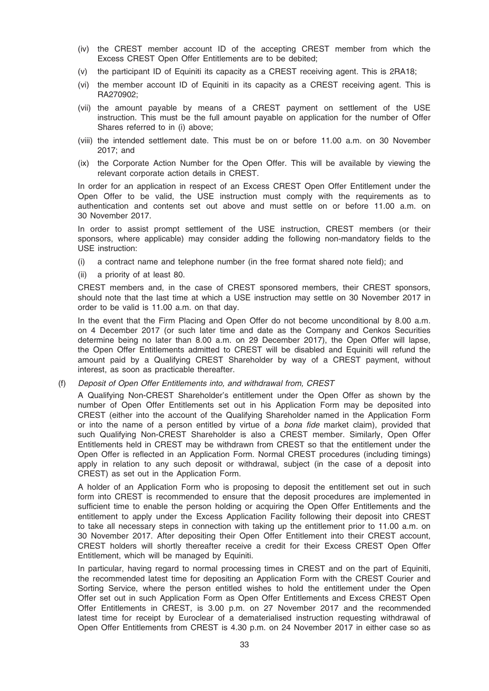- (iv) the CREST member account ID of the accepting CREST member from which the Excess CREST Open Offer Entitlements are to be debited;
- (v) the participant ID of Equiniti its capacity as a CREST receiving agent. This is 2RA18;
- (vi) the member account ID of Equiniti in its capacity as a CREST receiving agent. This is RA270902;
- (vii) the amount payable by means of a CREST payment on settlement of the USE instruction. This must be the full amount payable on application for the number of Offer Shares referred to in (i) above;
- (viii) the intended settlement date. This must be on or before 11.00 a.m. on 30 November 2017; and
- (ix) the Corporate Action Number for the Open Offer. This will be available by viewing the relevant corporate action details in CREST.

In order for an application in respect of an Excess CREST Open Offer Entitlement under the Open Offer to be valid, the USE instruction must comply with the requirements as to authentication and contents set out above and must settle on or before 11.00 a.m. on 30 November 2017.

In order to assist prompt settlement of the USE instruction, CREST members (or their sponsors, where applicable) may consider adding the following non-mandatory fields to the USE instruction:

- (i) a contract name and telephone number (in the free format shared note field); and
- (ii) a priority of at least 80.

CREST members and, in the case of CREST sponsored members, their CREST sponsors, should note that the last time at which a USE instruction may settle on 30 November 2017 in order to be valid is 11.00 a.m. on that day.

In the event that the Firm Placing and Open Offer do not become unconditional by 8.00 a.m. on 4 December 2017 (or such later time and date as the Company and Cenkos Securities determine being no later than 8.00 a.m. on 29 December 2017), the Open Offer will lapse, the Open Offer Entitlements admitted to CREST will be disabled and Equiniti will refund the amount paid by a Qualifying CREST Shareholder by way of a CREST payment, without interest, as soon as practicable thereafter.

(f) Deposit of Open Offer Entitlements into, and withdrawal from, CREST

A Qualifying Non-CREST Shareholder's entitlement under the Open Offer as shown by the number of Open Offer Entitlements set out in his Application Form may be deposited into CREST (either into the account of the Qualifying Shareholder named in the Application Form or into the name of a person entitled by virtue of a bona fide market claim), provided that such Qualifying Non-CREST Shareholder is also a CREST member. Similarly, Open Offer Entitlements held in CREST may be withdrawn from CREST so that the entitlement under the Open Offer is reflected in an Application Form. Normal CREST procedures (including timings) apply in relation to any such deposit or withdrawal, subject (in the case of a deposit into CREST) as set out in the Application Form.

A holder of an Application Form who is proposing to deposit the entitlement set out in such form into CREST is recommended to ensure that the deposit procedures are implemented in sufficient time to enable the person holding or acquiring the Open Offer Entitlements and the entitlement to apply under the Excess Application Facility following their deposit into CREST to take all necessary steps in connection with taking up the entitlement prior to 11.00 a.m. on 30 November 2017. After depositing their Open Offer Entitlement into their CREST account, CREST holders will shortly thereafter receive a credit for their Excess CREST Open Offer Entitlement, which will be managed by Equiniti.

In particular, having regard to normal processing times in CREST and on the part of Equiniti, the recommended latest time for depositing an Application Form with the CREST Courier and Sorting Service, where the person entitled wishes to hold the entitlement under the Open Offer set out in such Application Form as Open Offer Entitlements and Excess CREST Open Offer Entitlements in CREST, is 3.00 p.m. on 27 November 2017 and the recommended latest time for receipt by Euroclear of a dematerialised instruction requesting withdrawal of Open Offer Entitlements from CREST is 4.30 p.m. on 24 November 2017 in either case so as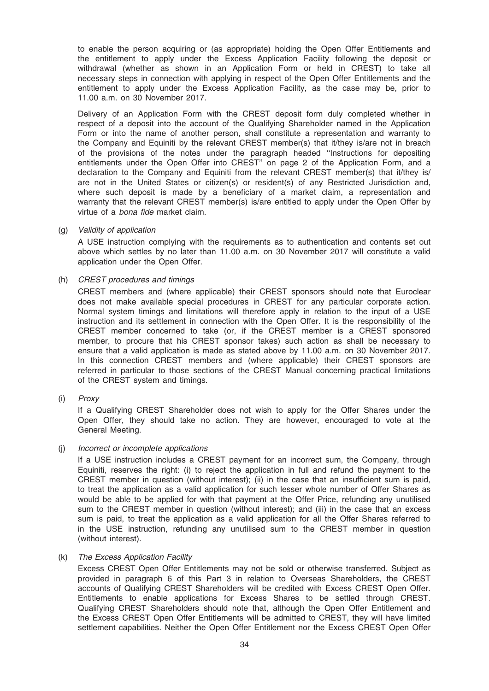to enable the person acquiring or (as appropriate) holding the Open Offer Entitlements and the entitlement to apply under the Excess Application Facility following the deposit or withdrawal (whether as shown in an Application Form or held in CREST) to take all necessary steps in connection with applying in respect of the Open Offer Entitlements and the entitlement to apply under the Excess Application Facility, as the case may be, prior to 11.00 a.m. on 30 November 2017.

Delivery of an Application Form with the CREST deposit form duly completed whether in respect of a deposit into the account of the Qualifying Shareholder named in the Application Form or into the name of another person, shall constitute a representation and warranty to the Company and Equiniti by the relevant CREST member(s) that it/they is/are not in breach of the provisions of the notes under the paragraph headed ''Instructions for depositing entitlements under the Open Offer into CREST" on page 2 of the Application Form, and a declaration to the Company and Equiniti from the relevant CREST member(s) that it/they is/ are not in the United States or citizen(s) or resident(s) of any Restricted Jurisdiction and, where such deposit is made by a beneficiary of a market claim, a representation and warranty that the relevant CREST member(s) is/are entitled to apply under the Open Offer by virtue of a bona fide market claim.

(g) Validity of application

A USE instruction complying with the requirements as to authentication and contents set out above which settles by no later than 11.00 a.m. on 30 November 2017 will constitute a valid application under the Open Offer.

(h) CREST procedures and timings

CREST members and (where applicable) their CREST sponsors should note that Euroclear does not make available special procedures in CREST for any particular corporate action. Normal system timings and limitations will therefore apply in relation to the input of a USE instruction and its settlement in connection with the Open Offer. It is the responsibility of the CREST member concerned to take (or, if the CREST member is a CREST sponsored member, to procure that his CREST sponsor takes) such action as shall be necessary to ensure that a valid application is made as stated above by 11.00 a.m. on 30 November 2017. In this connection CREST members and (where applicable) their CREST sponsors are referred in particular to those sections of the CREST Manual concerning practical limitations of the CREST system and timings.

(i) Proxy

If a Qualifying CREST Shareholder does not wish to apply for the Offer Shares under the Open Offer, they should take no action. They are however, encouraged to vote at the General Meeting.

(j) Incorrect or incomplete applications

If a USE instruction includes a CREST payment for an incorrect sum, the Company, through Equiniti, reserves the right: (i) to reject the application in full and refund the payment to the CREST member in question (without interest); (ii) in the case that an insufficient sum is paid, to treat the application as a valid application for such lesser whole number of Offer Shares as would be able to be applied for with that payment at the Offer Price, refunding any unutilised sum to the CREST member in question (without interest); and (iii) in the case that an excess sum is paid, to treat the application as a valid application for all the Offer Shares referred to in the USE instruction, refunding any unutilised sum to the CREST member in question (without interest).

(k) The Excess Application Facility

Excess CREST Open Offer Entitlements may not be sold or otherwise transferred. Subject as provided in paragraph 6 of this Part 3 in relation to Overseas Shareholders, the CREST accounts of Qualifying CREST Shareholders will be credited with Excess CREST Open Offer. Entitlements to enable applications for Excess Shares to be settled through CREST. Qualifying CREST Shareholders should note that, although the Open Offer Entitlement and the Excess CREST Open Offer Entitlements will be admitted to CREST, they will have limited settlement capabilities. Neither the Open Offer Entitlement nor the Excess CREST Open Offer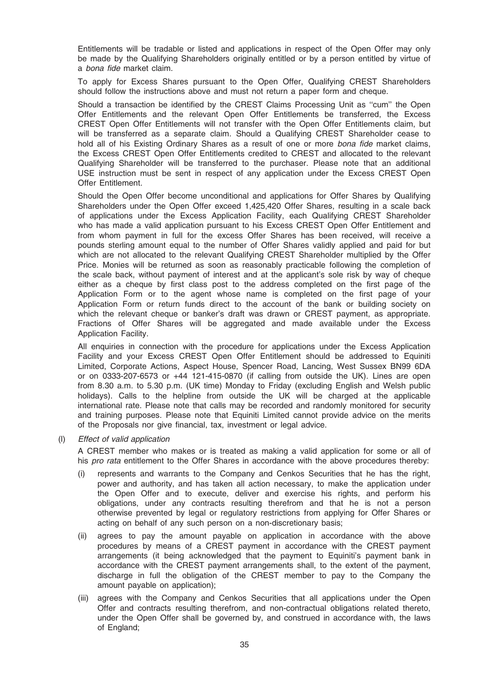Entitlements will be tradable or listed and applications in respect of the Open Offer may only be made by the Qualifying Shareholders originally entitled or by a person entitled by virtue of a bona fide market claim.

To apply for Excess Shares pursuant to the Open Offer, Qualifying CREST Shareholders should follow the instructions above and must not return a paper form and cheque.

Should a transaction be identified by the CREST Claims Processing Unit as ''cum'' the Open Offer Entitlements and the relevant Open Offer Entitlements be transferred, the Excess CREST Open Offer Entitlements will not transfer with the Open Offer Entitlements claim, but will be transferred as a separate claim. Should a Qualifying CREST Shareholder cease to hold all of his Existing Ordinary Shares as a result of one or more bona fide market claims, the Excess CREST Open Offer Entitlements credited to CREST and allocated to the relevant Qualifying Shareholder will be transferred to the purchaser. Please note that an additional USE instruction must be sent in respect of any application under the Excess CREST Open Offer Entitlement.

Should the Open Offer become unconditional and applications for Offer Shares by Qualifying Shareholders under the Open Offer exceed 1,425,420 Offer Shares, resulting in a scale back of applications under the Excess Application Facility, each Qualifying CREST Shareholder who has made a valid application pursuant to his Excess CREST Open Offer Entitlement and from whom payment in full for the excess Offer Shares has been received, will receive a pounds sterling amount equal to the number of Offer Shares validly applied and paid for but which are not allocated to the relevant Qualifying CREST Shareholder multiplied by the Offer Price. Monies will be returned as soon as reasonably practicable following the completion of the scale back, without payment of interest and at the applicant's sole risk by way of cheque either as a cheque by first class post to the address completed on the first page of the Application Form or to the agent whose name is completed on the first page of your Application Form or return funds direct to the account of the bank or building society on which the relevant cheque or banker's draft was drawn or CREST payment, as appropriate. Fractions of Offer Shares will be aggregated and made available under the Excess Application Facility.

All enquiries in connection with the procedure for applications under the Excess Application Facility and your Excess CREST Open Offer Entitlement should be addressed to Equiniti Limited, Corporate Actions, Aspect House, Spencer Road, Lancing, West Sussex BN99 6DA or on 0333-207-6573 or +44 121-415-0870 (if calling from outside the UK). Lines are open from 8.30 a.m. to 5.30 p.m. (UK time) Monday to Friday (excluding English and Welsh public holidays). Calls to the helpline from outside the UK will be charged at the applicable international rate. Please note that calls may be recorded and randomly monitored for security and training purposes. Please note that Equiniti Limited cannot provide advice on the merits of the Proposals nor give financial, tax, investment or legal advice.

(l) Effect of valid application

A CREST member who makes or is treated as making a valid application for some or all of his *pro rata* entitlement to the Offer Shares in accordance with the above procedures thereby:

- (i) represents and warrants to the Company and Cenkos Securities that he has the right, power and authority, and has taken all action necessary, to make the application under the Open Offer and to execute, deliver and exercise his rights, and perform his obligations, under any contracts resulting therefrom and that he is not a person otherwise prevented by legal or regulatory restrictions from applying for Offer Shares or acting on behalf of any such person on a non-discretionary basis;
- (ii) agrees to pay the amount payable on application in accordance with the above procedures by means of a CREST payment in accordance with the CREST payment arrangements (it being acknowledged that the payment to Equiniti's payment bank in accordance with the CREST payment arrangements shall, to the extent of the payment, discharge in full the obligation of the CREST member to pay to the Company the amount payable on application);
- (iii) agrees with the Company and Cenkos Securities that all applications under the Open Offer and contracts resulting therefrom, and non-contractual obligations related thereto, under the Open Offer shall be governed by, and construed in accordance with, the laws of England;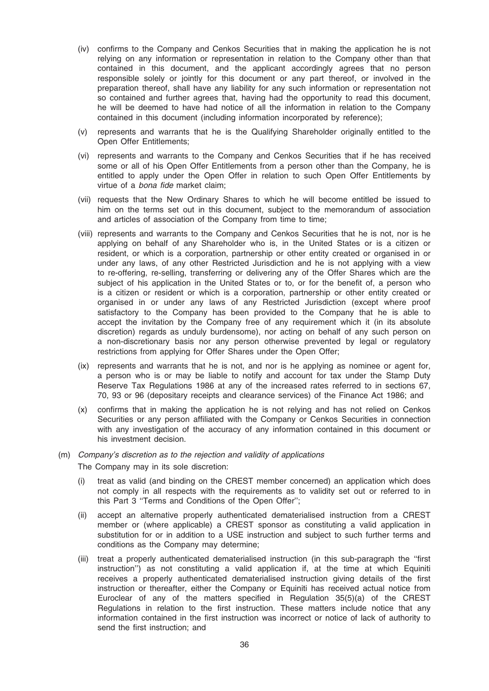- (iv) confirms to the Company and Cenkos Securities that in making the application he is not relying on any information or representation in relation to the Company other than that contained in this document, and the applicant accordingly agrees that no person responsible solely or jointly for this document or any part thereof, or involved in the preparation thereof, shall have any liability for any such information or representation not so contained and further agrees that, having had the opportunity to read this document, he will be deemed to have had notice of all the information in relation to the Company contained in this document (including information incorporated by reference);
- (v) represents and warrants that he is the Qualifying Shareholder originally entitled to the Open Offer Entitlements;
- (vi) represents and warrants to the Company and Cenkos Securities that if he has received some or all of his Open Offer Entitlements from a person other than the Company, he is entitled to apply under the Open Offer in relation to such Open Offer Entitlements by virtue of a bona fide market claim;
- (vii) requests that the New Ordinary Shares to which he will become entitled be issued to him on the terms set out in this document, subject to the memorandum of association and articles of association of the Company from time to time;
- (viii) represents and warrants to the Company and Cenkos Securities that he is not, nor is he applying on behalf of any Shareholder who is, in the United States or is a citizen or resident, or which is a corporation, partnership or other entity created or organised in or under any laws, of any other Restricted Jurisdiction and he is not applying with a view to re-offering, re-selling, transferring or delivering any of the Offer Shares which are the subject of his application in the United States or to, or for the benefit of, a person who is a citizen or resident or which is a corporation, partnership or other entity created or organised in or under any laws of any Restricted Jurisdiction (except where proof satisfactory to the Company has been provided to the Company that he is able to accept the invitation by the Company free of any requirement which it (in its absolute discretion) regards as unduly burdensome), nor acting on behalf of any such person on a non-discretionary basis nor any person otherwise prevented by legal or regulatory restrictions from applying for Offer Shares under the Open Offer;
- (ix) represents and warrants that he is not, and nor is he applying as nominee or agent for, a person who is or may be liable to notify and account for tax under the Stamp Duty Reserve Tax Regulations 1986 at any of the increased rates referred to in sections 67, 70, 93 or 96 (depositary receipts and clearance services) of the Finance Act 1986; and
- (x) confirms that in making the application he is not relying and has not relied on Cenkos Securities or any person affiliated with the Company or Cenkos Securities in connection with any investigation of the accuracy of any information contained in this document or his investment decision.

# (m) Company's discretion as to the rejection and validity of applications The Company may in its sole discretion:

- (i) treat as valid (and binding on the CREST member concerned) an application which does not comply in all respects with the requirements as to validity set out or referred to in this Part 3 ''Terms and Conditions of the Open Offer'';
- (ii) accept an alternative properly authenticated dematerialised instruction from a CREST member or (where applicable) a CREST sponsor as constituting a valid application in substitution for or in addition to a USE instruction and subject to such further terms and conditions as the Company may determine;
- (iii) treat a properly authenticated dematerialised instruction (in this sub-paragraph the ''first instruction'') as not constituting a valid application if, at the time at which Equiniti receives a properly authenticated dematerialised instruction giving details of the first instruction or thereafter, either the Company or Equiniti has received actual notice from Euroclear of any of the matters specified in Regulation 35(5)(a) of the CREST Regulations in relation to the first instruction. These matters include notice that any information contained in the first instruction was incorrect or notice of lack of authority to send the first instruction; and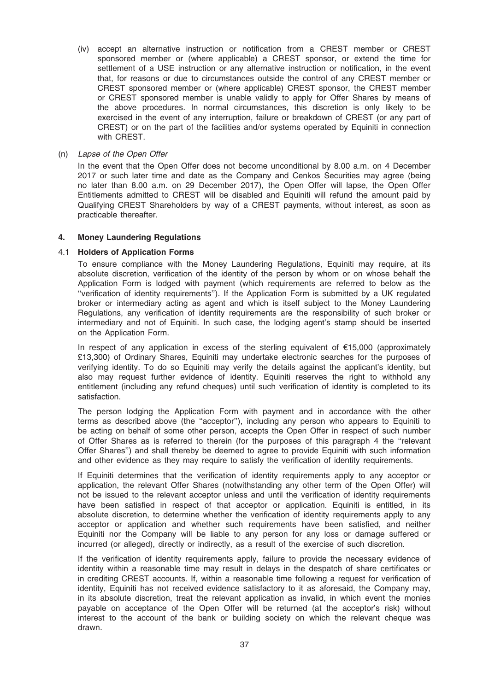(iv) accept an alternative instruction or notification from a CREST member or CREST sponsored member or (where applicable) a CREST sponsor, or extend the time for settlement of a USE instruction or any alternative instruction or notification, in the event that, for reasons or due to circumstances outside the control of any CREST member or CREST sponsored member or (where applicable) CREST sponsor, the CREST member or CREST sponsored member is unable validly to apply for Offer Shares by means of the above procedures. In normal circumstances, this discretion is only likely to be exercised in the event of any interruption, failure or breakdown of CREST (or any part of CREST) or on the part of the facilities and/or systems operated by Equiniti in connection with CREST.

(n) Lapse of the Open Offer

In the event that the Open Offer does not become unconditional by 8.00 a.m. on 4 December 2017 or such later time and date as the Company and Cenkos Securities may agree (being no later than 8.00 a.m. on 29 December 2017), the Open Offer will lapse, the Open Offer Entitlements admitted to CREST will be disabled and Equiniti will refund the amount paid by Qualifying CREST Shareholders by way of a CREST payments, without interest, as soon as practicable thereafter.

# 4. Money Laundering Regulations

## 4.1 Holders of Application Forms

To ensure compliance with the Money Laundering Regulations, Equiniti may require, at its absolute discretion, verification of the identity of the person by whom or on whose behalf the Application Form is lodged with payment (which requirements are referred to below as the ''verification of identity requirements''). If the Application Form is submitted by a UK regulated broker or intermediary acting as agent and which is itself subject to the Money Laundering Regulations, any verification of identity requirements are the responsibility of such broker or intermediary and not of Equiniti. In such case, the lodging agent's stamp should be inserted on the Application Form.

In respect of any application in excess of the sterling equivalent of  $E15,000$  (approximately £13,300) of Ordinary Shares, Equiniti may undertake electronic searches for the purposes of verifying identity. To do so Equiniti may verify the details against the applicant's identity, but also may request further evidence of identity. Equiniti reserves the right to withhold any entitlement (including any refund cheques) until such verification of identity is completed to its satisfaction.

The person lodging the Application Form with payment and in accordance with the other terms as described above (the ''acceptor''), including any person who appears to Equiniti to be acting on behalf of some other person, accepts the Open Offer in respect of such number of Offer Shares as is referred to therein (for the purposes of this paragraph 4 the ''relevant Offer Shares'') and shall thereby be deemed to agree to provide Equiniti with such information and other evidence as they may require to satisfy the verification of identity requirements.

If Equiniti determines that the verification of identity requirements apply to any acceptor or application, the relevant Offer Shares (notwithstanding any other term of the Open Offer) will not be issued to the relevant acceptor unless and until the verification of identity requirements have been satisfied in respect of that acceptor or application. Equiniti is entitled, in its absolute discretion, to determine whether the verification of identity requirements apply to any acceptor or application and whether such requirements have been satisfied, and neither Equiniti nor the Company will be liable to any person for any loss or damage suffered or incurred (or alleged), directly or indirectly, as a result of the exercise of such discretion.

If the verification of identity requirements apply, failure to provide the necessary evidence of identity within a reasonable time may result in delays in the despatch of share certificates or in crediting CREST accounts. If, within a reasonable time following a request for verification of identity, Equiniti has not received evidence satisfactory to it as aforesaid, the Company may, in its absolute discretion, treat the relevant application as invalid, in which event the monies payable on acceptance of the Open Offer will be returned (at the acceptor's risk) without interest to the account of the bank or building society on which the relevant cheque was drawn.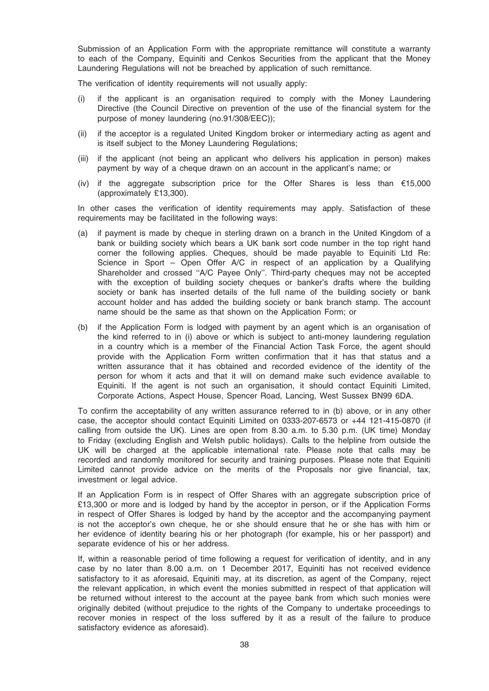Submission of an Application Form with the appropriate remittance will constitute a warranty to each of the Company, Equiniti and Cenkos Securities from the applicant that the Money Laundering Regulations will not be breached by application of such remittance.

The verification of identity requirements will not usually apply:

- (i) if the applicant is an organisation required to comply with the Money Laundering Directive (the Council Directive on prevention of the use of the financial system for the purpose of money laundering (no.91/308/EEC));
- (ii) if the acceptor is a regulated United Kingdom broker or intermediary acting as agent and is itself subject to the Money Laundering Regulations;
- (iii) if the applicant (not being an applicant who delivers his application in person) makes payment by way of a cheque drawn on an account in the applicant's name; or
- (iv) if the aggregate subscription price for the Offer Shares is less than  $£15,000$ (approximately £13,300).

In other cases the verification of identity requirements may apply. Satisfaction of these requirements may be facilitated in the following ways:

- (a) if payment is made by cheque in sterling drawn on a branch in the United Kingdom of a bank or building society which bears a UK bank sort code number in the top right hand corner the following applies. Cheques, should be made payable to Equiniti Ltd Re: Science in Sport – Open Offer A/C in respect of an application by a Qualifying Shareholder and crossed ''A/C Payee Only''. Third-party cheques may not be accepted with the exception of building society cheques or banker's drafts where the building society or bank has inserted details of the full name of the building society or bank account holder and has added the building society or bank branch stamp. The account name should be the same as that shown on the Application Form; or
- (b) if the Application Form is lodged with payment by an agent which is an organisation of the kind referred to in (i) above or which is subject to anti-money laundering regulation in a country which is a member of the Financial Action Task Force, the agent should provide with the Application Form written confirmation that it has that status and a written assurance that it has obtained and recorded evidence of the identity of the person for whom it acts and that it will on demand make such evidence available to Equiniti. If the agent is not such an organisation, it should contact Equiniti Limited, Corporate Actions, Aspect House, Spencer Road, Lancing, West Sussex BN99 6DA.

To confirm the acceptability of any written assurance referred to in (b) above, or in any other case, the acceptor should contact Equiniti Limited on 0333-207-6573 or +44 121-415-0870 (if calling from outside the UK). Lines are open from 8.30 a.m. to 5.30 p.m. (UK time) Monday to Friday (excluding English and Welsh public holidays). Calls to the helpline from outside the UK will be charged at the applicable international rate. Please note that calls may be recorded and randomly monitored for security and training purposes. Please note that Equiniti Limited cannot provide advice on the merits of the Proposals nor give financial, tax, investment or legal advice.

If an Application Form is in respect of Offer Shares with an aggregate subscription price of £13,300 or more and is lodged by hand by the acceptor in person, or if the Application Forms in respect of Offer Shares is lodged by hand by the acceptor and the accompanying payment is not the acceptor's own cheque, he or she should ensure that he or she has with him or her evidence of identity bearing his or her photograph (for example, his or her passport) and separate evidence of his or her address.

If, within a reasonable period of time following a request for verification of identity, and in any case by no later than 8.00 a.m. on 1 December 2017, Equiniti has not received evidence satisfactory to it as aforesaid, Equiniti may, at its discretion, as agent of the Company, reject the relevant application, in which event the monies submitted in respect of that application will be returned without interest to the account at the payee bank from which such monies were originally debited (without prejudice to the rights of the Company to undertake proceedings to recover monies in respect of the loss suffered by it as a result of the failure to produce satisfactory evidence as aforesaid).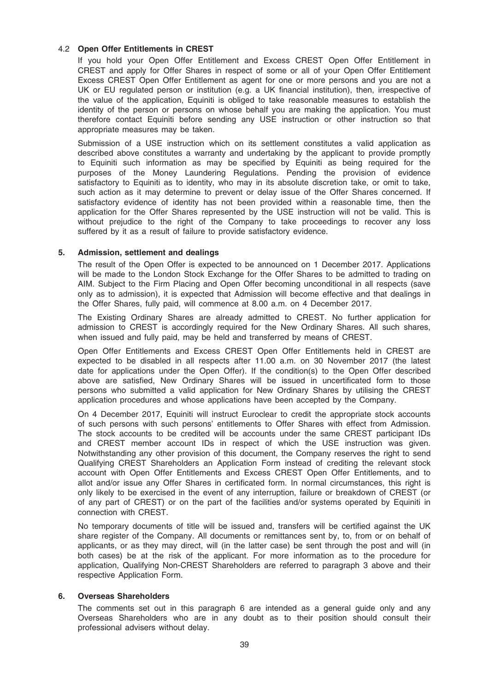# 4.2 Open Offer Entitlements in CREST

If you hold your Open Offer Entitlement and Excess CREST Open Offer Entitlement in CREST and apply for Offer Shares in respect of some or all of your Open Offer Entitlement Excess CREST Open Offer Entitlement as agent for one or more persons and you are not a UK or EU regulated person or institution (e.g. a UK financial institution), then, irrespective of the value of the application, Equiniti is obliged to take reasonable measures to establish the identity of the person or persons on whose behalf you are making the application. You must therefore contact Equiniti before sending any USE instruction or other instruction so that appropriate measures may be taken.

Submission of a USE instruction which on its settlement constitutes a valid application as described above constitutes a warranty and undertaking by the applicant to provide promptly to Equiniti such information as may be specified by Equiniti as being required for the purposes of the Money Laundering Regulations. Pending the provision of evidence satisfactory to Equiniti as to identity, who may in its absolute discretion take, or omit to take, such action as it may determine to prevent or delay issue of the Offer Shares concerned. If satisfactory evidence of identity has not been provided within a reasonable time, then the application for the Offer Shares represented by the USE instruction will not be valid. This is without prejudice to the right of the Company to take proceedings to recover any loss suffered by it as a result of failure to provide satisfactory evidence.

# 5. Admission, settlement and dealings

The result of the Open Offer is expected to be announced on 1 December 2017. Applications will be made to the London Stock Exchange for the Offer Shares to be admitted to trading on AIM. Subject to the Firm Placing and Open Offer becoming unconditional in all respects (save only as to admission), it is expected that Admission will become effective and that dealings in the Offer Shares, fully paid, will commence at 8.00 a.m. on 4 December 2017.

The Existing Ordinary Shares are already admitted to CREST. No further application for admission to CREST is accordingly required for the New Ordinary Shares. All such shares, when issued and fully paid, may be held and transferred by means of CREST.

Open Offer Entitlements and Excess CREST Open Offer Entitlements held in CREST are expected to be disabled in all respects after 11.00 a.m. on 30 November 2017 (the latest date for applications under the Open Offer). If the condition(s) to the Open Offer described above are satisfied, New Ordinary Shares will be issued in uncertificated form to those persons who submitted a valid application for New Ordinary Shares by utilising the CREST application procedures and whose applications have been accepted by the Company.

On 4 December 2017, Equiniti will instruct Euroclear to credit the appropriate stock accounts of such persons with such persons' entitlements to Offer Shares with effect from Admission. The stock accounts to be credited will be accounts under the same CREST participant IDs and CREST member account IDs in respect of which the USE instruction was given. Notwithstanding any other provision of this document, the Company reserves the right to send Qualifying CREST Shareholders an Application Form instead of crediting the relevant stock account with Open Offer Entitlements and Excess CREST Open Offer Entitlements, and to allot and/or issue any Offer Shares in certificated form. In normal circumstances, this right is only likely to be exercised in the event of any interruption, failure or breakdown of CREST (or of any part of CREST) or on the part of the facilities and/or systems operated by Equiniti in connection with CREST.

No temporary documents of title will be issued and, transfers will be certified against the UK share register of the Company. All documents or remittances sent by, to, from or on behalf of applicants, or as they may direct, will (in the latter case) be sent through the post and will (in both cases) be at the risk of the applicant. For more information as to the procedure for application, Qualifying Non-CREST Shareholders are referred to paragraph 3 above and their respective Application Form.

## 6. Overseas Shareholders

The comments set out in this paragraph 6 are intended as a general guide only and any Overseas Shareholders who are in any doubt as to their position should consult their professional advisers without delay.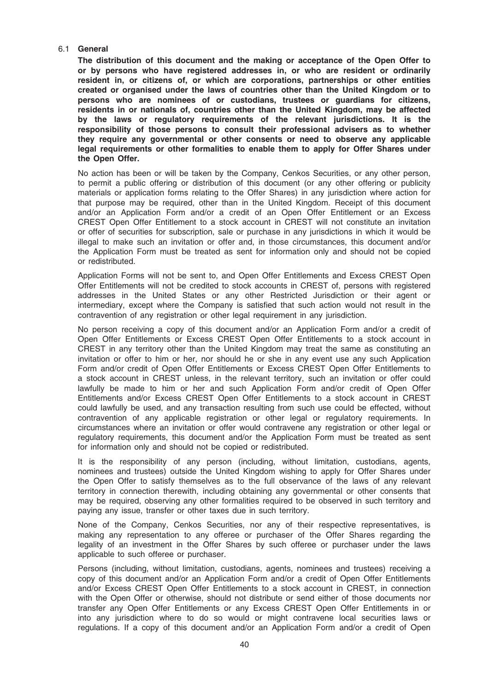# 6.1 General

The distribution of this document and the making or acceptance of the Open Offer to or by persons who have registered addresses in, or who are resident or ordinarily resident in, or citizens of, or which are corporations, partnerships or other entities created or organised under the laws of countries other than the United Kingdom or to persons who are nominees of or custodians, trustees or guardians for citizens, residents in or nationals of, countries other than the United Kingdom, may be affected by the laws or regulatory requirements of the relevant jurisdictions. It is the responsibility of those persons to consult their professional advisers as to whether they require any governmental or other consents or need to observe any applicable legal requirements or other formalities to enable them to apply for Offer Shares under the Open Offer.

No action has been or will be taken by the Company, Cenkos Securities, or any other person, to permit a public offering or distribution of this document (or any other offering or publicity materials or application forms relating to the Offer Shares) in any jurisdiction where action for that purpose may be required, other than in the United Kingdom. Receipt of this document and/or an Application Form and/or a credit of an Open Offer Entitlement or an Excess CREST Open Offer Entitlement to a stock account in CREST will not constitute an invitation or offer of securities for subscription, sale or purchase in any jurisdictions in which it would be illegal to make such an invitation or offer and, in those circumstances, this document and/or the Application Form must be treated as sent for information only and should not be copied or redistributed.

Application Forms will not be sent to, and Open Offer Entitlements and Excess CREST Open Offer Entitlements will not be credited to stock accounts in CREST of, persons with registered addresses in the United States or any other Restricted Jurisdiction or their agent or intermediary, except where the Company is satisfied that such action would not result in the contravention of any registration or other legal requirement in any jurisdiction.

No person receiving a copy of this document and/or an Application Form and/or a credit of Open Offer Entitlements or Excess CREST Open Offer Entitlements to a stock account in CREST in any territory other than the United Kingdom may treat the same as constituting an invitation or offer to him or her, nor should he or she in any event use any such Application Form and/or credit of Open Offer Entitlements or Excess CREST Open Offer Entitlements to a stock account in CREST unless, in the relevant territory, such an invitation or offer could lawfully be made to him or her and such Application Form and/or credit of Open Offer Entitlements and/or Excess CREST Open Offer Entitlements to a stock account in CREST could lawfully be used, and any transaction resulting from such use could be effected, without contravention of any applicable registration or other legal or regulatory requirements. In circumstances where an invitation or offer would contravene any registration or other legal or regulatory requirements, this document and/or the Application Form must be treated as sent for information only and should not be copied or redistributed.

It is the responsibility of any person (including, without limitation, custodians, agents, nominees and trustees) outside the United Kingdom wishing to apply for Offer Shares under the Open Offer to satisfy themselves as to the full observance of the laws of any relevant territory in connection therewith, including obtaining any governmental or other consents that may be required, observing any other formalities required to be observed in such territory and paying any issue, transfer or other taxes due in such territory.

None of the Company, Cenkos Securities, nor any of their respective representatives, is making any representation to any offeree or purchaser of the Offer Shares regarding the legality of an investment in the Offer Shares by such offeree or purchaser under the laws applicable to such offeree or purchaser.

Persons (including, without limitation, custodians, agents, nominees and trustees) receiving a copy of this document and/or an Application Form and/or a credit of Open Offer Entitlements and/or Excess CREST Open Offer Entitlements to a stock account in CREST, in connection with the Open Offer or otherwise, should not distribute or send either of those documents nor transfer any Open Offer Entitlements or any Excess CREST Open Offer Entitlements in or into any jurisdiction where to do so would or might contravene local securities laws or regulations. If a copy of this document and/or an Application Form and/or a credit of Open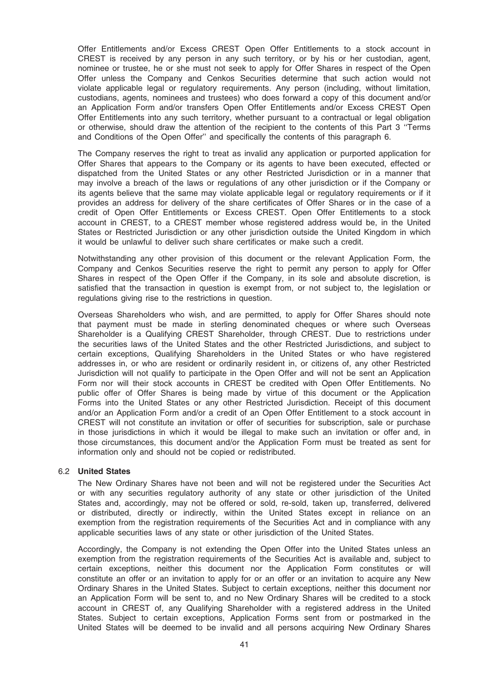Offer Entitlements and/or Excess CREST Open Offer Entitlements to a stock account in CREST is received by any person in any such territory, or by his or her custodian, agent, nominee or trustee, he or she must not seek to apply for Offer Shares in respect of the Open Offer unless the Company and Cenkos Securities determine that such action would not violate applicable legal or regulatory requirements. Any person (including, without limitation, custodians, agents, nominees and trustees) who does forward a copy of this document and/or an Application Form and/or transfers Open Offer Entitlements and/or Excess CREST Open Offer Entitlements into any such territory, whether pursuant to a contractual or legal obligation or otherwise, should draw the attention of the recipient to the contents of this Part 3 ''Terms and Conditions of the Open Offer'' and specifically the contents of this paragraph 6.

The Company reserves the right to treat as invalid any application or purported application for Offer Shares that appears to the Company or its agents to have been executed, effected or dispatched from the United States or any other Restricted Jurisdiction or in a manner that may involve a breach of the laws or regulations of any other jurisdiction or if the Company or its agents believe that the same may violate applicable legal or regulatory requirements or if it provides an address for delivery of the share certificates of Offer Shares or in the case of a credit of Open Offer Entitlements or Excess CREST. Open Offer Entitlements to a stock account in CREST, to a CREST member whose registered address would be, in the United States or Restricted Jurisdiction or any other jurisdiction outside the United Kingdom in which it would be unlawful to deliver such share certificates or make such a credit.

Notwithstanding any other provision of this document or the relevant Application Form, the Company and Cenkos Securities reserve the right to permit any person to apply for Offer Shares in respect of the Open Offer if the Company, in its sole and absolute discretion, is satisfied that the transaction in question is exempt from, or not subject to, the legislation or regulations giving rise to the restrictions in question.

Overseas Shareholders who wish, and are permitted, to apply for Offer Shares should note that payment must be made in sterling denominated cheques or where such Overseas Shareholder is a Qualifying CREST Shareholder, through CREST. Due to restrictions under the securities laws of the United States and the other Restricted Jurisdictions, and subject to certain exceptions, Qualifying Shareholders in the United States or who have registered addresses in, or who are resident or ordinarily resident in, or citizens of, any other Restricted Jurisdiction will not qualify to participate in the Open Offer and will not be sent an Application Form nor will their stock accounts in CREST be credited with Open Offer Entitlements. No public offer of Offer Shares is being made by virtue of this document or the Application Forms into the United States or any other Restricted Jurisdiction. Receipt of this document and/or an Application Form and/or a credit of an Open Offer Entitlement to a stock account in CREST will not constitute an invitation or offer of securities for subscription, sale or purchase in those jurisdictions in which it would be illegal to make such an invitation or offer and, in those circumstances, this document and/or the Application Form must be treated as sent for information only and should not be copied or redistributed.

## 6.2 United States

The New Ordinary Shares have not been and will not be registered under the Securities Act or with any securities regulatory authority of any state or other jurisdiction of the United States and, accordingly, may not be offered or sold, re-sold, taken up, transferred, delivered or distributed, directly or indirectly, within the United States except in reliance on an exemption from the registration requirements of the Securities Act and in compliance with any applicable securities laws of any state or other jurisdiction of the United States.

Accordingly, the Company is not extending the Open Offer into the United States unless an exemption from the registration requirements of the Securities Act is available and, subject to certain exceptions, neither this document nor the Application Form constitutes or will constitute an offer or an invitation to apply for or an offer or an invitation to acquire any New Ordinary Shares in the United States. Subject to certain exceptions, neither this document nor an Application Form will be sent to, and no New Ordinary Shares will be credited to a stock account in CREST of, any Qualifying Shareholder with a registered address in the United States. Subject to certain exceptions, Application Forms sent from or postmarked in the United States will be deemed to be invalid and all persons acquiring New Ordinary Shares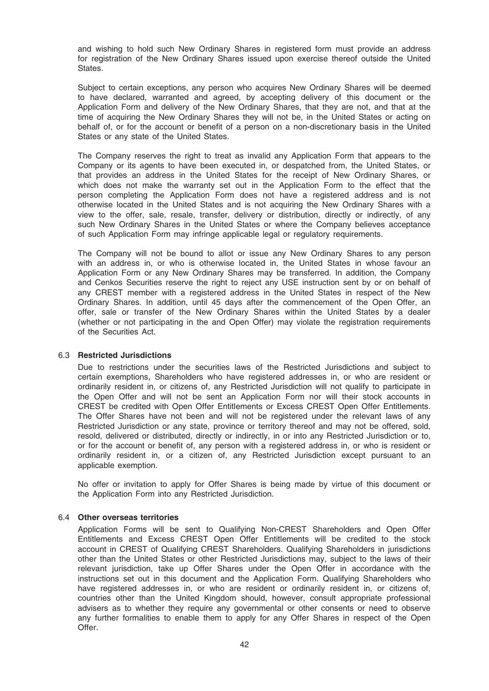and wishing to hold such New Ordinary Shares in registered form must provide an address for registration of the New Ordinary Shares issued upon exercise thereof outside the United States.

Subject to certain exceptions, any person who acquires New Ordinary Shares will be deemed to have declared, warranted and agreed, by accepting delivery of this document or the Application Form and delivery of the New Ordinary Shares, that they are not, and that at the time of acquiring the New Ordinary Shares they will not be, in the United States or acting on behalf of, or for the account or benefit of a person on a non-discretionary basis in the United States or any state of the United States.

The Company reserves the right to treat as invalid any Application Form that appears to the Company or its agents to have been executed in, or despatched from, the United States, or that provides an address in the United States for the receipt of New Ordinary Shares, or which does not make the warranty set out in the Application Form to the effect that the person completing the Application Form does not have a registered address and is not otherwise located in the United States and is not acquiring the New Ordinary Shares with a view to the offer, sale, resale, transfer, delivery or distribution, directly or indirectly, of any such New Ordinary Shares in the United States or where the Company believes acceptance of such Application Form may infringe applicable legal or regulatory requirements.

The Company will not be bound to allot or issue any New Ordinary Shares to any person with an address in, or who is otherwise located in, the United States in whose favour an Application Form or any New Ordinary Shares may be transferred. In addition, the Company and Cenkos Securities reserve the right to reject any USE instruction sent by or on behalf of any CREST member with a registered address in the United States in respect of the New Ordinary Shares. In addition, until 45 days after the commencement of the Open Offer, an offer, sale or transfer of the New Ordinary Shares within the United States by a dealer (whether or not participating in the and Open Offer) may violate the registration requirements of the Securities Act.

## 6.3 Restricted Jurisdictions

Due to restrictions under the securities laws of the Restricted Jurisdictions and subject to certain exemptions, Shareholders who have registered addresses in, or who are resident or ordinarily resident in, or citizens of, any Restricted Jurisdiction will not qualify to participate in the Open Offer and will not be sent an Application Form nor will their stock accounts in CREST be credited with Open Offer Entitlements or Excess CREST Open Offer Entitlements. The Offer Shares have not been and will not be registered under the relevant laws of any Restricted Jurisdiction or any state, province or territory thereof and may not be offered, sold, resold, delivered or distributed, directly or indirectly, in or into any Restricted Jurisdiction or to, or for the account or benefit of, any person with a registered address in, or who is resident or ordinarily resident in, or a citizen of, any Restricted Jurisdiction except pursuant to an applicable exemption.

No offer or invitation to apply for Offer Shares is being made by virtue of this document or the Application Form into any Restricted Jurisdiction.

## 6.4 Other overseas territories

Application Forms will be sent to Qualifying Non-CREST Shareholders and Open Offer Entitlements and Excess CREST Open Offer Entitlements will be credited to the stock account in CREST of Qualifying CREST Shareholders. Qualifying Shareholders in jurisdictions other than the United States or other Restricted Jurisdictions may, subject to the laws of their relevant jurisdiction, take up Offer Shares under the Open Offer in accordance with the instructions set out in this document and the Application Form. Qualifying Shareholders who have registered addresses in, or who are resident or ordinarily resident in, or citizens of, countries other than the United Kingdom should, however, consult appropriate professional advisers as to whether they require any governmental or other consents or need to observe any further formalities to enable them to apply for any Offer Shares in respect of the Open Offer.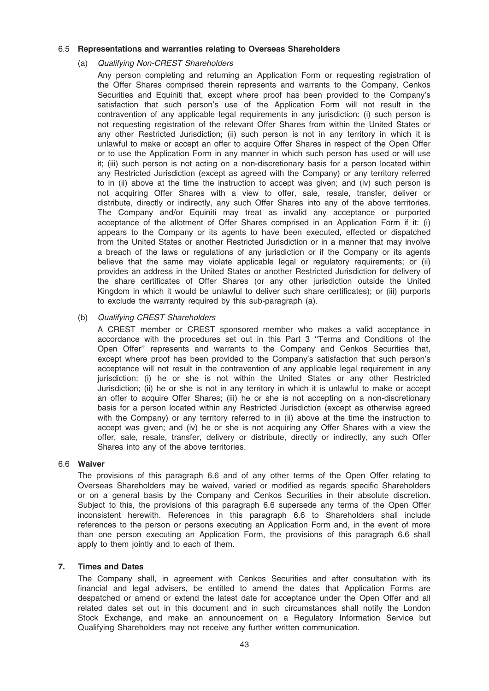# 6.5 Representations and warranties relating to Overseas Shareholders

# (a) Qualifying Non-CREST Shareholders

Any person completing and returning an Application Form or requesting registration of the Offer Shares comprised therein represents and warrants to the Company, Cenkos Securities and Equiniti that, except where proof has been provided to the Company's satisfaction that such person's use of the Application Form will not result in the contravention of any applicable legal requirements in any jurisdiction: (i) such person is not requesting registration of the relevant Offer Shares from within the United States or any other Restricted Jurisdiction; (ii) such person is not in any territory in which it is unlawful to make or accept an offer to acquire Offer Shares in respect of the Open Offer or to use the Application Form in any manner in which such person has used or will use it; (iii) such person is not acting on a non-discretionary basis for a person located within any Restricted Jurisdiction (except as agreed with the Company) or any territory referred to in (ii) above at the time the instruction to accept was given; and (iv) such person is not acquiring Offer Shares with a view to offer, sale, resale, transfer, deliver or distribute, directly or indirectly, any such Offer Shares into any of the above territories. The Company and/or Equiniti may treat as invalid any acceptance or purported acceptance of the allotment of Offer Shares comprised in an Application Form if it: (i) appears to the Company or its agents to have been executed, effected or dispatched from the United States or another Restricted Jurisdiction or in a manner that may involve a breach of the laws or regulations of any jurisdiction or if the Company or its agents believe that the same may violate applicable legal or regulatory requirements; or (ii) provides an address in the United States or another Restricted Jurisdiction for delivery of the share certificates of Offer Shares (or any other jurisdiction outside the United Kingdom in which it would be unlawful to deliver such share certificates); or (iii) purports to exclude the warranty required by this sub-paragraph (a).

# (b) Qualifying CREST Shareholders

A CREST member or CREST sponsored member who makes a valid acceptance in accordance with the procedures set out in this Part 3 ''Terms and Conditions of the Open Offer'' represents and warrants to the Company and Cenkos Securities that, except where proof has been provided to the Company's satisfaction that such person's acceptance will not result in the contravention of any applicable legal requirement in any jurisdiction: (i) he or she is not within the United States or any other Restricted Jurisdiction; (ii) he or she is not in any territory in which it is unlawful to make or accept an offer to acquire Offer Shares; (iii) he or she is not accepting on a non-discretionary basis for a person located within any Restricted Jurisdiction (except as otherwise agreed with the Company) or any territory referred to in (ii) above at the time the instruction to accept was given; and (iv) he or she is not acquiring any Offer Shares with a view the offer, sale, resale, transfer, delivery or distribute, directly or indirectly, any such Offer Shares into any of the above territories.

## 6.6 Waiver

The provisions of this paragraph 6.6 and of any other terms of the Open Offer relating to Overseas Shareholders may be waived, varied or modified as regards specific Shareholders or on a general basis by the Company and Cenkos Securities in their absolute discretion. Subject to this, the provisions of this paragraph 6.6 supersede any terms of the Open Offer inconsistent herewith. References in this paragraph 6.6 to Shareholders shall include references to the person or persons executing an Application Form and, in the event of more than one person executing an Application Form, the provisions of this paragraph 6.6 shall apply to them jointly and to each of them.

## 7. Times and Dates

The Company shall, in agreement with Cenkos Securities and after consultation with its financial and legal advisers, be entitled to amend the dates that Application Forms are despatched or amend or extend the latest date for acceptance under the Open Offer and all related dates set out in this document and in such circumstances shall notify the London Stock Exchange, and make an announcement on a Regulatory Information Service but Qualifying Shareholders may not receive any further written communication.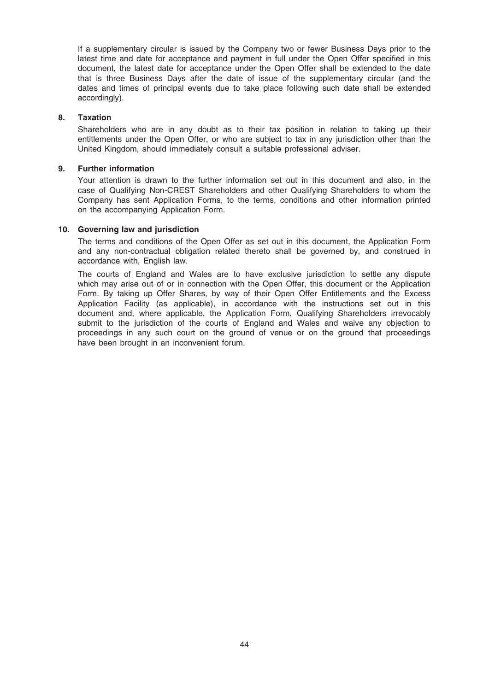If a supplementary circular is issued by the Company two or fewer Business Days prior to the latest time and date for acceptance and payment in full under the Open Offer specified in this document, the latest date for acceptance under the Open Offer shall be extended to the date that is three Business Days after the date of issue of the supplementary circular (and the dates and times of principal events due to take place following such date shall be extended accordingly).

# 8. Taxation

Shareholders who are in any doubt as to their tax position in relation to taking up their entitlements under the Open Offer, or who are subject to tax in any jurisdiction other than the United Kingdom, should immediately consult a suitable professional adviser.

# 9. Further information

Your attention is drawn to the further information set out in this document and also, in the case of Qualifying Non-CREST Shareholders and other Qualifying Shareholders to whom the Company has sent Application Forms, to the terms, conditions and other information printed on the accompanying Application Form.

# 10. Governing law and jurisdiction

The terms and conditions of the Open Offer as set out in this document, the Application Form and any non-contractual obligation related thereto shall be governed by, and construed in accordance with, English law.

The courts of England and Wales are to have exclusive jurisdiction to settle any dispute which may arise out of or in connection with the Open Offer, this document or the Application Form. By taking up Offer Shares, by way of their Open Offer Entitlements and the Excess Application Facility (as applicable), in accordance with the instructions set out in this document and, where applicable, the Application Form, Qualifying Shareholders irrevocably submit to the jurisdiction of the courts of England and Wales and waive any objection to proceedings in any such court on the ground of venue or on the ground that proceedings have been brought in an inconvenient forum.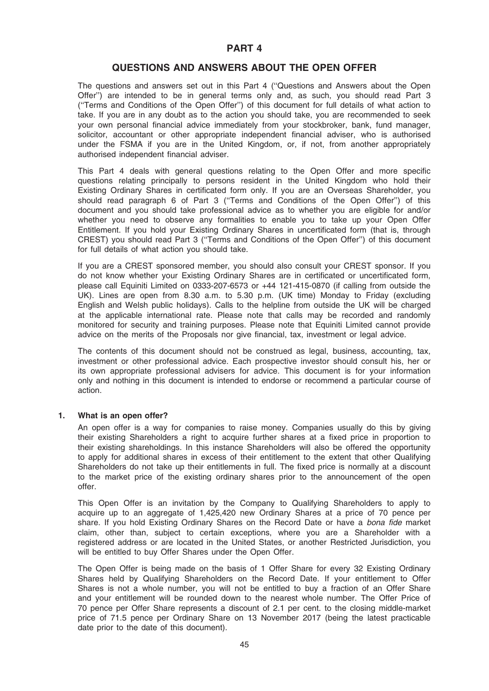# PART 4

# QUESTIONS AND ANSWERS ABOUT THE OPEN OFFER

The questions and answers set out in this Part 4 (''Questions and Answers about the Open Offer'') are intended to be in general terms only and, as such, you should read Part 3 (''Terms and Conditions of the Open Offer'') of this document for full details of what action to take. If you are in any doubt as to the action you should take, you are recommended to seek your own personal financial advice immediately from your stockbroker, bank, fund manager, solicitor, accountant or other appropriate independent financial adviser, who is authorised under the FSMA if you are in the United Kingdom, or, if not, from another appropriately authorised independent financial adviser.

This Part 4 deals with general questions relating to the Open Offer and more specific questions relating principally to persons resident in the United Kingdom who hold their Existing Ordinary Shares in certificated form only. If you are an Overseas Shareholder, you should read paragraph 6 of Part 3 (''Terms and Conditions of the Open Offer'') of this document and you should take professional advice as to whether you are eligible for and/or whether you need to observe any formalities to enable you to take up your Open Offer Entitlement. If you hold your Existing Ordinary Shares in uncertificated form (that is, through CREST) you should read Part 3 (''Terms and Conditions of the Open Offer'') of this document for full details of what action you should take.

If you are a CREST sponsored member, you should also consult your CREST sponsor. If you do not know whether your Existing Ordinary Shares are in certificated or uncertificated form, please call Equiniti Limited on 0333-207-6573 or +44 121-415-0870 (if calling from outside the UK). Lines are open from 8.30 a.m. to 5.30 p.m. (UK time) Monday to Friday (excluding English and Welsh public holidays). Calls to the helpline from outside the UK will be charged at the applicable international rate. Please note that calls may be recorded and randomly monitored for security and training purposes. Please note that Equiniti Limited cannot provide advice on the merits of the Proposals nor give financial, tax, investment or legal advice.

The contents of this document should not be construed as legal, business, accounting, tax, investment or other professional advice. Each prospective investor should consult his, her or its own appropriate professional advisers for advice. This document is for your information only and nothing in this document is intended to endorse or recommend a particular course of action.

## 1. What is an open offer?

An open offer is a way for companies to raise money. Companies usually do this by giving their existing Shareholders a right to acquire further shares at a fixed price in proportion to their existing shareholdings. In this instance Shareholders will also be offered the opportunity to apply for additional shares in excess of their entitlement to the extent that other Qualifying Shareholders do not take up their entitlements in full. The fixed price is normally at a discount to the market price of the existing ordinary shares prior to the announcement of the open offer.

This Open Offer is an invitation by the Company to Qualifying Shareholders to apply to acquire up to an aggregate of 1,425,420 new Ordinary Shares at a price of 70 pence per share. If you hold Existing Ordinary Shares on the Record Date or have a bona fide market claim, other than, subject to certain exceptions, where you are a Shareholder with a registered address or are located in the United States, or another Restricted Jurisdiction, you will be entitled to buy Offer Shares under the Open Offer.

The Open Offer is being made on the basis of 1 Offer Share for every 32 Existing Ordinary Shares held by Qualifying Shareholders on the Record Date. If your entitlement to Offer Shares is not a whole number, you will not be entitled to buy a fraction of an Offer Share and your entitlement will be rounded down to the nearest whole number. The Offer Price of 70 pence per Offer Share represents a discount of 2.1 per cent. to the closing middle-market price of 71.5 pence per Ordinary Share on 13 November 2017 (being the latest practicable date prior to the date of this document).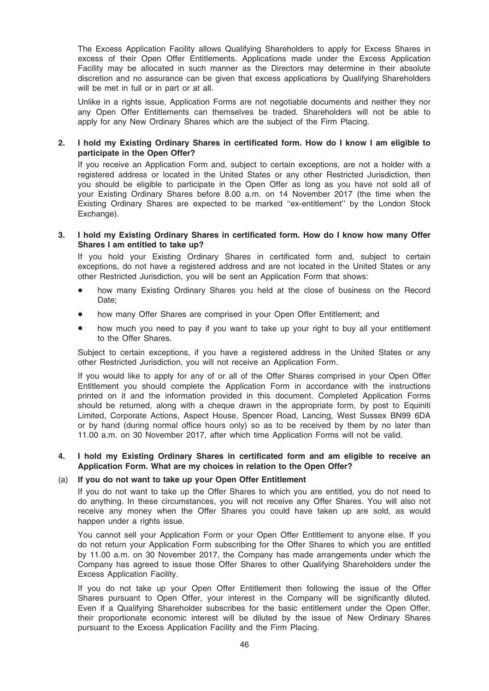The Excess Application Facility allows Qualifying Shareholders to apply for Excess Shares in excess of their Open Offer Entitlements. Applications made under the Excess Application Facility may be allocated in such manner as the Directors may determine in their absolute discretion and no assurance can be given that excess applications by Qualifying Shareholders will be met in full or in part or at all.

Unlike in a rights issue, Application Forms are not negotiable documents and neither they nor any Open Offer Entitlements can themselves be traded. Shareholders will not be able to apply for any New Ordinary Shares which are the subject of the Firm Placing.

# 2. I hold my Existing Ordinary Shares in certificated form. How do I know I am eligible to participate in the Open Offer?

If you receive an Application Form and, subject to certain exceptions, are not a holder with a registered address or located in the United States or any other Restricted Jurisdiction, then you should be eligible to participate in the Open Offer as long as you have not sold all of your Existing Ordinary Shares before 8.00 a.m. on 14 November 2017 (the time when the Existing Ordinary Shares are expected to be marked ''ex-entitlement'' by the London Stock Exchange).

# 3. I hold my Existing Ordinary Shares in certificated form. How do I know how many Offer Shares I am entitled to take up?

If you hold your Existing Ordinary Shares in certificated form and, subject to certain exceptions, do not have a registered address and are not located in the United States or any other Restricted Jurisdiction, you will be sent an Application Form that shows:

- how many Existing Ordinary Shares you held at the close of business on the Record Date;
- how many Offer Shares are comprised in your Open Offer Entitlement; and
- how much you need to pay if you want to take up your right to buy all your entitlement to the Offer Shares.

Subject to certain exceptions, if you have a registered address in the United States or any other Restricted Jurisdiction, you will not receive an Application Form.

If you would like to apply for any of or all of the Offer Shares comprised in your Open Offer Entitlement you should complete the Application Form in accordance with the instructions printed on it and the information provided in this document. Completed Application Forms should be returned, along with a cheque drawn in the appropriate form, by post to Equiniti Limited, Corporate Actions, Aspect House, Spencer Road, Lancing, West Sussex BN99 6DA or by hand (during normal office hours only) so as to be received by them by no later than 11.00 a.m. on 30 November 2017, after which time Application Forms will not be valid.

# 4. I hold my Existing Ordinary Shares in certificated form and am eligible to receive an Application Form. What are my choices in relation to the Open Offer?

# (a) If you do not want to take up your Open Offer Entitlement

If you do not want to take up the Offer Shares to which you are entitled, you do not need to do anything. In these circumstances, you will not receive any Offer Shares. You will also not receive any money when the Offer Shares you could have taken up are sold, as would happen under a rights issue.

You cannot sell your Application Form or your Open Offer Entitlement to anyone else. If you do not return your Application Form subscribing for the Offer Shares to which you are entitled by 11.00 a.m. on 30 November 2017, the Company has made arrangements under which the Company has agreed to issue those Offer Shares to other Qualifying Shareholders under the Excess Application Facility.

If you do not take up your Open Offer Entitlement then following the issue of the Offer Shares pursuant to Open Offer, your interest in the Company will be significantly diluted. Even if a Qualifying Shareholder subscribes for the basic entitlement under the Open Offer, their proportionate economic interest will be diluted by the issue of New Ordinary Shares pursuant to the Excess Application Facility and the Firm Placing.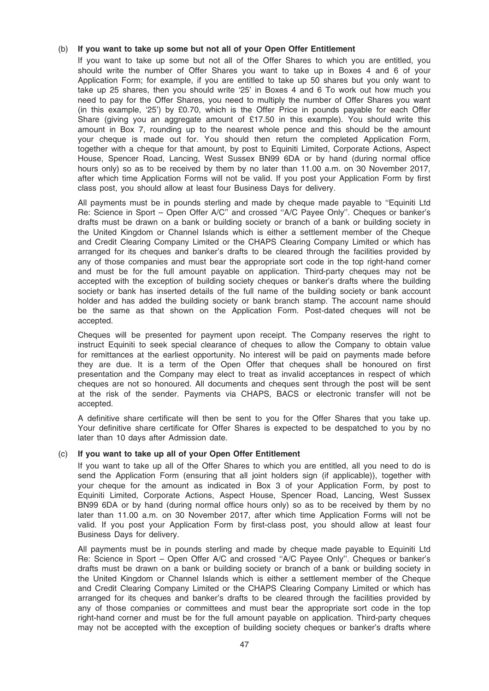# (b) If you want to take up some but not all of your Open Offer Entitlement

If you want to take up some but not all of the Offer Shares to which you are entitled, you should write the number of Offer Shares you want to take up in Boxes 4 and 6 of your Application Form; for example, if you are entitled to take up 50 shares but you only want to take up 25 shares, then you should write '25' in Boxes 4 and 6 To work out how much you need to pay for the Offer Shares, you need to multiply the number of Offer Shares you want (in this example, '25') by £0.70, which is the Offer Price in pounds payable for each Offer Share (giving you an aggregate amount of £17.50 in this example). You should write this amount in Box 7, rounding up to the nearest whole pence and this should be the amount your cheque is made out for. You should then return the completed Application Form, together with a cheque for that amount, by post to Equiniti Limited, Corporate Actions, Aspect House, Spencer Road, Lancing, West Sussex BN99 6DA or by hand (during normal office hours only) so as to be received by them by no later than 11.00 a.m. on 30 November 2017, after which time Application Forms will not be valid. If you post your Application Form by first class post, you should allow at least four Business Days for delivery.

All payments must be in pounds sterling and made by cheque made payable to ''Equiniti Ltd Re: Science in Sport – Open Offer A/C'' and crossed ''A/C Payee Only''. Cheques or banker's drafts must be drawn on a bank or building society or branch of a bank or building society in the United Kingdom or Channel Islands which is either a settlement member of the Cheque and Credit Clearing Company Limited or the CHAPS Clearing Company Limited or which has arranged for its cheques and banker's drafts to be cleared through the facilities provided by any of those companies and must bear the appropriate sort code in the top right-hand corner and must be for the full amount payable on application. Third-party cheques may not be accepted with the exception of building society cheques or banker's drafts where the building society or bank has inserted details of the full name of the building society or bank account holder and has added the building society or bank branch stamp. The account name should be the same as that shown on the Application Form. Post-dated cheques will not be accepted.

Cheques will be presented for payment upon receipt. The Company reserves the right to instruct Equiniti to seek special clearance of cheques to allow the Company to obtain value for remittances at the earliest opportunity. No interest will be paid on payments made before they are due. It is a term of the Open Offer that cheques shall be honoured on first presentation and the Company may elect to treat as invalid acceptances in respect of which cheques are not so honoured. All documents and cheques sent through the post will be sent at the risk of the sender. Payments via CHAPS, BACS or electronic transfer will not be accepted.

A definitive share certificate will then be sent to you for the Offer Shares that you take up. Your definitive share certificate for Offer Shares is expected to be despatched to you by no later than 10 days after Admission date.

## (c) If you want to take up all of your Open Offer Entitlement

If you want to take up all of the Offer Shares to which you are entitled, all you need to do is send the Application Form (ensuring that all joint holders sign (if applicable)), together with your cheque for the amount as indicated in Box 3 of your Application Form, by post to Equiniti Limited, Corporate Actions, Aspect House, Spencer Road, Lancing, West Sussex BN99 6DA or by hand (during normal office hours only) so as to be received by them by no later than 11.00 a.m. on 30 November 2017, after which time Application Forms will not be valid. If you post your Application Form by first-class post, you should allow at least four Business Days for delivery.

All payments must be in pounds sterling and made by cheque made payable to Equiniti Ltd Re: Science in Sport – Open Offer A/C and crossed ''A/C Payee Only''. Cheques or banker's drafts must be drawn on a bank or building society or branch of a bank or building society in the United Kingdom or Channel Islands which is either a settlement member of the Cheque and Credit Clearing Company Limited or the CHAPS Clearing Company Limited or which has arranged for its cheques and banker's drafts to be cleared through the facilities provided by any of those companies or committees and must bear the appropriate sort code in the top right-hand corner and must be for the full amount payable on application. Third-party cheques may not be accepted with the exception of building society cheques or banker's drafts where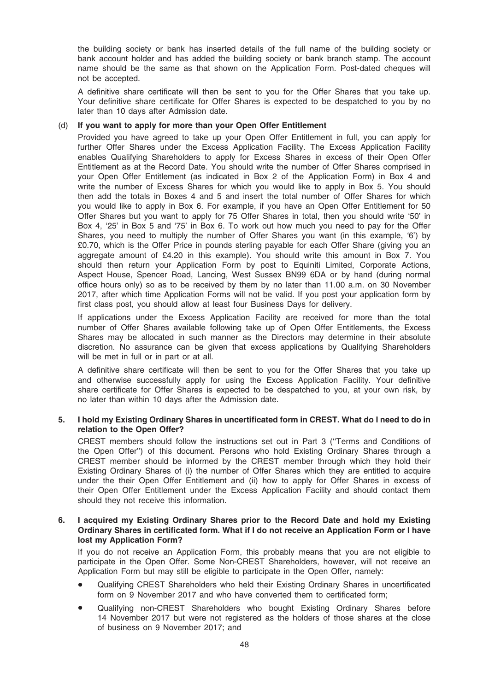the building society or bank has inserted details of the full name of the building society or bank account holder and has added the building society or bank branch stamp. The account name should be the same as that shown on the Application Form. Post-dated cheques will not be accepted.

A definitive share certificate will then be sent to you for the Offer Shares that you take up. Your definitive share certificate for Offer Shares is expected to be despatched to you by no later than 10 days after Admission date.

# (d) If you want to apply for more than your Open Offer Entitlement

Provided you have agreed to take up your Open Offer Entitlement in full, you can apply for further Offer Shares under the Excess Application Facility. The Excess Application Facility enables Qualifying Shareholders to apply for Excess Shares in excess of their Open Offer Entitlement as at the Record Date. You should write the number of Offer Shares comprised in your Open Offer Entitlement (as indicated in Box 2 of the Application Form) in Box 4 and write the number of Excess Shares for which you would like to apply in Box 5. You should then add the totals in Boxes 4 and 5 and insert the total number of Offer Shares for which you would like to apply in Box 6. For example, if you have an Open Offer Entitlement for 50 Offer Shares but you want to apply for 75 Offer Shares in total, then you should write '50' in Box 4, '25' in Box 5 and '75' in Box 6. To work out how much you need to pay for the Offer Shares, you need to multiply the number of Offer Shares you want (in this example, '6') by £0.70, which is the Offer Price in pounds sterling payable for each Offer Share (giving you an aggregate amount of £4.20 in this example). You should write this amount in Box 7. You should then return your Application Form by post to Equiniti Limited, Corporate Actions, Aspect House, Spencer Road, Lancing, West Sussex BN99 6DA or by hand (during normal office hours only) so as to be received by them by no later than 11.00 a.m. on 30 November 2017, after which time Application Forms will not be valid. If you post your application form by first class post, you should allow at least four Business Days for delivery.

If applications under the Excess Application Facility are received for more than the total number of Offer Shares available following take up of Open Offer Entitlements, the Excess Shares may be allocated in such manner as the Directors may determine in their absolute discretion. No assurance can be given that excess applications by Qualifying Shareholders will be met in full or in part or at all.

A definitive share certificate will then be sent to you for the Offer Shares that you take up and otherwise successfully apply for using the Excess Application Facility. Your definitive share certificate for Offer Shares is expected to be despatched to you, at your own risk, by no later than within 10 days after the Admission date.

# 5. I hold my Existing Ordinary Shares in uncertificated form in CREST. What do I need to do in relation to the Open Offer?

CREST members should follow the instructions set out in Part 3 (''Terms and Conditions of the Open Offer'') of this document. Persons who hold Existing Ordinary Shares through a CREST member should be informed by the CREST member through which they hold their Existing Ordinary Shares of (i) the number of Offer Shares which they are entitled to acquire under the their Open Offer Entitlement and (ii) how to apply for Offer Shares in excess of their Open Offer Entitlement under the Excess Application Facility and should contact them should they not receive this information.

# 6. I acquired my Existing Ordinary Shares prior to the Record Date and hold my Existing Ordinary Shares in certificated form. What if I do not receive an Application Form or I have lost my Application Form?

If you do not receive an Application Form, this probably means that you are not eligible to participate in the Open Offer. Some Non-CREST Shareholders, however, will not receive an Application Form but may still be eligible to participate in the Open Offer, namely:

- Qualifying CREST Shareholders who held their Existing Ordinary Shares in uncertificated form on 9 November 2017 and who have converted them to certificated form;
- Qualifying non-CREST Shareholders who bought Existing Ordinary Shares before 14 November 2017 but were not registered as the holders of those shares at the close of business on 9 November 2017; and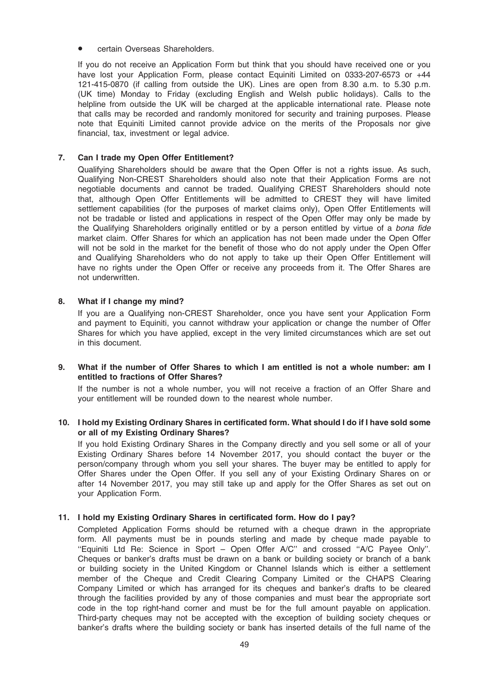certain Overseas Shareholders.

If you do not receive an Application Form but think that you should have received one or you have lost your Application Form, please contact Equiniti Limited on 0333-207-6573 or +44 121-415-0870 (if calling from outside the UK). Lines are open from 8.30 a.m. to 5.30 p.m. (UK time) Monday to Friday (excluding English and Welsh public holidays). Calls to the helpline from outside the UK will be charged at the applicable international rate. Please note that calls may be recorded and randomly monitored for security and training purposes. Please note that Equiniti Limited cannot provide advice on the merits of the Proposals nor give financial, tax, investment or legal advice.

# 7. Can I trade my Open Offer Entitlement?

Qualifying Shareholders should be aware that the Open Offer is not a rights issue. As such, Qualifying Non-CREST Shareholders should also note that their Application Forms are not negotiable documents and cannot be traded. Qualifying CREST Shareholders should note that, although Open Offer Entitlements will be admitted to CREST they will have limited settlement capabilities (for the purposes of market claims only), Open Offer Entitlements will not be tradable or listed and applications in respect of the Open Offer may only be made by the Qualifying Shareholders originally entitled or by a person entitled by virtue of a bona fide market claim. Offer Shares for which an application has not been made under the Open Offer will not be sold in the market for the benefit of those who do not apply under the Open Offer and Qualifying Shareholders who do not apply to take up their Open Offer Entitlement will have no rights under the Open Offer or receive any proceeds from it. The Offer Shares are not underwritten.

# 8. What if I change my mind?

If you are a Qualifying non-CREST Shareholder, once you have sent your Application Form and payment to Equiniti, you cannot withdraw your application or change the number of Offer Shares for which you have applied, except in the very limited circumstances which are set out in this document.

# 9. What if the number of Offer Shares to which I am entitled is not a whole number: am I entitled to fractions of Offer Shares?

If the number is not a whole number, you will not receive a fraction of an Offer Share and your entitlement will be rounded down to the nearest whole number.

# 10. I hold my Existing Ordinary Shares in certificated form. What should I do if I have sold some or all of my Existing Ordinary Shares?

If you hold Existing Ordinary Shares in the Company directly and you sell some or all of your Existing Ordinary Shares before 14 November 2017, you should contact the buyer or the person/company through whom you sell your shares. The buyer may be entitled to apply for Offer Shares under the Open Offer. If you sell any of your Existing Ordinary Shares on or after 14 November 2017, you may still take up and apply for the Offer Shares as set out on your Application Form.

# 11. I hold my Existing Ordinary Shares in certificated form. How do I pay?

Completed Application Forms should be returned with a cheque drawn in the appropriate form. All payments must be in pounds sterling and made by cheque made payable to ''Equiniti Ltd Re: Science in Sport – Open Offer A/C'' and crossed ''A/C Payee Only''. Cheques or banker's drafts must be drawn on a bank or building society or branch of a bank or building society in the United Kingdom or Channel Islands which is either a settlement member of the Cheque and Credit Clearing Company Limited or the CHAPS Clearing Company Limited or which has arranged for its cheques and banker's drafts to be cleared through the facilities provided by any of those companies and must bear the appropriate sort code in the top right-hand corner and must be for the full amount payable on application. Third-party cheques may not be accepted with the exception of building society cheques or banker's drafts where the building society or bank has inserted details of the full name of the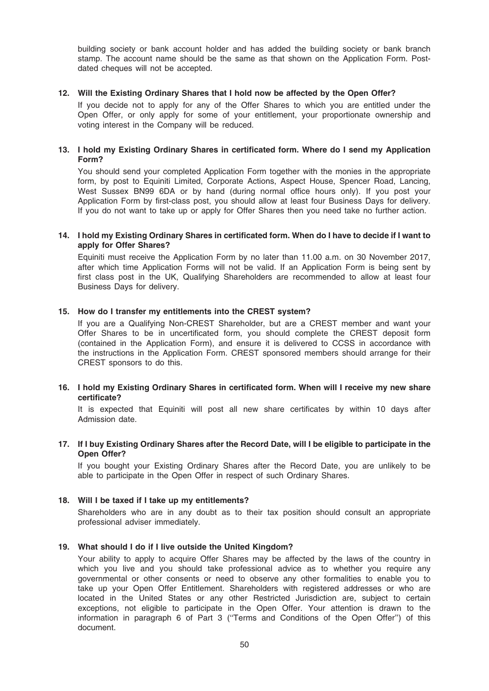building society or bank account holder and has added the building society or bank branch stamp. The account name should be the same as that shown on the Application Form. Postdated cheques will not be accepted.

## 12. Will the Existing Ordinary Shares that I hold now be affected by the Open Offer?

If you decide not to apply for any of the Offer Shares to which you are entitled under the Open Offer, or only apply for some of your entitlement, your proportionate ownership and voting interest in the Company will be reduced.

# 13. I hold my Existing Ordinary Shares in certificated form. Where do I send my Application Form?

You should send your completed Application Form together with the monies in the appropriate form, by post to Equiniti Limited, Corporate Actions, Aspect House, Spencer Road, Lancing, West Sussex BN99 6DA or by hand (during normal office hours only). If you post your Application Form by first-class post, you should allow at least four Business Days for delivery. If you do not want to take up or apply for Offer Shares then you need take no further action.

# 14. I hold my Existing Ordinary Shares in certificated form. When do I have to decide if I want to apply for Offer Shares?

Equiniti must receive the Application Form by no later than 11.00 a.m. on 30 November 2017, after which time Application Forms will not be valid. If an Application Form is being sent by first class post in the UK, Qualifying Shareholders are recommended to allow at least four Business Days for delivery.

# 15. How do I transfer my entitlements into the CREST system?

If you are a Qualifying Non-CREST Shareholder, but are a CREST member and want your Offer Shares to be in uncertificated form, you should complete the CREST deposit form (contained in the Application Form), and ensure it is delivered to CCSS in accordance with the instructions in the Application Form. CREST sponsored members should arrange for their CREST sponsors to do this.

## 16. I hold my Existing Ordinary Shares in certificated form. When will I receive my new share certificate?

It is expected that Equiniti will post all new share certificates by within 10 days after Admission date.

# 17. If I buy Existing Ordinary Shares after the Record Date, will I be eligible to participate in the Open Offer?

If you bought your Existing Ordinary Shares after the Record Date, you are unlikely to be able to participate in the Open Offer in respect of such Ordinary Shares.

#### 18. Will I be taxed if I take up my entitlements?

Shareholders who are in any doubt as to their tax position should consult an appropriate professional adviser immediately.

#### 19. What should I do if I live outside the United Kingdom?

Your ability to apply to acquire Offer Shares may be affected by the laws of the country in which you live and you should take professional advice as to whether you require any governmental or other consents or need to observe any other formalities to enable you to take up your Open Offer Entitlement. Shareholders with registered addresses or who are located in the United States or any other Restricted Jurisdiction are, subject to certain exceptions, not eligible to participate in the Open Offer. Your attention is drawn to the information in paragraph 6 of Part 3 (''Terms and Conditions of the Open Offer'') of this document.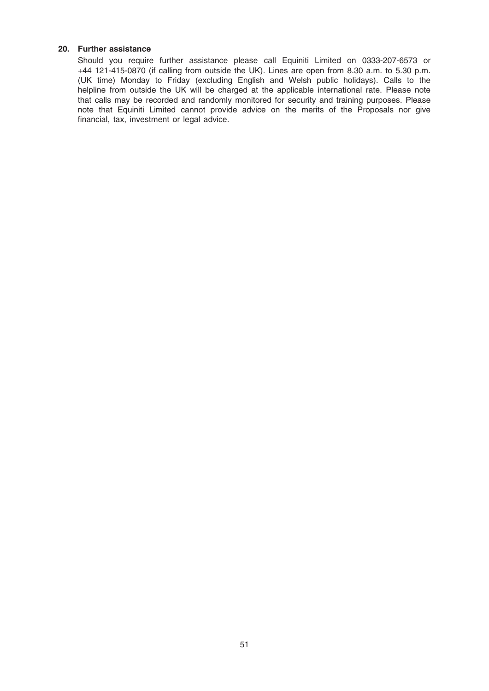# 20. Further assistance

Should you require further assistance please call Equiniti Limited on 0333-207-6573 or +44 121-415-0870 (if calling from outside the UK). Lines are open from 8.30 a.m. to 5.30 p.m. (UK time) Monday to Friday (excluding English and Welsh public holidays). Calls to the helpline from outside the UK will be charged at the applicable international rate. Please note that calls may be recorded and randomly monitored for security and training purposes. Please note that Equiniti Limited cannot provide advice on the merits of the Proposals nor give financial, tax, investment or legal advice.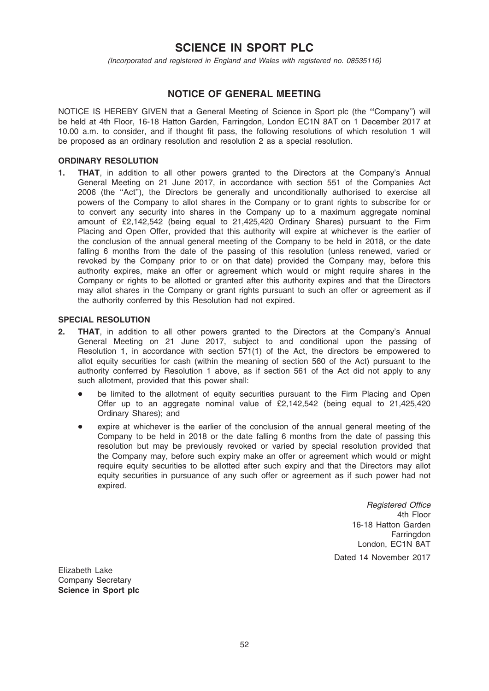# SCIENCE IN SPORT PLC

(Incorporated and registered in England and Wales with registered no. 08535116)

# NOTICE OF GENERAL MEETING

NOTICE IS HEREBY GIVEN that a General Meeting of Science in Sport plc (the ''Company'') will be held at 4th Floor, 16-18 Hatton Garden, Farringdon, London EC1N 8AT on 1 December 2017 at 10.00 a.m. to consider, and if thought fit pass, the following resolutions of which resolution 1 will be proposed as an ordinary resolution and resolution 2 as a special resolution.

# ORDINARY RESOLUTION

1. **THAT**, in addition to all other powers granted to the Directors at the Company's Annual General Meeting on 21 June 2017, in accordance with section 551 of the Companies Act 2006 (the ''Act''), the Directors be generally and unconditionally authorised to exercise all powers of the Company to allot shares in the Company or to grant rights to subscribe for or to convert any security into shares in the Company up to a maximum aggregate nominal amount of £2,142,542 (being equal to 21,425,420 Ordinary Shares) pursuant to the Firm Placing and Open Offer, provided that this authority will expire at whichever is the earlier of the conclusion of the annual general meeting of the Company to be held in 2018, or the date falling 6 months from the date of the passing of this resolution (unless renewed, varied or revoked by the Company prior to or on that date) provided the Company may, before this authority expires, make an offer or agreement which would or might require shares in the Company or rights to be allotted or granted after this authority expires and that the Directors may allot shares in the Company or grant rights pursuant to such an offer or agreement as if the authority conferred by this Resolution had not expired.

## SPECIAL RESOLUTION

- 2. THAT, in addition to all other powers granted to the Directors at the Company's Annual General Meeting on 21 June 2017, subject to and conditional upon the passing of Resolution 1, in accordance with section 571(1) of the Act, the directors be empowered to allot equity securities for cash (within the meaning of section 560 of the Act) pursuant to the authority conferred by Resolution 1 above, as if section 561 of the Act did not apply to any such allotment, provided that this power shall:
	- be limited to the allotment of equity securities pursuant to the Firm Placing and Open Offer up to an aggregate nominal value of  $£2,142,542$  (being equal to  $21,425,420$ Ordinary Shares); and
	- expire at whichever is the earlier of the conclusion of the annual general meeting of the Company to be held in 2018 or the date falling 6 months from the date of passing this resolution but may be previously revoked or varied by special resolution provided that the Company may, before such expiry make an offer or agreement which would or might require equity securities to be allotted after such expiry and that the Directors may allot equity securities in pursuance of any such offer or agreement as if such power had not expired.

Registered Office 4th Floor 16-18 Hatton Garden **Farringdon** London, EC1N 8AT Dated 14 November 2017

Elizabeth Lake Company Secretary Science in Sport plc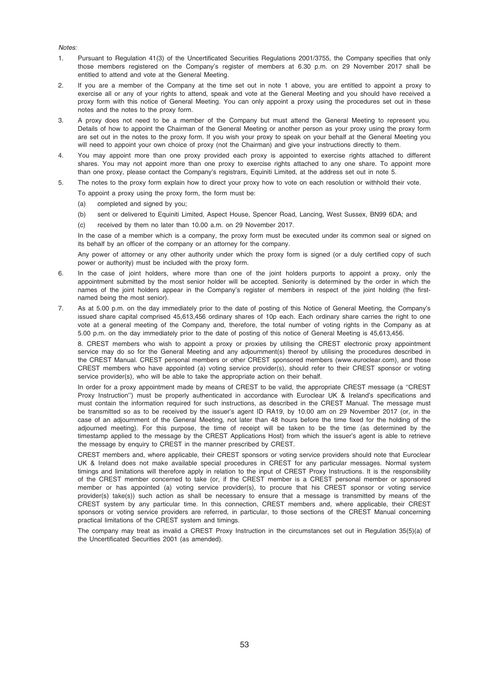#### Notes:

- 1. Pursuant to Regulation 41(3) of the Uncertificated Securities Regulations 2001/3755, the Company specifies that only those members registered on the Company's register of members at 6.30 p.m. on 29 November 2017 shall be entitled to attend and vote at the General Meeting.
- 2. If you are a member of the Company at the time set out in note 1 above, you are entitled to appoint a proxy to exercise all or any of your rights to attend, speak and vote at the General Meeting and you should have received a proxy form with this notice of General Meeting. You can only appoint a proxy using the procedures set out in these notes and the notes to the proxy form.
- 3. A proxy does not need to be a member of the Company but must attend the General Meeting to represent you. Details of how to appoint the Chairman of the General Meeting or another person as your proxy using the proxy form are set out in the notes to the proxy form. If you wish your proxy to speak on your behalf at the General Meeting you will need to appoint your own choice of proxy (not the Chairman) and give your instructions directly to them.
- 4. You may appoint more than one proxy provided each proxy is appointed to exercise rights attached to different shares. You may not appoint more than one proxy to exercise rights attached to any one share. To appoint more than one proxy, please contact the Company's registrars, Equiniti Limited, at the address set out in note 5.
- 5. The notes to the proxy form explain how to direct your proxy how to vote on each resolution or withhold their vote. To appoint a proxy using the proxy form, the form must be:
	- (a) completed and signed by you;
	- (b) sent or delivered to Equiniti Limited, Aspect House, Spencer Road, Lancing, West Sussex, BN99 6DA; and
	- (c) received by them no later than 10.00 a.m. on 29 November 2017.

In the case of a member which is a company, the proxy form must be executed under its common seal or signed on its behalf by an officer of the company or an attorney for the company.

Any power of attorney or any other authority under which the proxy form is signed (or a duly certified copy of such power or authority) must be included with the proxy form.

- 6. In the case of joint holders, where more than one of the joint holders purports to appoint a proxy, only the appointment submitted by the most senior holder will be accepted. Seniority is determined by the order in which the names of the joint holders appear in the Company's register of members in respect of the joint holding (the firstnamed being the most senior).
- 7. As at 5.00 p.m. on the day immediately prior to the date of posting of this Notice of General Meeting, the Company's issued share capital comprised 45,613,456 ordinary shares of 10p each. Each ordinary share carries the right to one vote at a general meeting of the Company and, therefore, the total number of voting rights in the Company as at 5.00 p.m. on the day immediately prior to the date of posting of this notice of General Meeting is 45,613,456.

8. CREST members who wish to appoint a proxy or proxies by utilising the CREST electronic proxy appointment service may do so for the General Meeting and any adjournment(s) thereof by utilising the procedures described in the CREST Manual. CREST personal members or other CREST sponsored members (www.euroclear.com), and those CREST members who have appointed (a) voting service provider(s), should refer to their CREST sponsor or voting service provider(s), who will be able to take the appropriate action on their behalf.

In order for a proxy appointment made by means of CREST to be valid, the appropriate CREST message (a ''CREST Proxy Instruction") must be properly authenticated in accordance with Euroclear UK & Ireland's specifications and must contain the information required for such instructions, as described in the CREST Manual. The message must be transmitted so as to be received by the issuer's agent ID RA19, by 10.00 am on 29 November 2017 (or, in the case of an adjournment of the General Meeting, not later than 48 hours before the time fixed for the holding of the adjourned meeting). For this purpose, the time of receipt will be taken to be the time (as determined by the timestamp applied to the message by the CREST Applications Host) from which the issuer's agent is able to retrieve the message by enquiry to CREST in the manner prescribed by CREST.

CREST members and, where applicable, their CREST sponsors or voting service providers should note that Euroclear UK & Ireland does not make available special procedures in CREST for any particular messages. Normal system timings and limitations will therefore apply in relation to the input of CREST Proxy Instructions. It is the responsibility of the CREST member concerned to take (or, if the CREST member is a CREST personal member or sponsored member or has appointed (a) voting service provider(s), to procure that his CREST sponsor or voting service provider(s) take(s)) such action as shall be necessary to ensure that a message is transmitted by means of the CREST system by any particular time. In this connection, CREST members and, where applicable, their CREST sponsors or voting service providers are referred, in particular, to those sections of the CREST Manual concerning practical limitations of the CREST system and timings.

The company may treat as invalid a CREST Proxy Instruction in the circumstances set out in Regulation 35(5)(a) of the Uncertificated Securities 2001 (as amended).